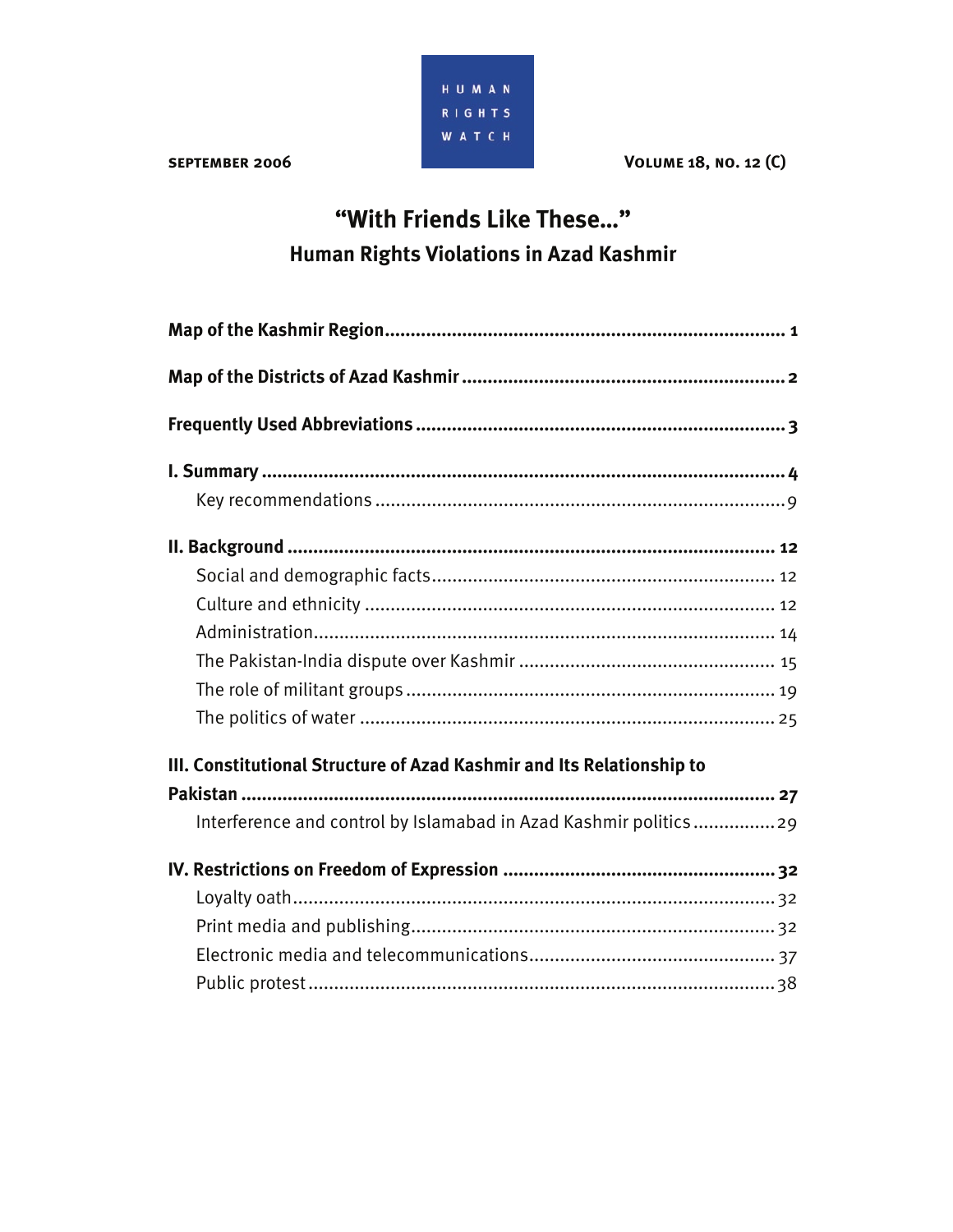

**VOLUME 18, NO. 12 (C)** 

# "With Friends Like These..." Human Rights Violations in Azad Kashmir

| III. Constitutional Structure of Azad Kashmir and Its Relationship to |
|-----------------------------------------------------------------------|
|                                                                       |
| Interference and control by Islamabad in Azad Kashmir politics29      |
|                                                                       |
|                                                                       |
|                                                                       |
|                                                                       |
|                                                                       |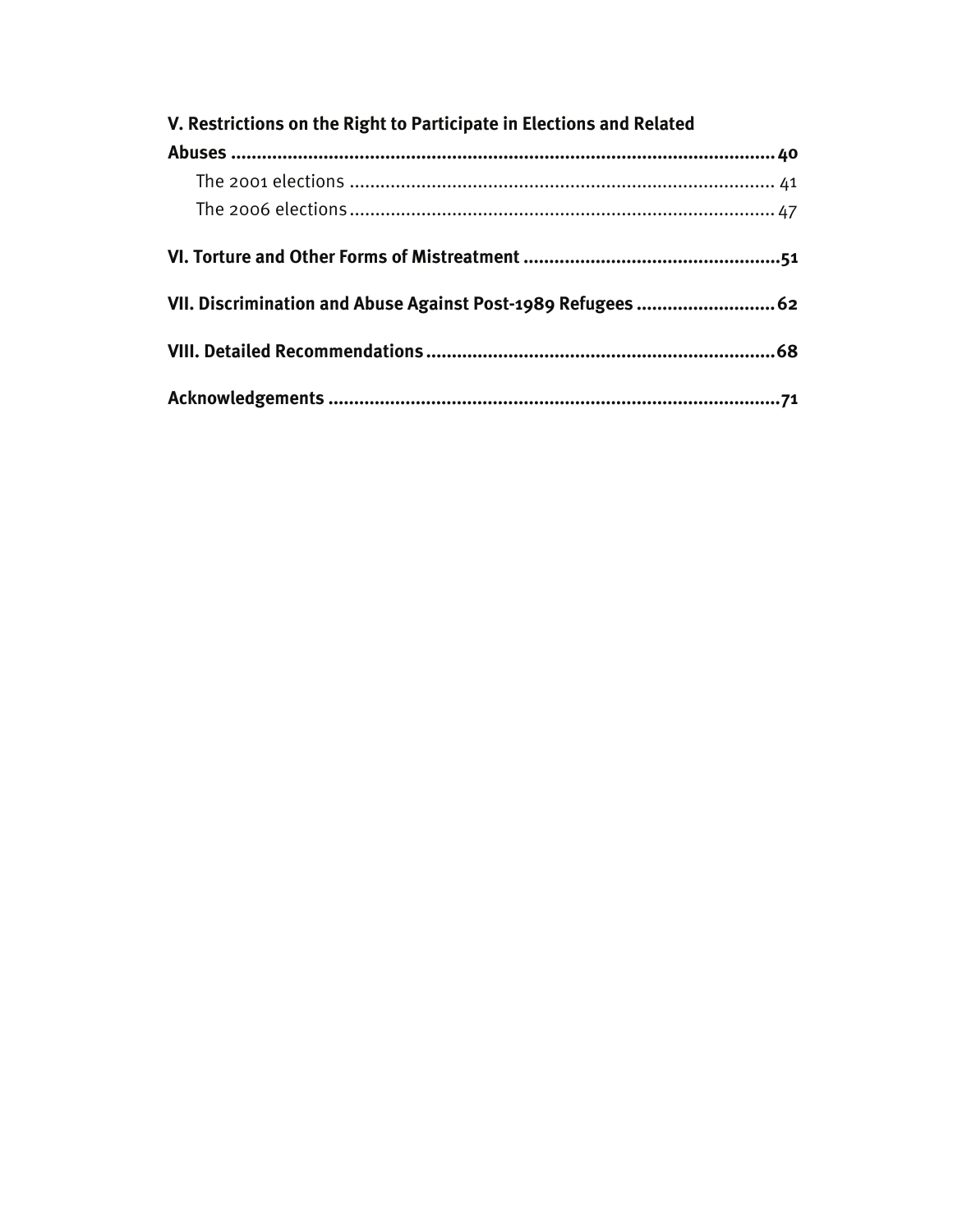| V. Restrictions on the Right to Participate in Elections and Related |  |
|----------------------------------------------------------------------|--|
|                                                                      |  |
|                                                                      |  |
|                                                                      |  |
|                                                                      |  |
| VII. Discrimination and Abuse Against Post-1989 Refugees  62         |  |
|                                                                      |  |
|                                                                      |  |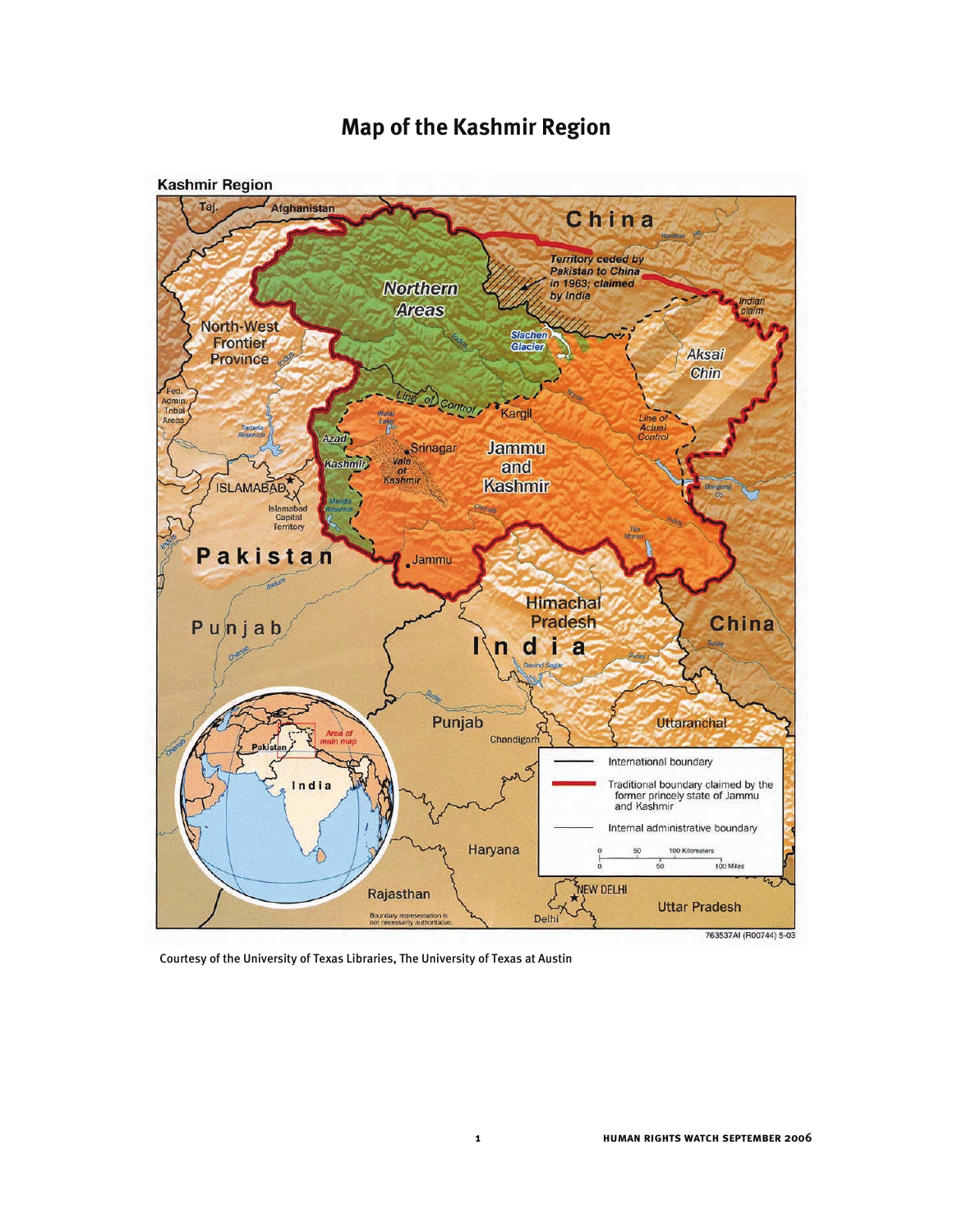

# **Map of the Kashmir Region**

Courtesy of the University of Texas Libraries, The University of Texas at Austin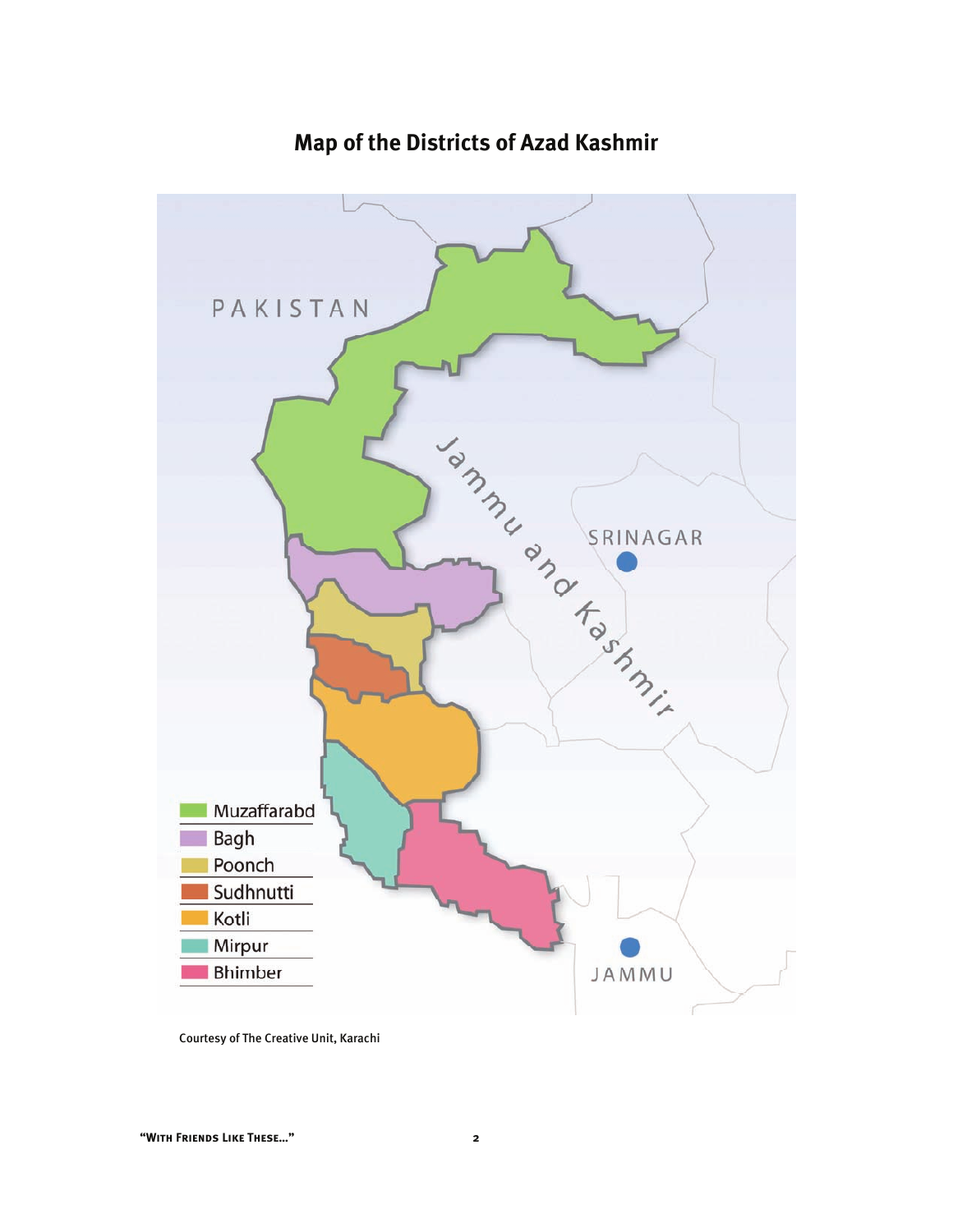

# **Map of the Districts of Azad Kashmir**

Courtesy of The Creative Unit, Karachi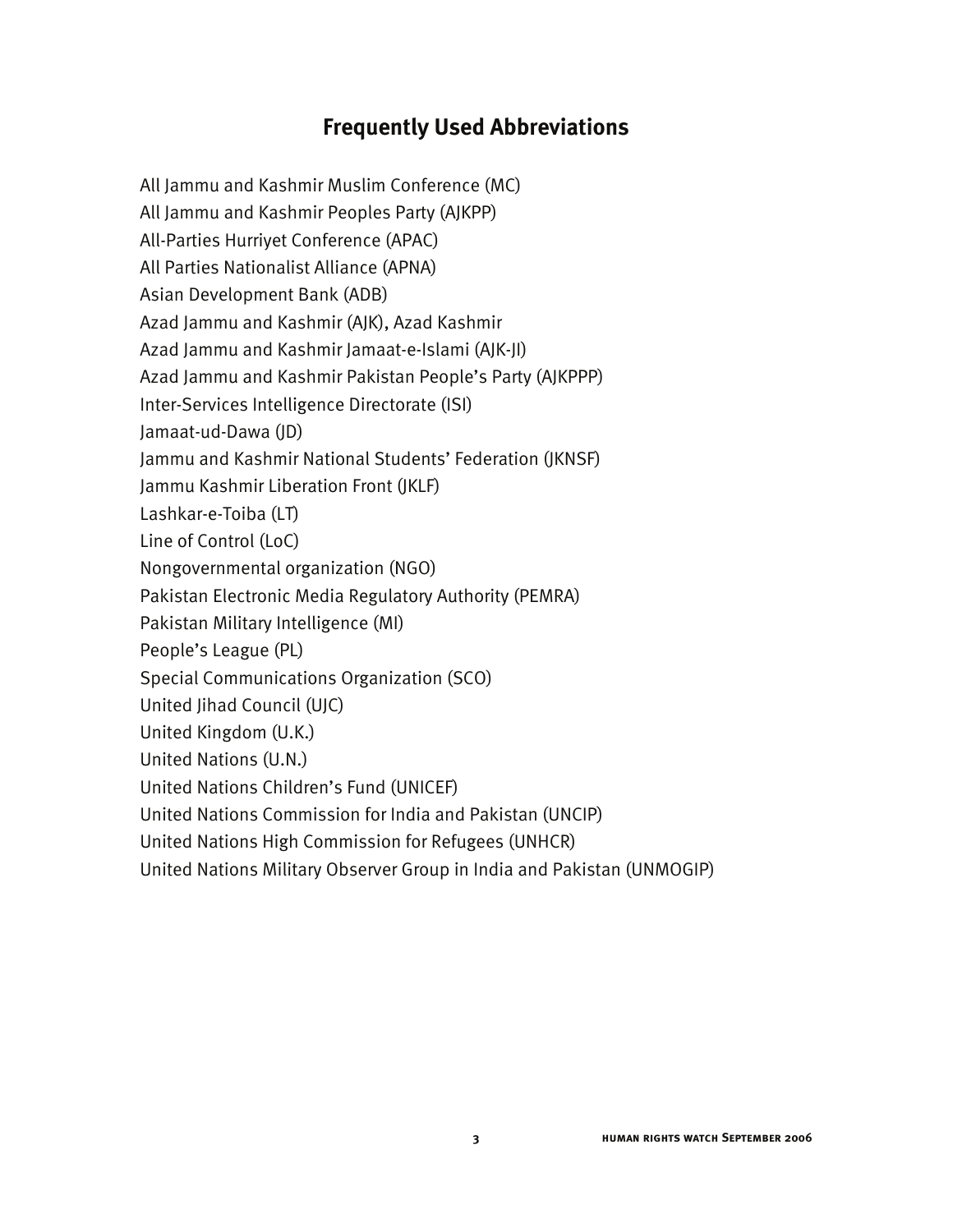# **Frequently Used Abbreviations**

All Jammu and Kashmir Muslim Conference (MC) All Jammu and Kashmir Peoples Party (AJKPP) All-Parties Hurriyet Conference (APAC) All Parties Nationalist Alliance (APNA) Asian Development Bank (ADB) Azad Jammu and Kashmir (AJK), Azad Kashmir Azad Jammu and Kashmir Jamaat-e-Islami (AJK-JI) Azad Jammu and Kashmir Pakistan People's Party (AJKPPP) Inter-Services Intelligence Directorate (ISI) Jamaat-ud-Dawa (JD) Jammu and Kashmir National Students' Federation (JKNSF) Jammu Kashmir Liberation Front (JKLF) Lashkar-e-Toiba (LT) Line of Control (LoC) Nongovernmental organization (NGO) Pakistan Electronic Media Regulatory Authority (PEMRA) Pakistan Military Intelligence (MI) People's League (PL) Special Communications Organization (SCO) United Jihad Council (UJC) United Kingdom (U.K.) United Nations (U.N.) United Nations Children's Fund (UNICEF) United Nations Commission for India and Pakistan (UNCIP) United Nations High Commission for Refugees (UNHCR) United Nations Military Observer Group in India and Pakistan (UNMOGIP)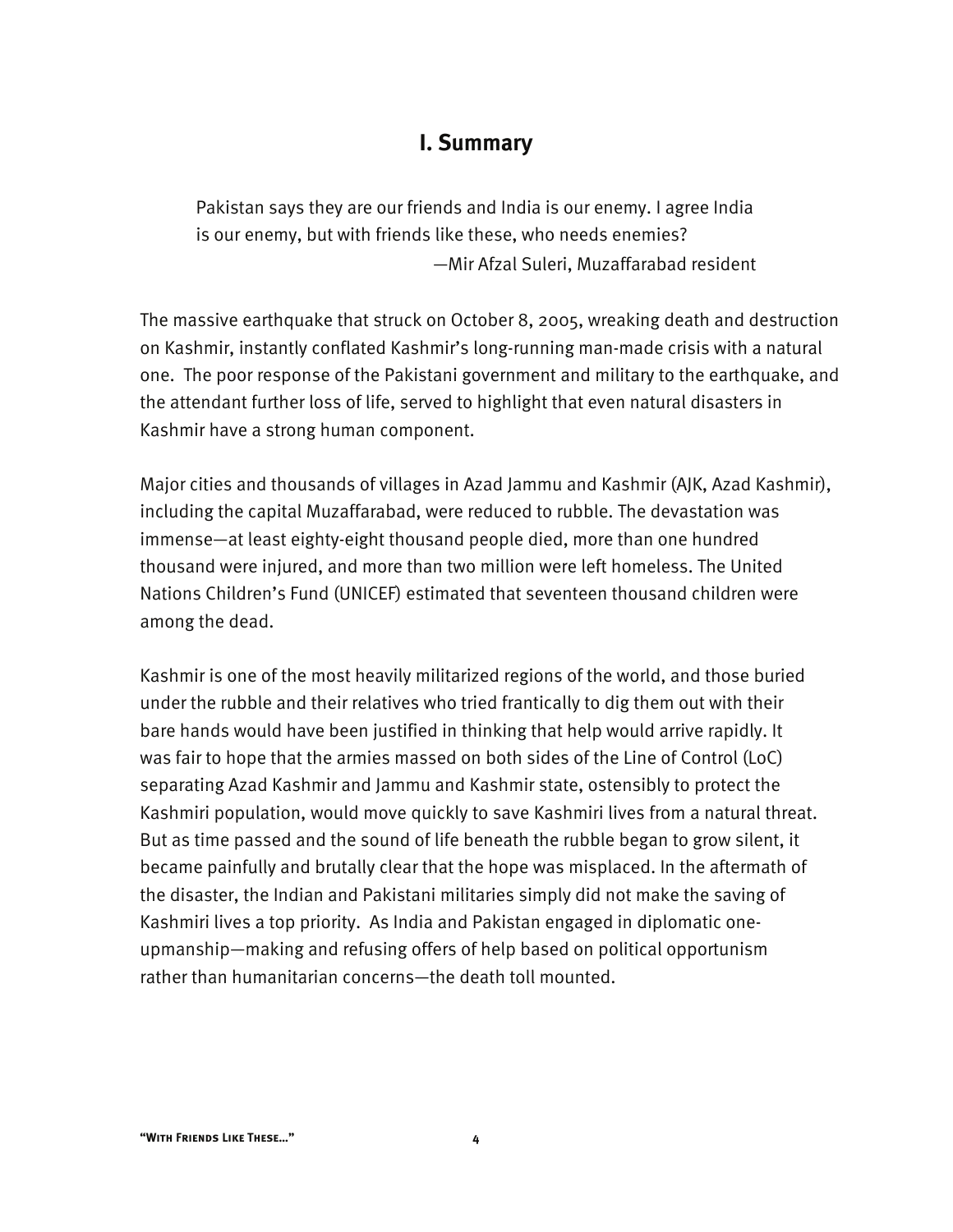## **I. Summary**

Pakistan says they are our friends and India is our enemy. I agree India is our enemy, but with friends like these, who needs enemies? —Mir Afzal Suleri, Muzaffarabad resident

The massive earthquake that struck on October 8, 2005, wreaking death and destruction on Kashmir, instantly conflated Kashmir's long-running man-made crisis with a natural one. The poor response of the Pakistani government and military to the earthquake, and the attendant further loss of life, served to highlight that even natural disasters in Kashmir have a strong human component.

Major cities and thousands of villages in Azad Jammu and Kashmir (AJK, Azad Kashmir), including the capital Muzaffarabad, were reduced to rubble. The devastation was immense—at least eighty-eight thousand people died, more than one hundred thousand were injured, and more than two million were left homeless. The United Nations Children's Fund (UNICEF) estimated that seventeen thousand children were among the dead.

Kashmir is one of the most heavily militarized regions of the world, and those buried under the rubble and their relatives who tried frantically to dig them out with their bare hands would have been justified in thinking that help would arrive rapidly. It was fair to hope that the armies massed on both sides of the Line of Control (LoC) separating Azad Kashmir and Jammu and Kashmir state, ostensibly to protect the Kashmiri population, would move quickly to save Kashmiri lives from a natural threat. But as time passed and the sound of life beneath the rubble began to grow silent, it became painfully and brutally clear that the hope was misplaced. In the aftermath of the disaster, the Indian and Pakistani militaries simply did not make the saving of Kashmiri lives a top priority. As India and Pakistan engaged in diplomatic oneupmanship—making and refusing offers of help based on political opportunism rather than humanitarian concerns—the death toll mounted.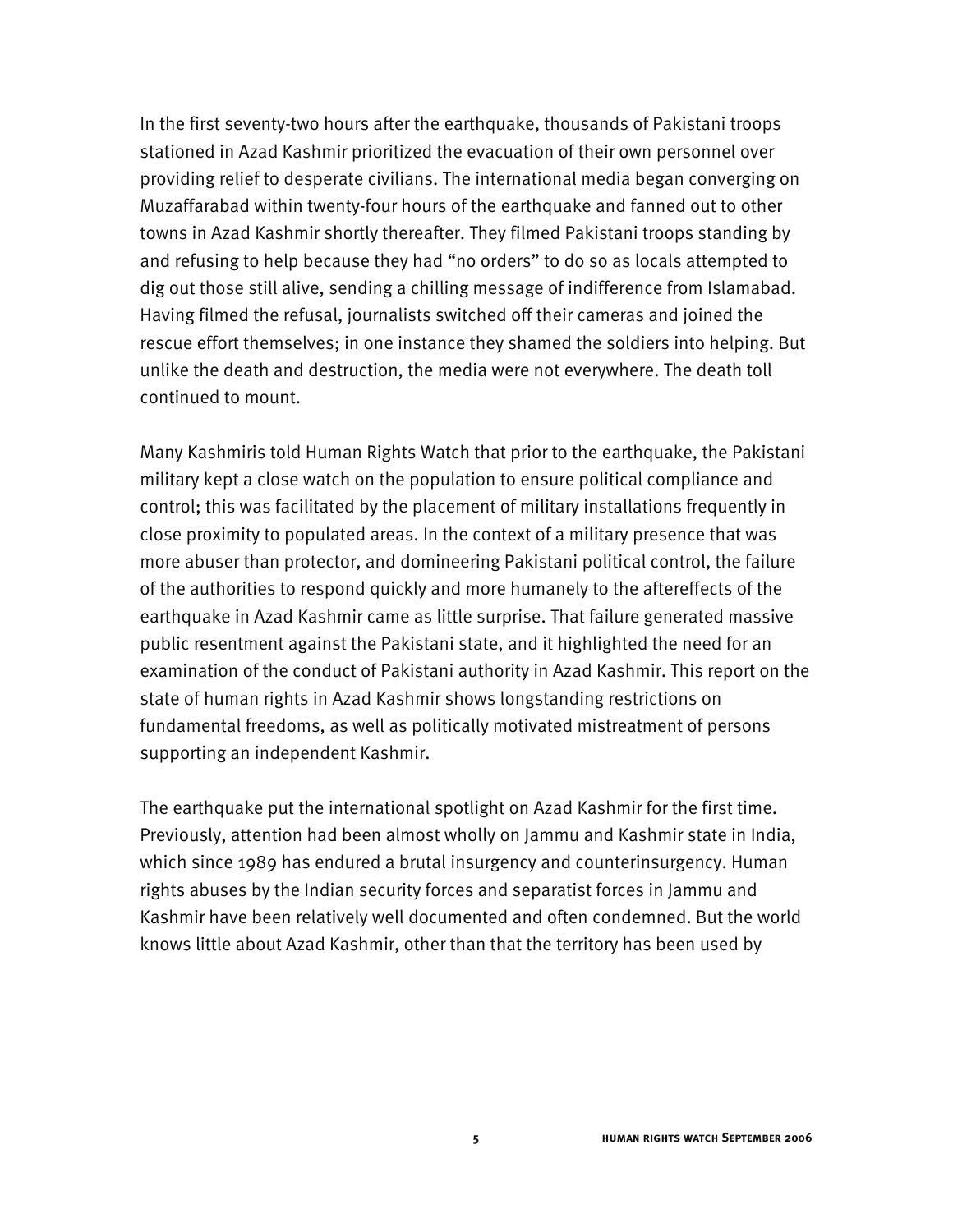In the first seventy-two hours after the earthquake, thousands of Pakistani troops stationed in Azad Kashmir prioritized the evacuation of their own personnel over providing relief to desperate civilians. The international media began converging on Muzaffarabad within twenty-four hours of the earthquake and fanned out to other towns in Azad Kashmir shortly thereafter. They filmed Pakistani troops standing by and refusing to help because they had "no orders" to do so as locals attempted to dig out those still alive, sending a chilling message of indifference from Islamabad. Having filmed the refusal, journalists switched off their cameras and joined the rescue effort themselves; in one instance they shamed the soldiers into helping. But unlike the death and destruction, the media were not everywhere. The death toll continued to mount.

Many Kashmiris told Human Rights Watch that prior to the earthquake, the Pakistani military kept a close watch on the population to ensure political compliance and control; this was facilitated by the placement of military installations frequently in close proximity to populated areas. In the context of a military presence that was more abuser than protector, and domineering Pakistani political control, the failure of the authorities to respond quickly and more humanely to the aftereffects of the earthquake in Azad Kashmir came as little surprise. That failure generated massive public resentment against the Pakistani state, and it highlighted the need for an examination of the conduct of Pakistani authority in Azad Kashmir. This report on the state of human rights in Azad Kashmir shows longstanding restrictions on fundamental freedoms, as well as politically motivated mistreatment of persons supporting an independent Kashmir.

The earthquake put the international spotlight on Azad Kashmir for the first time. Previously, attention had been almost wholly on Jammu and Kashmir state in India, which since 1989 has endured a brutal insurgency and counterinsurgency. Human rights abuses by the Indian security forces and separatist forces in Jammu and Kashmir have been relatively well documented and often condemned. But the world knows little about Azad Kashmir, other than that the territory has been used by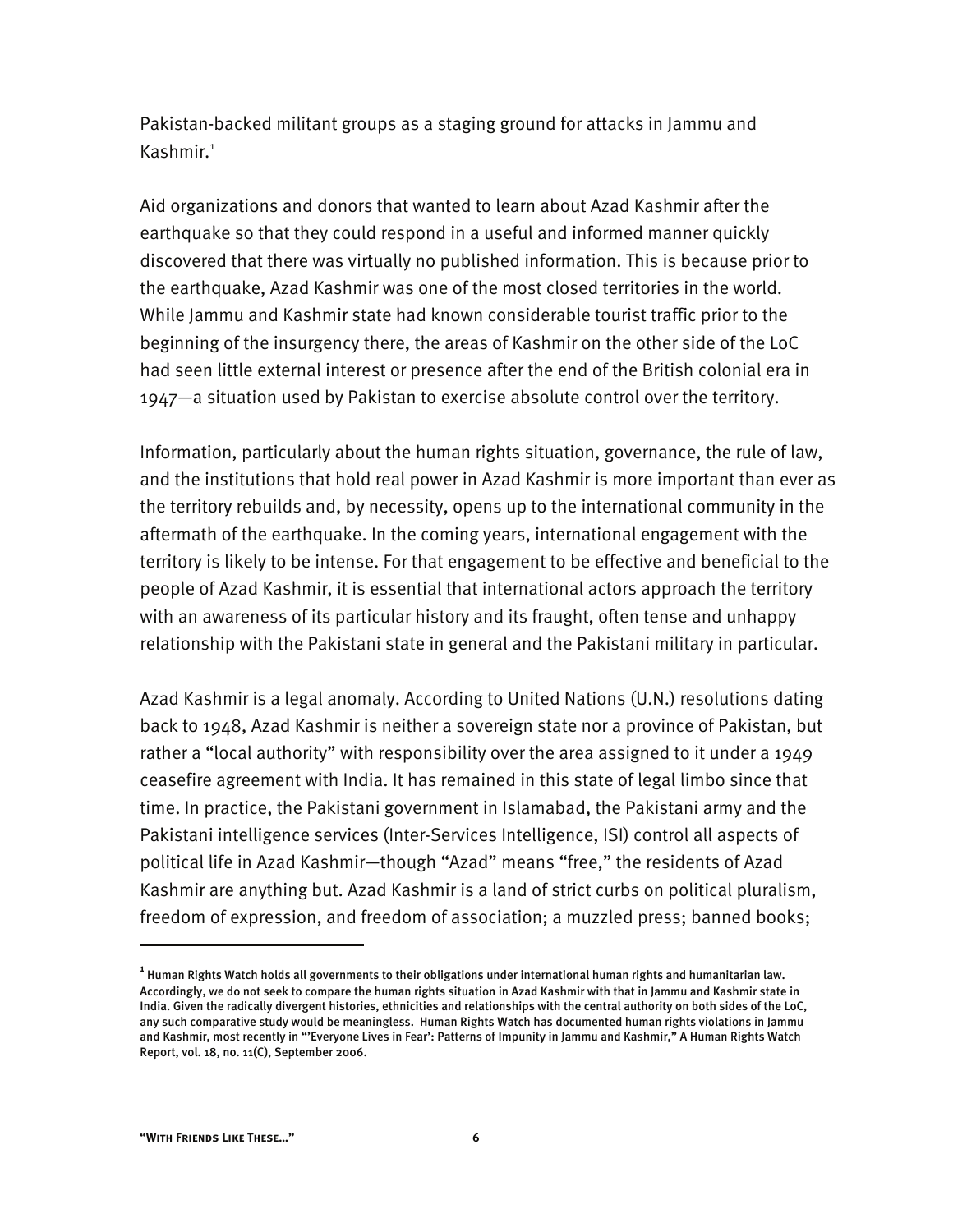Pakistan-backed militant groups as a staging ground for attacks in Jammu and Kashmir.<sup>1</sup>

Aid organizations and donors that wanted to learn about Azad Kashmir after the earthquake so that they could respond in a useful and informed manner quickly discovered that there was virtually no published information. This is because prior to the earthquake, Azad Kashmir was one of the most closed territories in the world. While Jammu and Kashmir state had known considerable tourist traffic prior to the beginning of the insurgency there, the areas of Kashmir on the other side of the LoC had seen little external interest or presence after the end of the British colonial era in 1947—a situation used by Pakistan to exercise absolute control over the territory.

Information, particularly about the human rights situation, governance, the rule of law, and the institutions that hold real power in Azad Kashmir is more important than ever as the territory rebuilds and, by necessity, opens up to the international community in the aftermath of the earthquake. In the coming years, international engagement with the territory is likely to be intense. For that engagement to be effective and beneficial to the people of Azad Kashmir, it is essential that international actors approach the territory with an awareness of its particular history and its fraught, often tense and unhappy relationship with the Pakistani state in general and the Pakistani military in particular.

Azad Kashmir is a legal anomaly. According to United Nations (U.N.) resolutions dating back to 1948, Azad Kashmir is neither a sovereign state nor a province of Pakistan, but rather a "local authority" with responsibility over the area assigned to it under a 1949 ceasefire agreement with India. It has remained in this state of legal limbo since that time. In practice, the Pakistani government in Islamabad, the Pakistani army and the Pakistani intelligence services (Inter-Services Intelligence, ISI) control all aspects of political life in Azad Kashmir—though "Azad" means "free," the residents of Azad Kashmir are anything but. Azad Kashmir is a land of strict curbs on political pluralism, freedom of expression, and freedom of association; a muzzled press; banned books;

**<sup>1</sup>** Human Rights Watch holds all governments to their obligations under international human rights and humanitarian law. Accordingly, we do not seek to compare the human rights situation in Azad Kashmir with that in Jammu and Kashmir state in India. Given the radically divergent histories, ethnicities and relationships with the central authority on both sides of the LoC, any such comparative study would be meaningless. Human Rights Watch has documented human rights violations in Jammu and Kashmir, most recently in "'Everyone Lives in Fear': Patterns of Impunity in Jammu and Kashmir," A Human Rights Watch Report, vol. 18, no. 11(C), September 2006.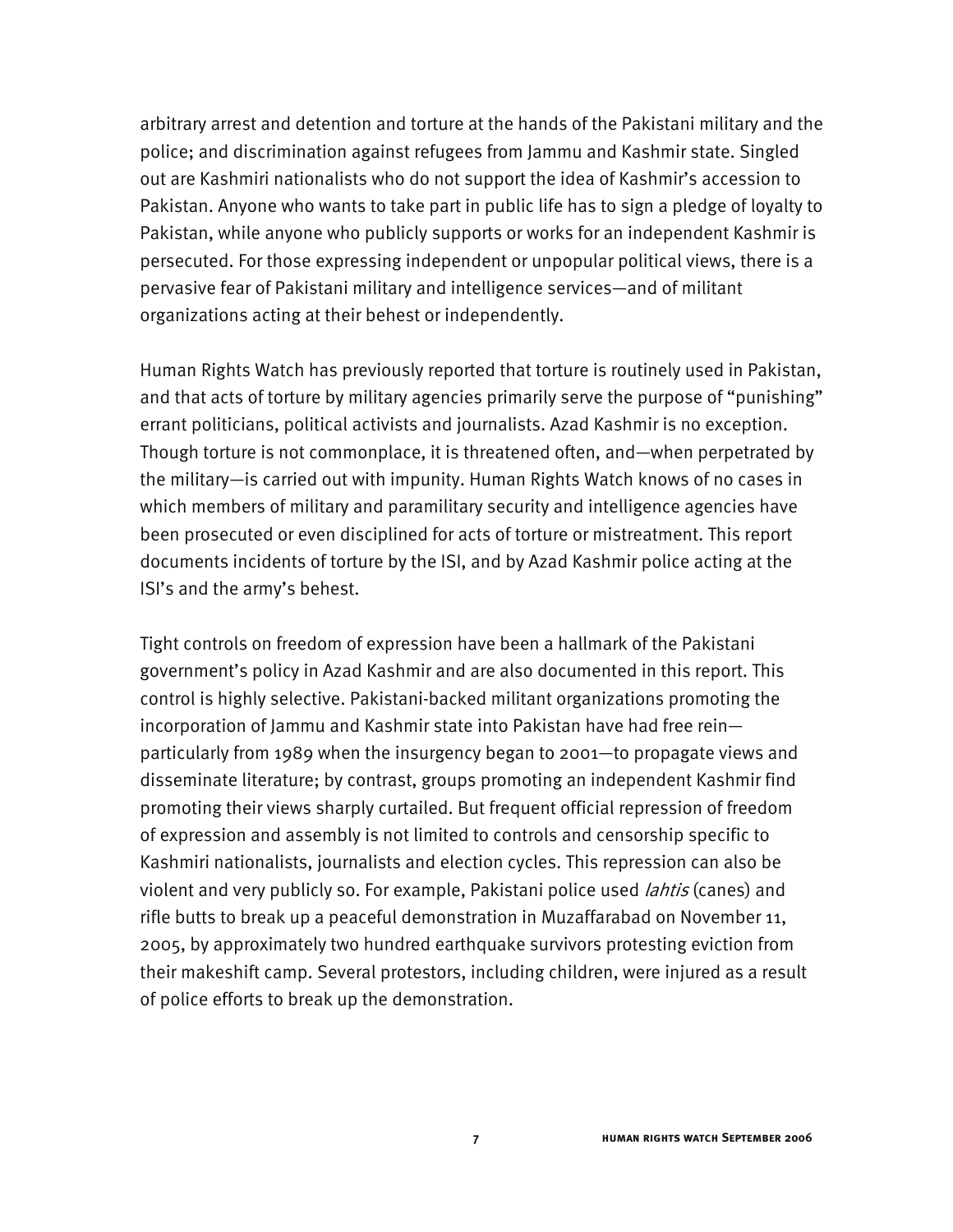arbitrary arrest and detention and torture at the hands of the Pakistani military and the police; and discrimination against refugees from Jammu and Kashmir state. Singled out are Kashmiri nationalists who do not support the idea of Kashmir's accession to Pakistan. Anyone who wants to take part in public life has to sign a pledge of loyalty to Pakistan, while anyone who publicly supports or works for an independent Kashmir is persecuted. For those expressing independent or unpopular political views, there is a pervasive fear of Pakistani military and intelligence services—and of militant organizations acting at their behest or independently.

Human Rights Watch has previously reported that torture is routinely used in Pakistan, and that acts of torture by military agencies primarily serve the purpose of "punishing" errant politicians, political activists and journalists. Azad Kashmir is no exception. Though torture is not commonplace, it is threatened often, and—when perpetrated by the military—is carried out with impunity. Human Rights Watch knows of no cases in which members of military and paramilitary security and intelligence agencies have been prosecuted or even disciplined for acts of torture or mistreatment. This report documents incidents of torture by the ISI, and by Azad Kashmir police acting at the ISI's and the army's behest.

Tight controls on freedom of expression have been a hallmark of the Pakistani government's policy in Azad Kashmir and are also documented in this report. This control is highly selective. Pakistani-backed militant organizations promoting the incorporation of Jammu and Kashmir state into Pakistan have had free rein particularly from 1989 when the insurgency began to 2001—to propagate views and disseminate literature; by contrast, groups promoting an independent Kashmir find promoting their views sharply curtailed. But frequent official repression of freedom of expression and assembly is not limited to controls and censorship specific to Kashmiri nationalists, journalists and election cycles. This repression can also be violent and very publicly so. For example, Pakistani police used *lahtis* (canes) and rifle butts to break up a peaceful demonstration in Muzaffarabad on November 11, 2005, by approximately two hundred earthquake survivors protesting eviction from their makeshift camp. Several protestors, including children, were injured as a result of police efforts to break up the demonstration.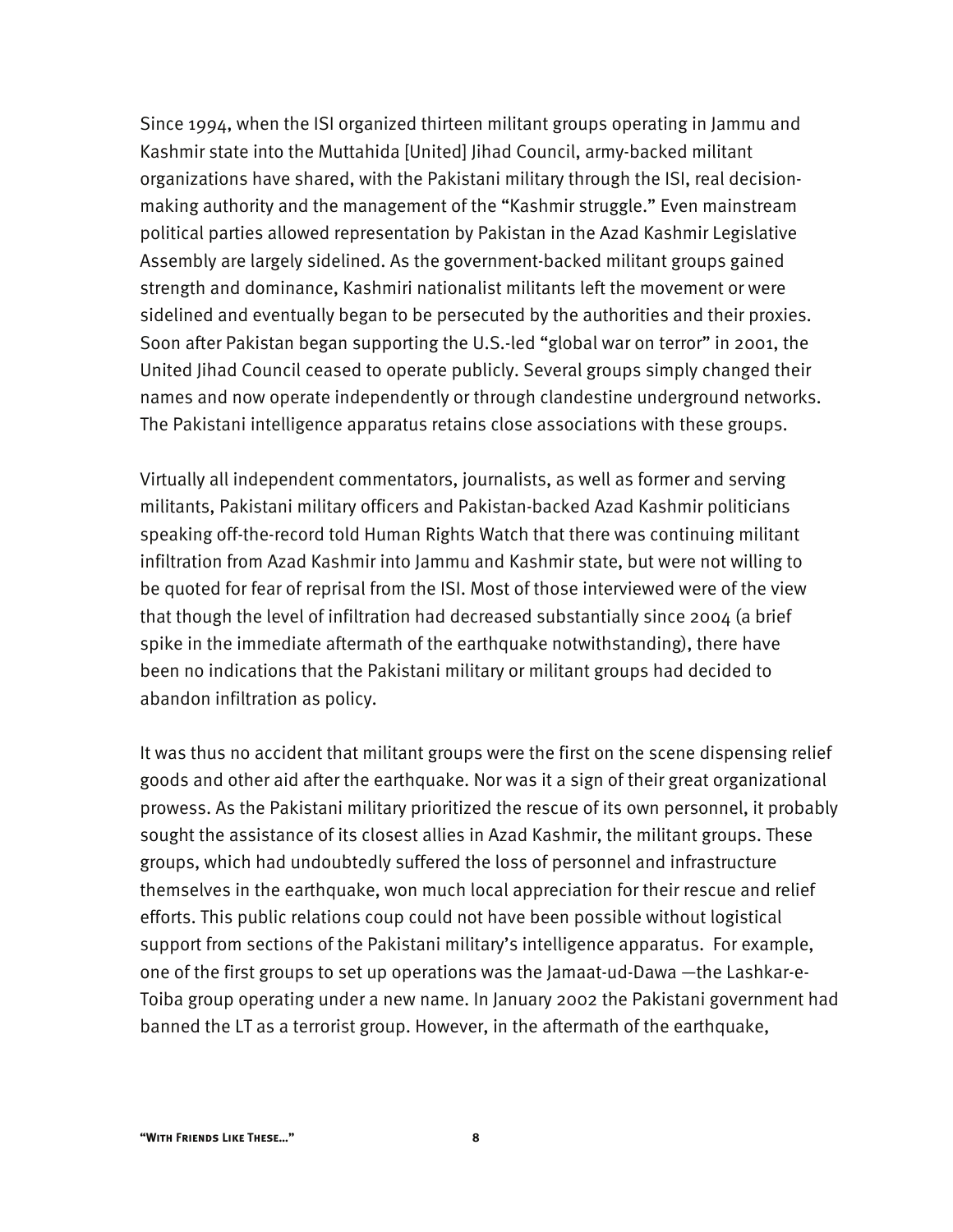Since 1994, when the ISI organized thirteen militant groups operating in Jammu and Kashmir state into the Muttahida [United] Jihad Council, army-backed militant organizations have shared, with the Pakistani military through the ISI, real decisionmaking authority and the management of the "Kashmir struggle." Even mainstream political parties allowed representation by Pakistan in the Azad Kashmir Legislative Assembly are largely sidelined. As the government-backed militant groups gained strength and dominance, Kashmiri nationalist militants left the movement or were sidelined and eventually began to be persecuted by the authorities and their proxies. Soon after Pakistan began supporting the U.S.-led "global war on terror" in 2001, the United Jihad Council ceased to operate publicly. Several groups simply changed their names and now operate independently or through clandestine underground networks. The Pakistani intelligence apparatus retains close associations with these groups.

Virtually all independent commentators, journalists, as well as former and serving militants, Pakistani military officers and Pakistan-backed Azad Kashmir politicians speaking off-the-record told Human Rights Watch that there was continuing militant infiltration from Azad Kashmir into Jammu and Kashmir state, but were not willing to be quoted for fear of reprisal from the ISI. Most of those interviewed were of the view that though the level of infiltration had decreased substantially since 2004 (a brief spike in the immediate aftermath of the earthquake notwithstanding), there have been no indications that the Pakistani military or militant groups had decided to abandon infiltration as policy.

It was thus no accident that militant groups were the first on the scene dispensing relief goods and other aid after the earthquake. Nor was it a sign of their great organizational prowess. As the Pakistani military prioritized the rescue of its own personnel, it probably sought the assistance of its closest allies in Azad Kashmir, the militant groups. These groups, which had undoubtedly suffered the loss of personnel and infrastructure themselves in the earthquake, won much local appreciation for their rescue and relief efforts. This public relations coup could not have been possible without logistical support from sections of the Pakistani military's intelligence apparatus. For example, one of the first groups to set up operations was the Jamaat-ud-Dawa —the Lashkar-e-Toiba group operating under a new name. In January 2002 the Pakistani government had banned the LT as a terrorist group. However, in the aftermath of the earthquake,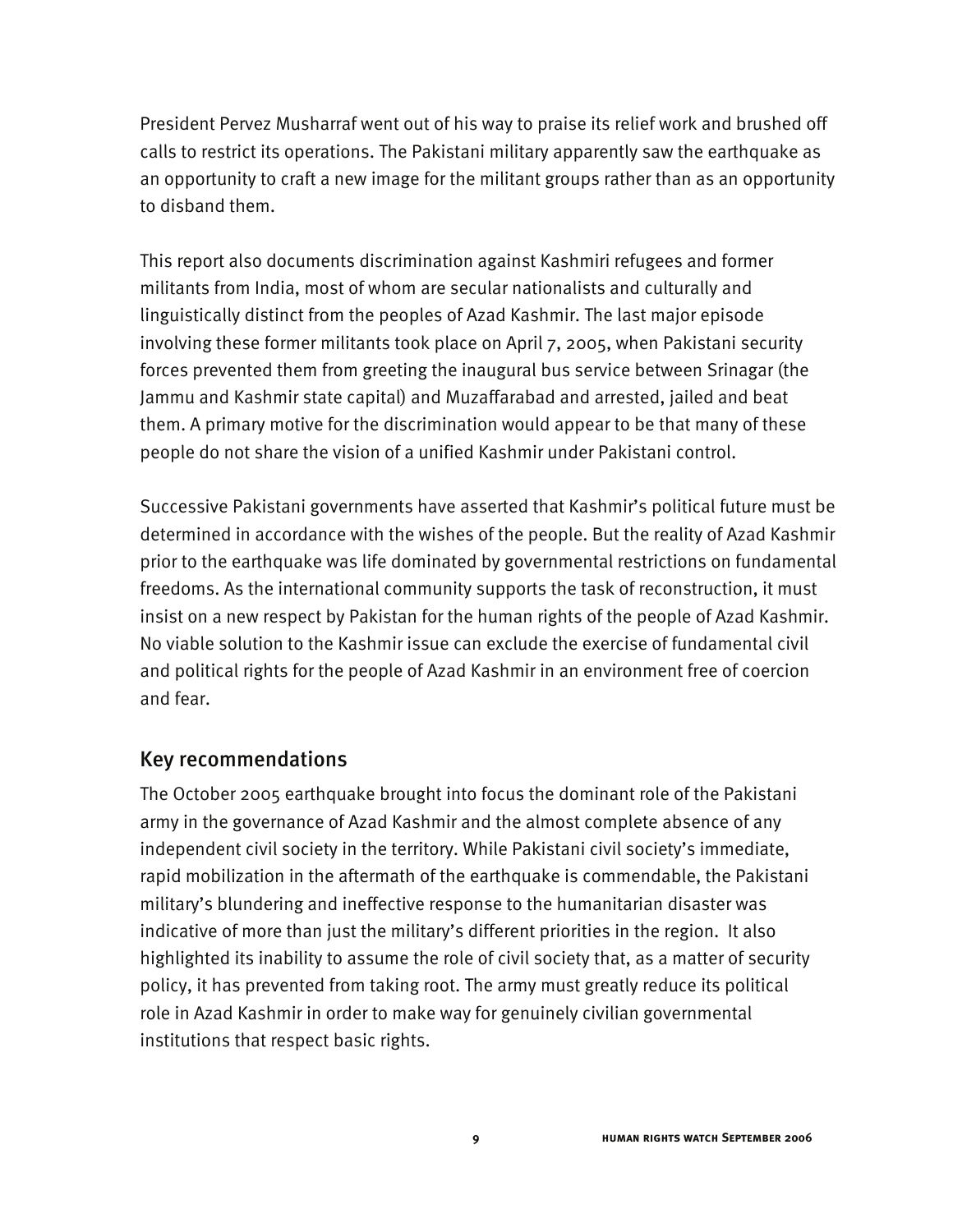President Pervez Musharraf went out of his way to praise its relief work and brushed off calls to restrict its operations. The Pakistani military apparently saw the earthquake as an opportunity to craft a new image for the militant groups rather than as an opportunity to disband them.

This report also documents discrimination against Kashmiri refugees and former militants from India, most of whom are secular nationalists and culturally and linguistically distinct from the peoples of Azad Kashmir. The last major episode involving these former militants took place on April 7, 2005, when Pakistani security forces prevented them from greeting the inaugural bus service between Srinagar (the Jammu and Kashmir state capital) and Muzaffarabad and arrested, jailed and beat them. A primary motive for the discrimination would appear to be that many of these people do not share the vision of a unified Kashmir under Pakistani control.

Successive Pakistani governments have asserted that Kashmir's political future must be determined in accordance with the wishes of the people. But the reality of Azad Kashmir prior to the earthquake was life dominated by governmental restrictions on fundamental freedoms. As the international community supports the task of reconstruction, it must insist on a new respect by Pakistan for the human rights of the people of Azad Kashmir. No viable solution to the Kashmir issue can exclude the exercise of fundamental civil and political rights for the people of Azad Kashmir in an environment free of coercion and fear.

#### Key recommendations

The October 2005 earthquake brought into focus the dominant role of the Pakistani army in the governance of Azad Kashmir and the almost complete absence of any independent civil society in the territory. While Pakistani civil society's immediate, rapid mobilization in the aftermath of the earthquake is commendable, the Pakistani military's blundering and ineffective response to the humanitarian disaster was indicative of more than just the military's different priorities in the region. It also highlighted its inability to assume the role of civil society that, as a matter of security policy, it has prevented from taking root. The army must greatly reduce its political role in Azad Kashmir in order to make way for genuinely civilian governmental institutions that respect basic rights.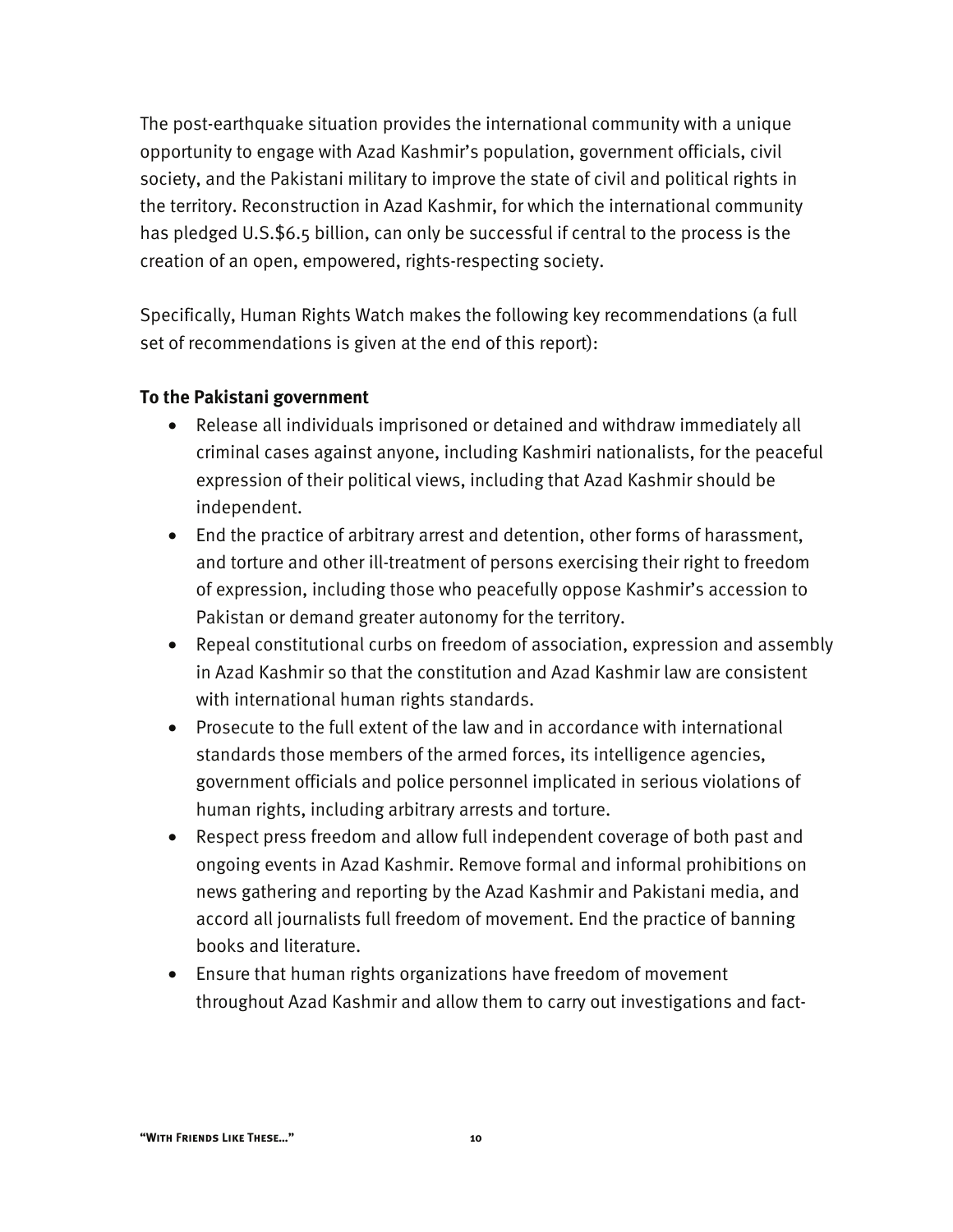The post-earthquake situation provides the international community with a unique opportunity to engage with Azad Kashmir's population, government officials, civil society, and the Pakistani military to improve the state of civil and political rights in the territory. Reconstruction in Azad Kashmir, for which the international community has pledged U.S.\$6.5 billion, can only be successful if central to the process is the creation of an open, empowered, rights-respecting society.

Specifically, Human Rights Watch makes the following key recommendations (a full set of recommendations is given at the end of this report):

#### **To the Pakistani government**

- Release all individuals imprisoned or detained and withdraw immediately all criminal cases against anyone, including Kashmiri nationalists, for the peaceful expression of their political views, including that Azad Kashmir should be independent.
- End the practice of arbitrary arrest and detention, other forms of harassment, and torture and other ill-treatment of persons exercising their right to freedom of expression, including those who peacefully oppose Kashmir's accession to Pakistan or demand greater autonomy for the territory.
- Repeal constitutional curbs on freedom of association, expression and assembly in Azad Kashmir so that the constitution and Azad Kashmir law are consistent with international human rights standards.
- Prosecute to the full extent of the law and in accordance with international standards those members of the armed forces, its intelligence agencies, government officials and police personnel implicated in serious violations of human rights, including arbitrary arrests and torture.
- Respect press freedom and allow full independent coverage of both past and ongoing events in Azad Kashmir. Remove formal and informal prohibitions on news gathering and reporting by the Azad Kashmir and Pakistani media, and accord all journalists full freedom of movement. End the practice of banning books and literature.
- Ensure that human rights organizations have freedom of movement throughout Azad Kashmir and allow them to carry out investigations and fact-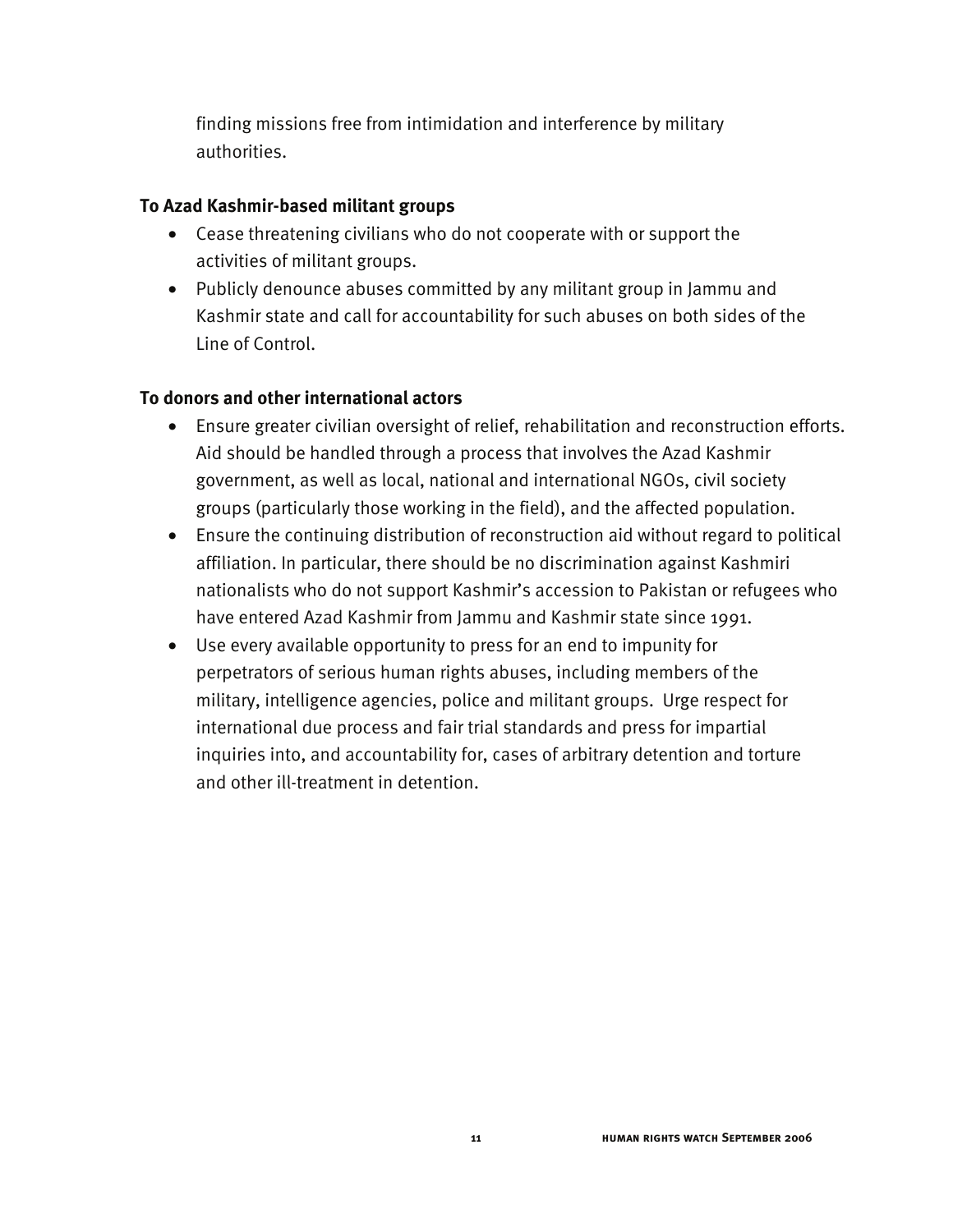finding missions free from intimidation and interference by military authorities.

#### **To Azad Kashmir-based militant groups**

- Cease threatening civilians who do not cooperate with or support the activities of militant groups.
- Publicly denounce abuses committed by any militant group in Jammu and Kashmir state and call for accountability for such abuses on both sides of the Line of Control.

#### **To donors and other international actors**

- Ensure greater civilian oversight of relief, rehabilitation and reconstruction efforts. Aid should be handled through a process that involves the Azad Kashmir government, as well as local, national and international NGOs, civil society groups (particularly those working in the field), and the affected population.
- Ensure the continuing distribution of reconstruction aid without regard to political affiliation. In particular, there should be no discrimination against Kashmiri nationalists who do not support Kashmir's accession to Pakistan or refugees who have entered Azad Kashmir from Jammu and Kashmir state since 1991.
- Use every available opportunity to press for an end to impunity for perpetrators of serious human rights abuses, including members of the military, intelligence agencies, police and militant groups. Urge respect for international due process and fair trial standards and press for impartial inquiries into, and accountability for, cases of arbitrary detention and torture and other ill-treatment in detention.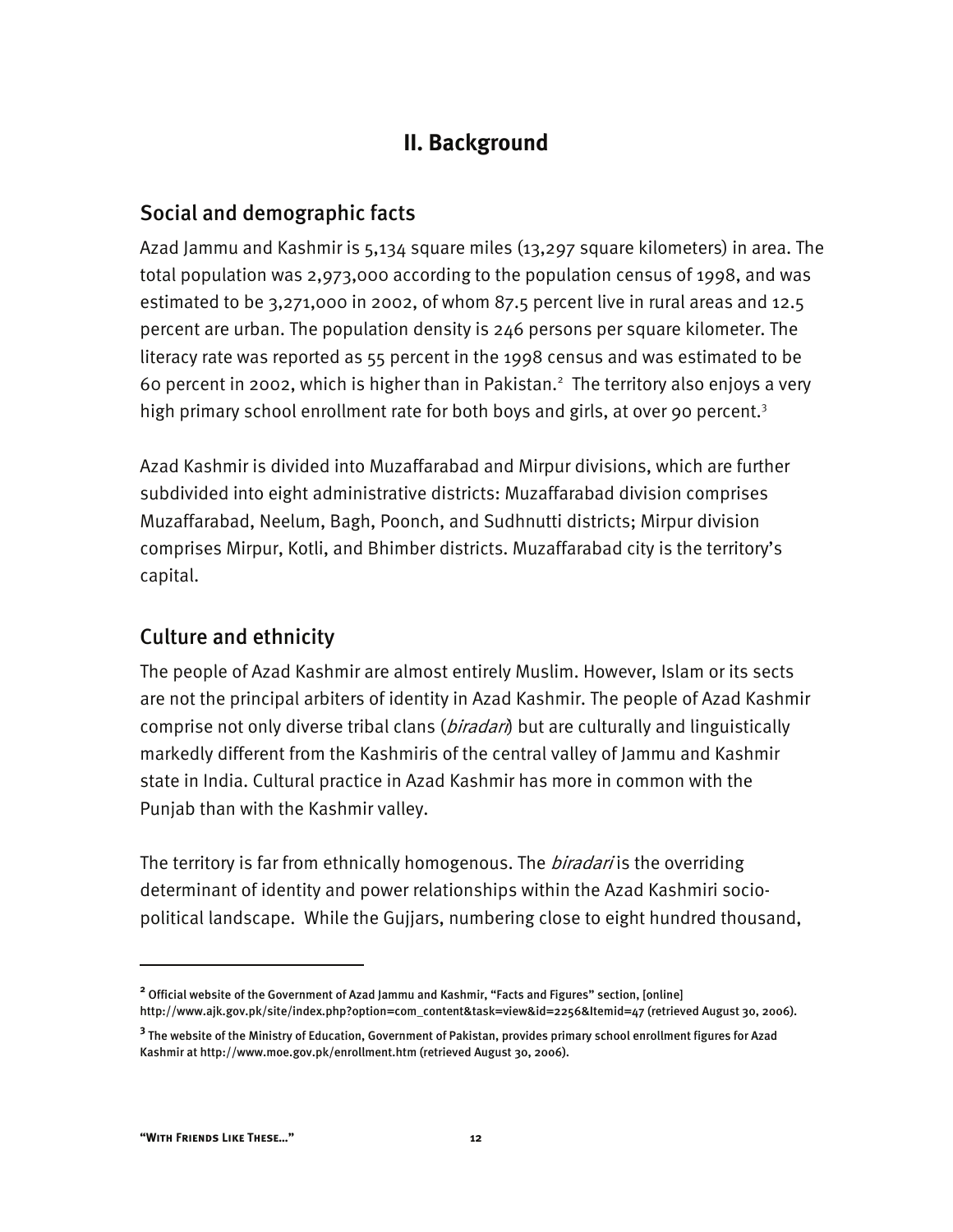# **II. Background**

### Social and demographic facts

Azad Jammu and Kashmir is 5,134 square miles (13,297 square kilometers) in area. The total population was 2,973,000 according to the population census of 1998, and was estimated to be 3,271,000 in 2002, of whom 87.5 percent live in rural areas and 12.5 percent are urban. The population density is 246 persons per square kilometer. The literacy rate was reported as 55 percent in the 1998 census and was estimated to be 60 percent in 2002, which is higher than in Pakistan. $^2$  The territory also enjoys a very high primary school enrollment rate for both boys and girls, at over 90 percent.<sup>3</sup>

Azad Kashmir is divided into Muzaffarabad and Mirpur divisions, which are further subdivided into eight administrative districts: Muzaffarabad division comprises Muzaffarabad, Neelum, Bagh, Poonch, and Sudhnutti districts; Mirpur division comprises Mirpur, Kotli, and Bhimber districts. Muzaffarabad city is the territory's capital.

### Culture and ethnicity

The people of Azad Kashmir are almost entirely Muslim. However, Islam or its sects are not the principal arbiters of identity in Azad Kashmir. The people of Azad Kashmir comprise not only diverse tribal clans (*biradari*) but are culturally and linguistically markedly different from the Kashmiris of the central valley of Jammu and Kashmir state in India. Cultural practice in Azad Kashmir has more in common with the Punjab than with the Kashmir valley.

The territory is far from ethnically homogenous. The *biradari* is the overriding determinant of identity and power relationships within the Azad Kashmiri sociopolitical landscape. While the Gujjars, numbering close to eight hundred thousand,

**<sup>2</sup>** Official website of the Government of Azad Jammu and Kashmir, "Facts and Figures" section, [online] http://www.ajk.gov.pk/site/index.php?option=com\_content&task=view&id=2256&Itemid=47 (retrieved August 30, 2006).

**<sup>3</sup>** The website of the Ministry of Education, Government of Pakistan, provides primary school enrollment figures for Azad Kashmir at http://www.moe.gov.pk/enrollment.htm (retrieved August 30, 2006).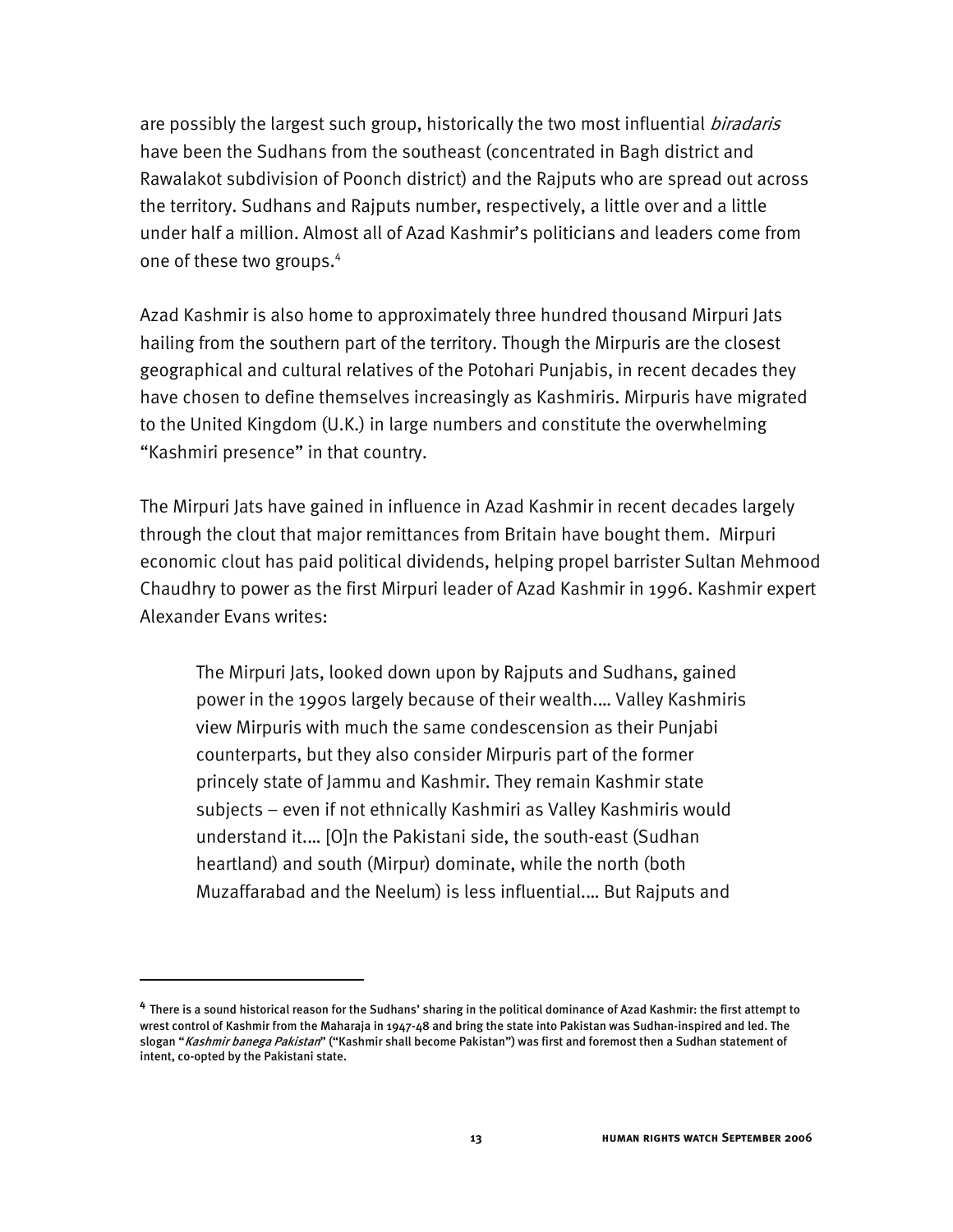are possibly the largest such group, historically the two most influential *biradaris* have been the Sudhans from the southeast (concentrated in Bagh district and Rawalakot subdivision of Poonch district) and the Rajputs who are spread out across the territory. Sudhans and Rajputs number, respectively, a little over and a little under half a million. Almost all of Azad Kashmir's politicians and leaders come from one of these two groups.<sup>4</sup>

Azad Kashmir is also home to approximately three hundred thousand Mirpuri Jats hailing from the southern part of the territory. Though the Mirpuris are the closest geographical and cultural relatives of the Potohari Punjabis, in recent decades they have chosen to define themselves increasingly as Kashmiris. Mirpuris have migrated to the United Kingdom (U.K.) in large numbers and constitute the overwhelming "Kashmiri presence" in that country.

The Mirpuri Jats have gained in influence in Azad Kashmir in recent decades largely through the clout that major remittances from Britain have bought them. Mirpuri economic clout has paid political dividends, helping propel barrister Sultan Mehmood Chaudhry to power as the first Mirpuri leader of Azad Kashmir in 1996. Kashmir expert Alexander Evans writes:

The Mirpuri Jats, looked down upon by Rajputs and Sudhans, gained power in the 1990s largely because of their wealth.… Valley Kashmiris view Mirpuris with much the same condescension as their Punjabi counterparts, but they also consider Mirpuris part of the former princely state of Jammu and Kashmir. They remain Kashmir state subjects – even if not ethnically Kashmiri as Valley Kashmiris would understand it.… [O]n the Pakistani side, the south-east (Sudhan heartland) and south (Mirpur) dominate, while the north (both Muzaffarabad and the Neelum) is less influential.… But Rajputs and

**<sup>4</sup>** There is a sound historical reason for the Sudhans' sharing in the political dominance of Azad Kashmir: the first attempt to wrest control of Kashmir from the Maharaja in 1947-48 and bring the state into Pakistan was Sudhan-inspired and led. The slogan "Kashmir banega Pakistan" ("Kashmir shall become Pakistan") was first and foremost then a Sudhan statement of intent, co-opted by the Pakistani state.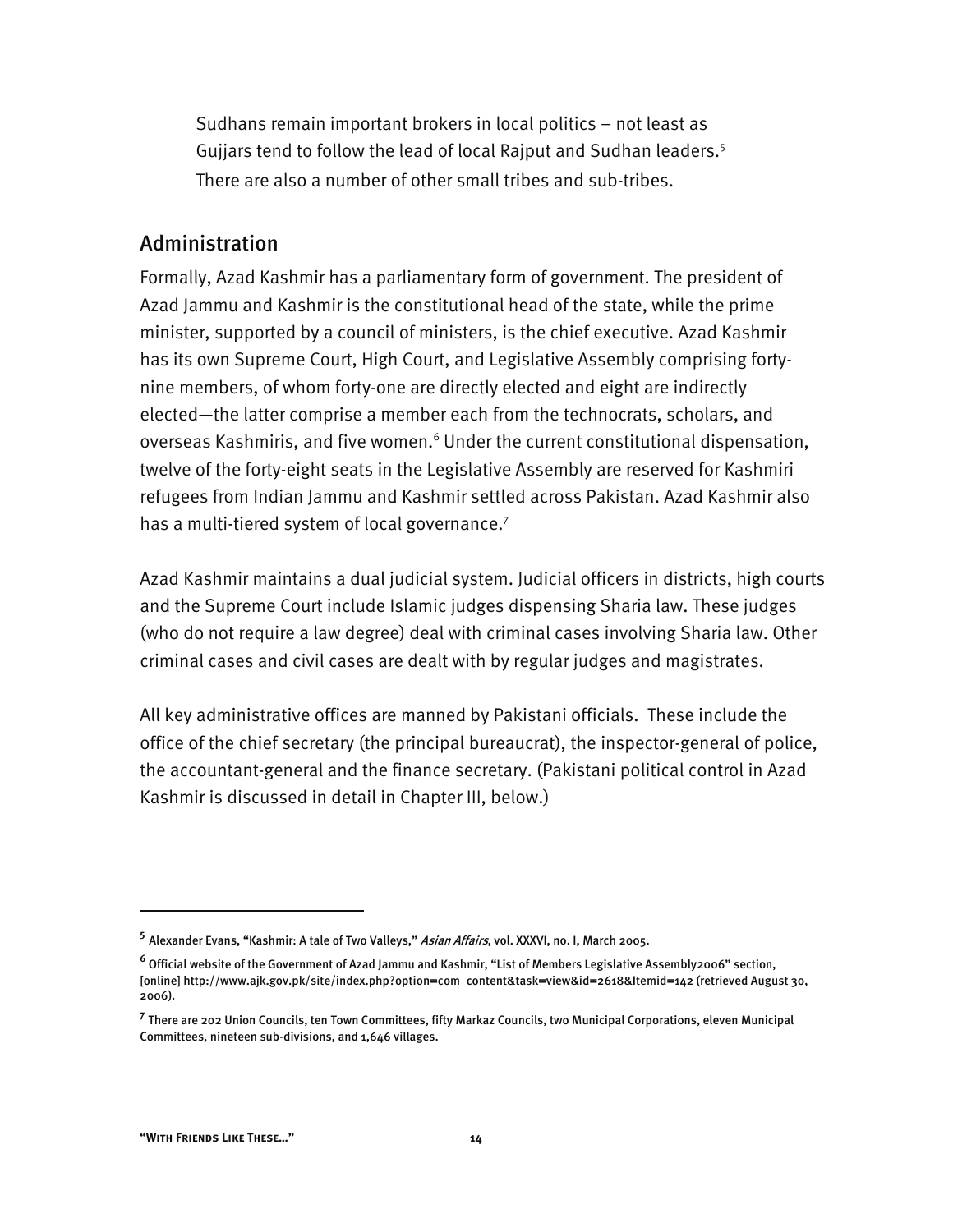Sudhans remain important brokers in local politics – not least as Gujjars tend to follow the lead of local Rajput and Sudhan leaders.<sup>5</sup> There are also a number of other small tribes and sub-tribes.

#### Administration

Formally, Azad Kashmir has a parliamentary form of government. The president of Azad Jammu and Kashmir is the constitutional head of the state, while the prime minister, supported by a council of ministers, is the chief executive. Azad Kashmir has its own Supreme Court, High Court, and Legislative Assembly comprising fortynine members, of whom forty-one are directly elected and eight are indirectly elected—the latter comprise a member each from the technocrats, scholars, and overseas Kashmiris, and five women.<sup>6</sup> Under the current constitutional dispensation, twelve of the forty-eight seats in the Legislative Assembly are reserved for Kashmiri refugees from Indian Jammu and Kashmir settled across Pakistan. Azad Kashmir also has a multi-tiered system of local governance.<sup>7</sup>

Azad Kashmir maintains a dual judicial system. Judicial officers in districts, high courts and the Supreme Court include Islamic judges dispensing Sharia law. These judges (who do not require a law degree) deal with criminal cases involving Sharia law. Other criminal cases and civil cases are dealt with by regular judges and magistrates.

All key administrative offices are manned by Pakistani officials. These include the office of the chief secretary (the principal bureaucrat), the inspector-general of police, the accountant-general and the finance secretary. (Pakistani political control in Azad Kashmir is discussed in detail in Chapter III, below.)

**<sup>5</sup>** Alexander Evans, "Kashmir: A tale of Two Valleys," Asian Affairs, vol. XXXVI, no. I, March 2005.

**<sup>6</sup>** Official website of the Government of Azad Jammu and Kashmir, "List of Members Legislative Assembly2006" section, [online] http://www.ajk.gov.pk/site/index.php?option=com\_content&task=view&id=2618&Itemid=142 (retrieved August 30, 2006).

**<sup>7</sup>** There are 202 Union Councils, ten Town Committees, fifty Markaz Councils, two Municipal Corporations, eleven Municipal Committees, nineteen sub-divisions, and 1,646 villages.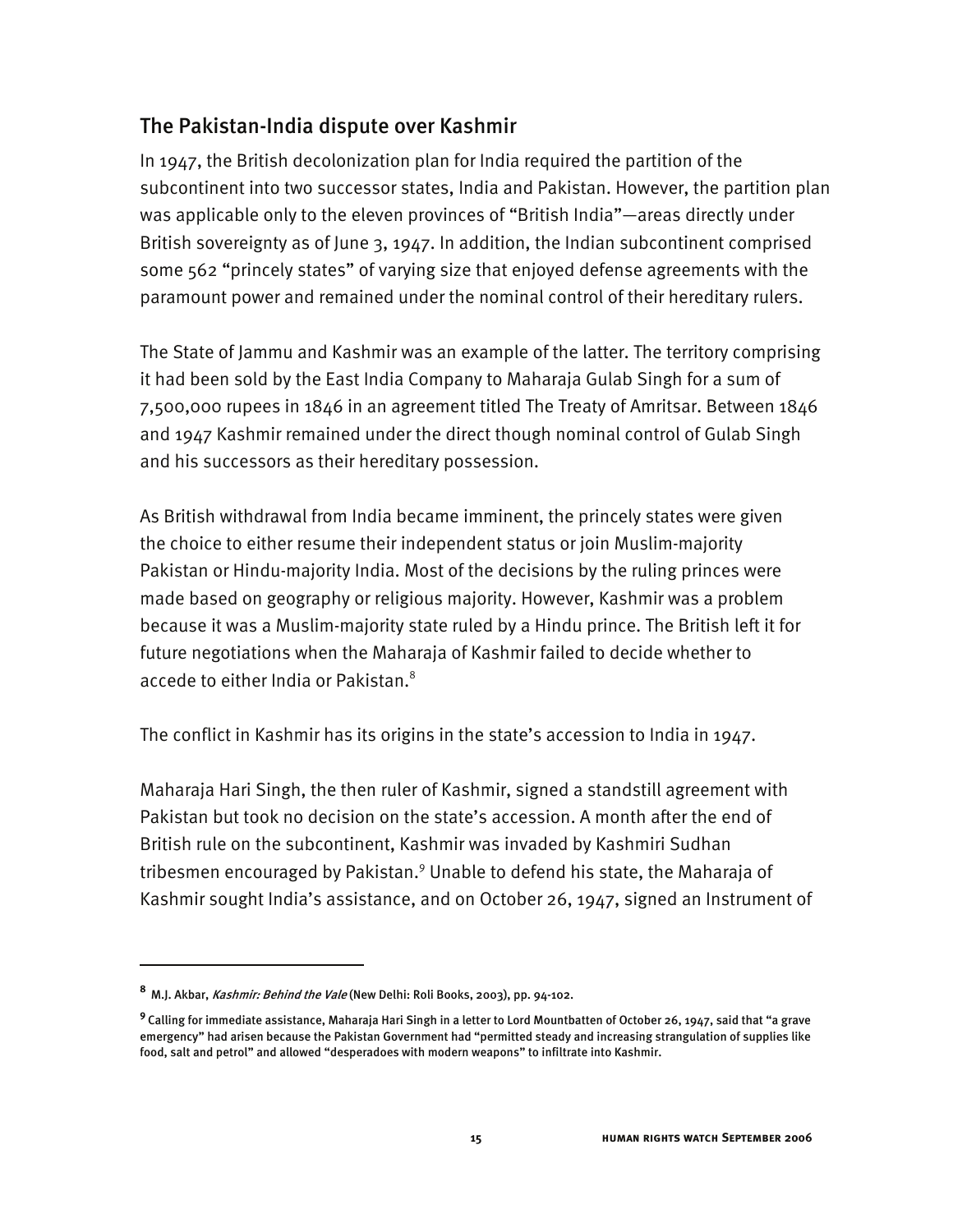### The Pakistan-India dispute over Kashmir

In 1947, the British decolonization plan for India required the partition of the subcontinent into two successor states, India and Pakistan. However, the partition plan was applicable only to the eleven provinces of "British India"—areas directly under British sovereignty as of June 3, 1947. In addition, the Indian subcontinent comprised some 562 "princely states" of varying size that enjoyed defense agreements with the paramount power and remained under the nominal control of their hereditary rulers.

The State of Jammu and Kashmir was an example of the latter. The territory comprising it had been sold by the East India Company to Maharaja Gulab Singh for a sum of 7,500,000 rupees in 1846 in an agreement titled The Treaty of Amritsar. Between 1846 and 1947 Kashmir remained under the direct though nominal control of Gulab Singh and his successors as their hereditary possession.

As British withdrawal from India became imminent, the princely states were given the choice to either resume their independent status or join Muslim-majority Pakistan or Hindu-majority India. Most of the decisions by the ruling princes were made based on geography or religious majority. However, Kashmir was a problem because it was a Muslim-majority state ruled by a Hindu prince. The British left it for future negotiations when the Maharaja of Kashmir failed to decide whether to accede to either India or Pakistan.<sup>8</sup>

The conflict in Kashmir has its origins in the state's accession to India in 1947.

Maharaja Hari Singh, the then ruler of Kashmir, signed a standstill agreement with Pakistan but took no decision on the state's accession. A month after the end of British rule on the subcontinent, Kashmir was invaded by Kashmiri Sudhan tribesmen encouraged by Pakistan.<sup>9</sup> Unable to defend his state, the Maharaja of Kashmir sought India's assistance, and on October 26, 1947, signed an Instrument of

**<sup>8</sup>**M.J. Akbar, Kashmir: Behind the Vale (New Delhi: Roli Books, 2003), pp. 94-102.

**<sup>9</sup>**Calling for immediate assistance, Maharaja Hari Singh in a letter to Lord Mountbatten of October 26, 1947, said that "a grave emergency" had arisen because the Pakistan Government had "permitted steady and increasing strangulation of supplies like food, salt and petrol" and allowed "desperadoes with modern weapons" to infiltrate into Kashmir.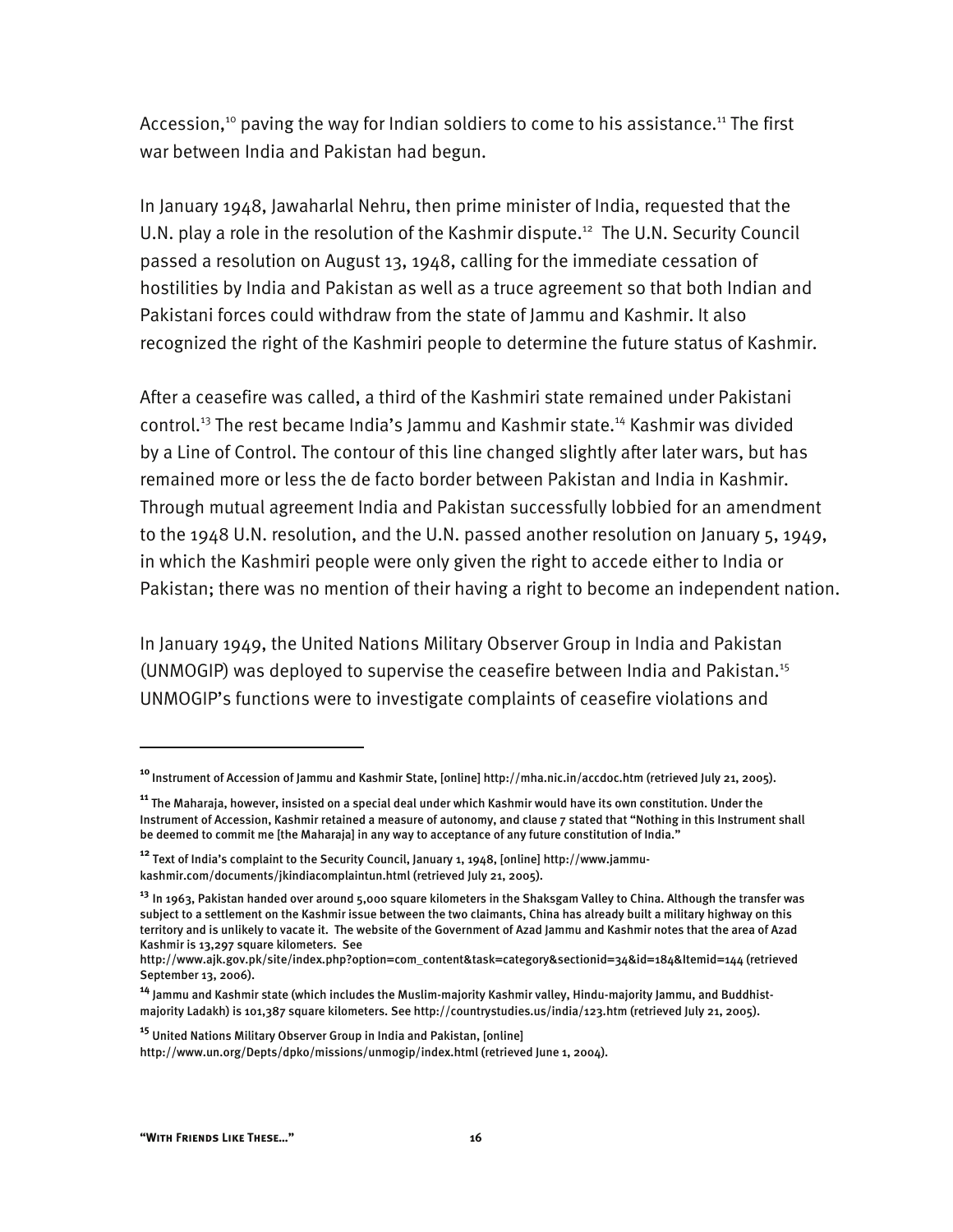Accession,<sup>10</sup> paving the way for Indian soldiers to come to his assistance.<sup>11</sup> The first war between India and Pakistan had begun.

In January 1948, Jawaharlal Nehru, then prime minister of India, requested that the U.N. play a role in the resolution of the Kashmir dispute.<sup>12</sup> The U.N. Security Council passed a resolution on August 13, 1948, calling for the immediate cessation of hostilities by India and Pakistan as well as a truce agreement so that both Indian and Pakistani forces could withdraw from the state of Jammu and Kashmir. It also recognized the right of the Kashmiri people to determine the future status of Kashmir.

After a ceasefire was called, a third of the Kashmiri state remained under Pakistani control.<sup>13</sup> The rest became India's Jammu and Kashmir state.<sup>14</sup> Kashmir was divided by a Line of Control. The contour of this line changed slightly after later wars, but has remained more or less the de facto border between Pakistan and India in Kashmir. Through mutual agreement India and Pakistan successfully lobbied for an amendment to the 1948 U.N. resolution, and the U.N. passed another resolution on January 5, 1949, in which the Kashmiri people were only given the right to accede either to India or Pakistan; there was no mention of their having a right to become an independent nation.

In January 1949, the United Nations Military Observer Group in India and Pakistan (UNMOGIP) was deployed to supervise the ceasefire between India and Pakistan.15 UNMOGIP's functions were to investigate complaints of ceasefire violations and

**<sup>10</sup>**Instrument of Accession of Jammu and Kashmir State, [online] http://mha.nic.in/accdoc.htm (retrieved July 21, 2005).

**<sup>11</sup>** The Maharaja, however, insisted on a special deal under which Kashmir would have its own constitution. Under the Instrument of Accession, Kashmir retained a measure of autonomy, and clause 7 stated that "Nothing in this Instrument shall be deemed to commit me [the Maharaja] in any way to acceptance of any future constitution of India."

**<sup>12</sup>** Text of India's complaint to the Security Council, January 1, 1948, [online] http://www.jammukashmir.com/documents/jkindiacomplaintun.html (retrieved July 21, 2005).

**<sup>13</sup>** In 1963, Pakistan handed over around 5,000 square kilometers in the Shaksgam Valley to China. Although the transfer was subject to a settlement on the Kashmir issue between the two claimants, China has already built a military highway on this territory and is unlikely to vacate it. The website of the Government of Azad Jammu and Kashmir notes that the area of Azad Kashmir is 13,297 square kilometers. See

http://www.ajk.gov.pk/site/index.php?option=com\_content&task=category&sectionid=34&id=184&Itemid=144 (retrieved September 13, 2006).

**<sup>14</sup>** Jammu and Kashmir state (which includes the Muslim-majority Kashmir valley, Hindu-majority Jammu, and Buddhistmajority Ladakh) is 101,387 square kilometers. See http://countrystudies.us/india/123.htm (retrieved July 21, 2005).

**<sup>15</sup>** United Nations Military Observer Group in India and Pakistan, [online]

http://www.un.org/Depts/dpko/missions/unmogip/index.html (retrieved June 1, 2004).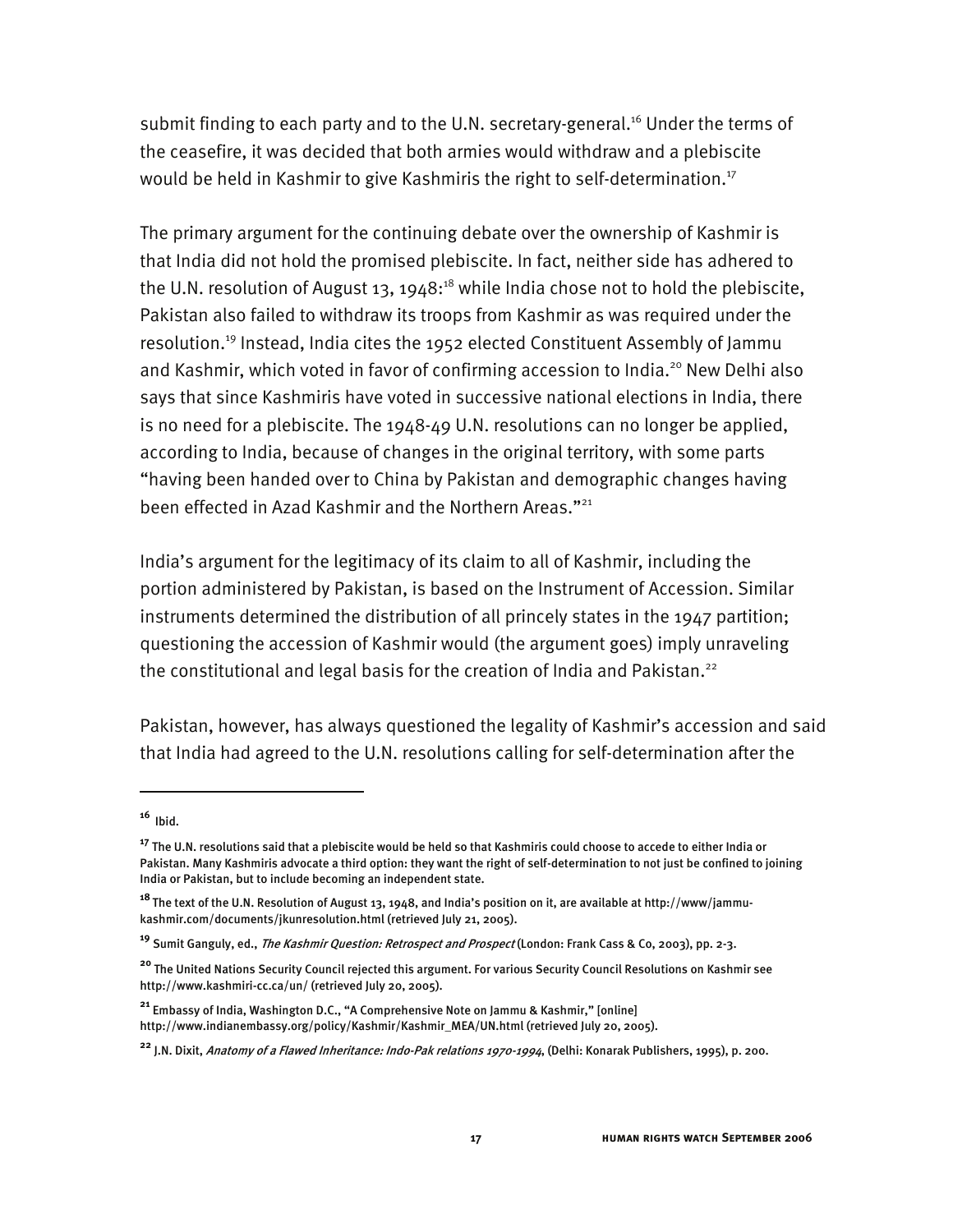submit finding to each party and to the U.N. secretary-general.<sup>16</sup> Under the terms of the ceasefire, it was decided that both armies would withdraw and a plebiscite would be held in Kashmir to give Kashmiris the right to self-determination.<sup>17</sup>

The primary argument for the continuing debate over the ownership of Kashmir is that India did not hold the promised plebiscite. In fact, neither side has adhered to the U.N. resolution of August 13, 1948: $^{18}$  while India chose not to hold the plebiscite, Pakistan also failed to withdraw its troops from Kashmir as was required under the resolution.19 Instead, India cites the 1952 elected Constituent Assembly of Jammu and Kashmir, which voted in favor of confirming accession to India.<sup>20</sup> New Delhi also says that since Kashmiris have voted in successive national elections in India, there is no need for a plebiscite. The 1948-49 U.N. resolutions can no longer be applied, according to India, because of changes in the original territory, with some parts "having been handed over to China by Pakistan and demographic changes having been effected in Azad Kashmir and the Northern Areas."<sup>21</sup>

India's argument for the legitimacy of its claim to all of Kashmir, including the portion administered by Pakistan, is based on the Instrument of Accession. Similar instruments determined the distribution of all princely states in the 1947 partition; questioning the accession of Kashmir would (the argument goes) imply unraveling the constitutional and legal basis for the creation of India and Pakistan.<sup>22</sup>

Pakistan, however, has always questioned the legality of Kashmir's accession and said that India had agreed to the U.N. resolutions calling for self-determination after the

 $16$  Ibid.

**<sup>17</sup>** The U.N. resolutions said that a plebiscite would be held so that Kashmiris could choose to accede to either India or Pakistan. Many Kashmiris advocate a third option: they want the right of self-determination to not just be confined to joining India or Pakistan, but to include becoming an independent state.

**<sup>18</sup>**The text of the U.N. Resolution of August 13, 1948, and India's position on it, are available at http://www/jammukashmir.com/documents/jkunresolution.html (retrieved July 21, 2005).

**<sup>19</sup>** Sumit Ganguly, ed., The Kashmir Question: Retrospect and Prospect (London: Frank Cass & Co, 2003), pp. 2-3.

**<sup>20</sup>** The United Nations Security Council rejected this argument. For various Security Council Resolutions on Kashmir see http://www.kashmiri-cc.ca/un/ (retrieved July 20, 2005).

**<sup>21</sup>** Embassy of India, Washington D.C., "A Comprehensive Note on Jammu & Kashmir," [online] http://www.indianembassy.org/policy/Kashmir/Kashmir\_MEA/UN.html (retrieved July 20, 2005).

**<sup>22</sup>** J.N. Dixit, Anatomy of a Flawed Inheritance: Indo-Pak relations 1970-1994, (Delhi: Konarak Publishers, 1995), p. 200.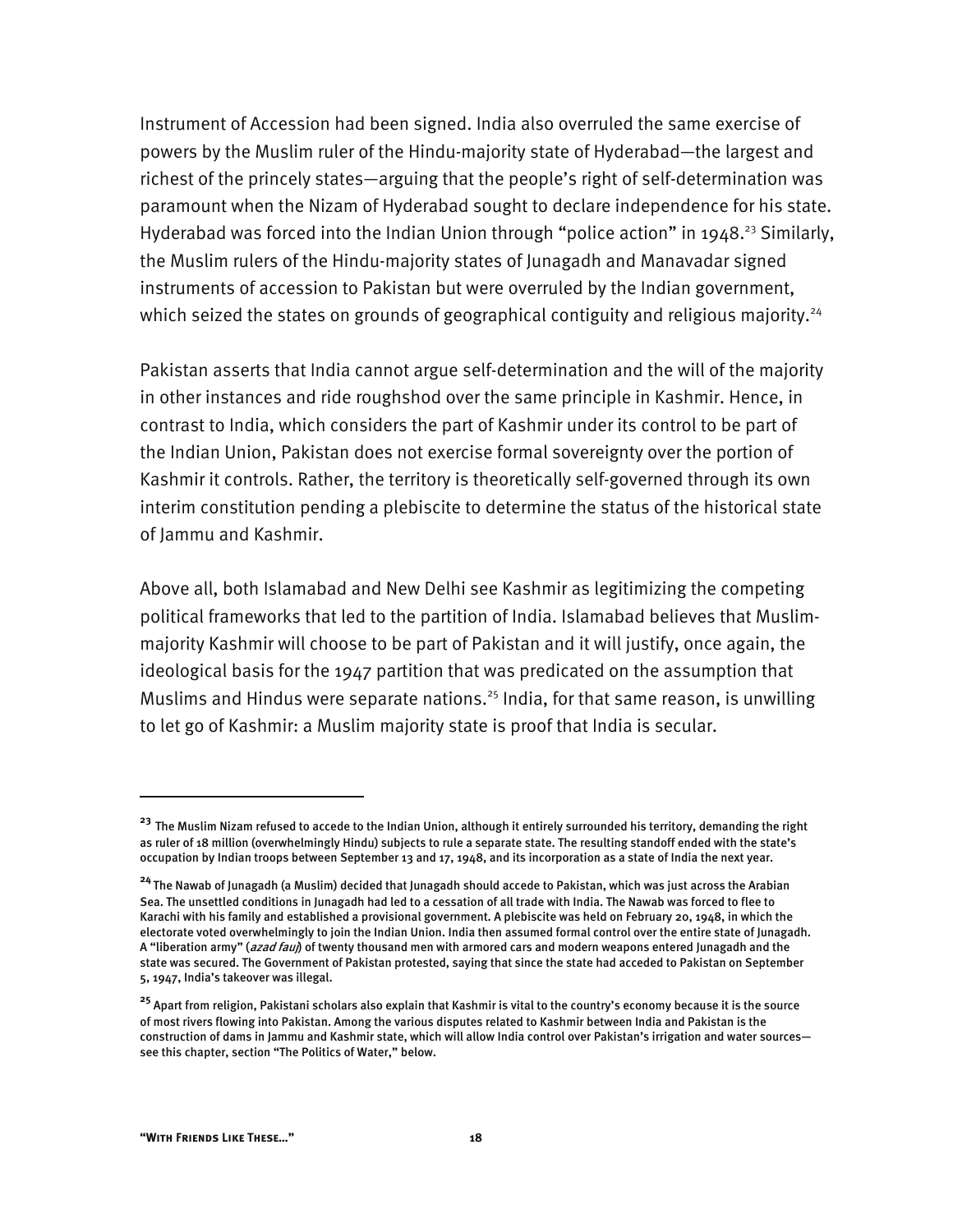Instrument of Accession had been signed. India also overruled the same exercise of powers by the Muslim ruler of the Hindu-majority state of Hyderabad—the largest and richest of the princely states—arguing that the people's right of self-determination was paramount when the Nizam of Hyderabad sought to declare independence for his state. Hyderabad was forced into the Indian Union through "police action" in 1948.<sup>23</sup> Similarly, the Muslim rulers of the Hindu-majority states of Junagadh and Manavadar signed instruments of accession to Pakistan but were overruled by the Indian government, which seized the states on grounds of geographical contiguity and religious majority.<sup>24</sup>

Pakistan asserts that India cannot argue self-determination and the will of the majority in other instances and ride roughshod over the same principle in Kashmir. Hence, in contrast to India, which considers the part of Kashmir under its control to be part of the Indian Union, Pakistan does not exercise formal sovereignty over the portion of Kashmir it controls. Rather, the territory is theoretically self-governed through its own interim constitution pending a plebiscite to determine the status of the historical state of Jammu and Kashmir.

Above all, both Islamabad and New Delhi see Kashmir as legitimizing the competing political frameworks that led to the partition of India. Islamabad believes that Muslimmajority Kashmir will choose to be part of Pakistan and it will justify, once again, the ideological basis for the 1947 partition that was predicated on the assumption that Muslims and Hindus were separate nations.<sup>25</sup> India, for that same reason, is unwilling to let go of Kashmir: a Muslim majority state is proof that India is secular.

**<sup>23</sup>** The Muslim Nizam refused to accede to the Indian Union, although it entirely surrounded his territory, demanding the right as ruler of 18 million (overwhelmingly Hindu) subjects to rule a separate state. The resulting standoff ended with the state's occupation by Indian troops between September 13 and 17, 1948, and its incorporation as a state of India the next year.

**<sup>24</sup>**The Nawab of Junagadh (a Muslim) decided that Junagadh should accede to Pakistan, which was just across the Arabian Sea. The unsettled conditions in Junagadh had led to a cessation of all trade with India. The Nawab was forced to flee to Karachi with his family and established a provisional government. A plebiscite was held on February 20, 1948, in which the electorate voted overwhelmingly to join the Indian Union. India then assumed formal control over the entire state of Junagadh. A "liberation army" (azad fauj) of twenty thousand men with armored cars and modern weapons entered Junagadh and the state was secured. The Government of Pakistan protested, saying that since the state had acceded to Pakistan on September 5, 1947, India's takeover was illegal.

**<sup>25</sup>** Apart from religion, Pakistani scholars also explain that Kashmir is vital to the country's economy because it is the source of most rivers flowing into Pakistan. Among the various disputes related to Kashmir between India and Pakistan is the construction of dams in Jammu and Kashmir state, which will allow India control over Pakistan's irrigation and water sources see this chapter, section "The Politics of Water," below.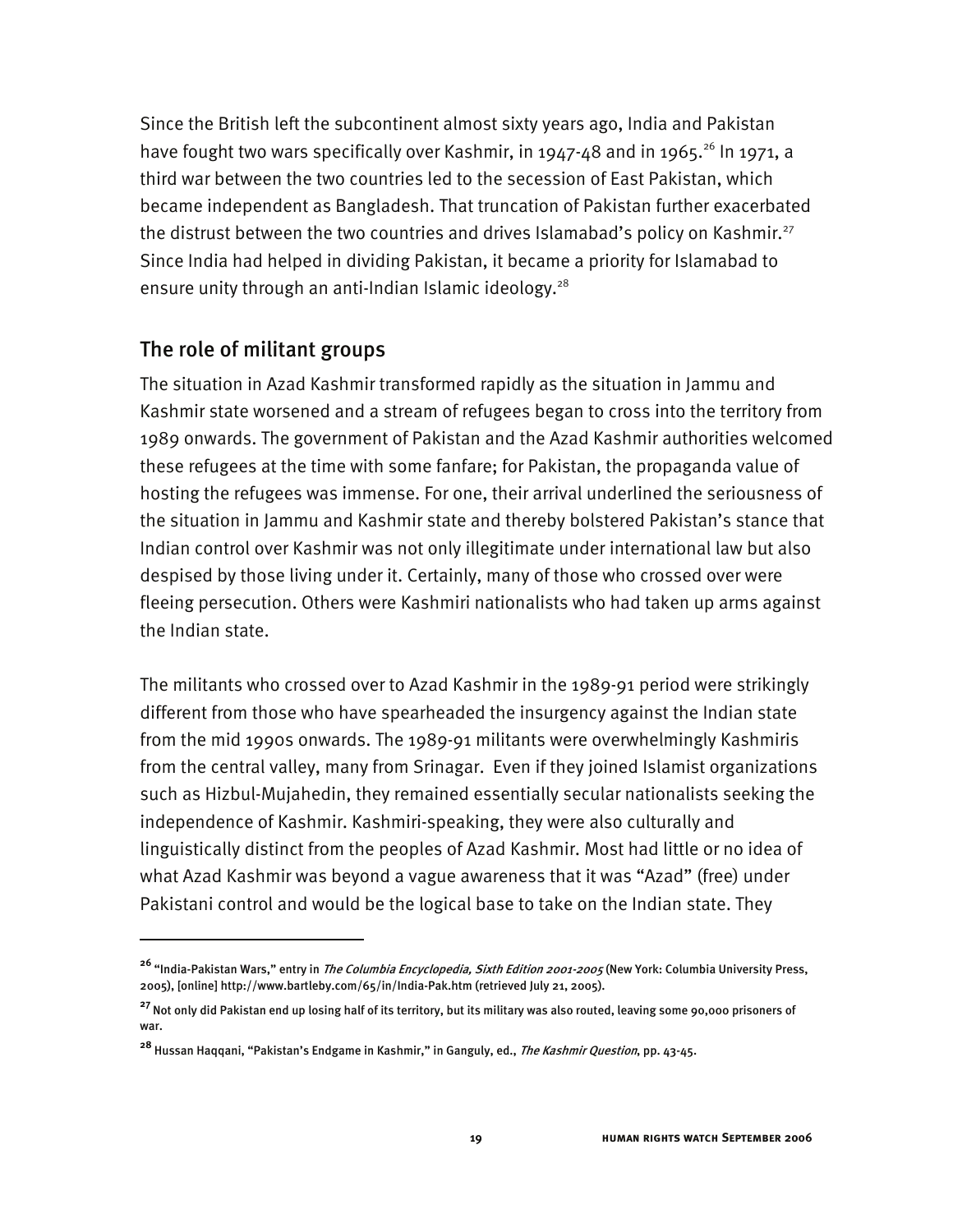Since the British left the subcontinent almost sixty years ago, India and Pakistan have fought two wars specifically over Kashmir, in 1947-48 and in 1965.<sup>26</sup> In 1971, a third war between the two countries led to the secession of East Pakistan, which became independent as Bangladesh. That truncation of Pakistan further exacerbated the distrust between the two countries and drives Islamabad's policy on Kashmir.<sup>27</sup> Since India had helped in dividing Pakistan, it became a priority for Islamabad to ensure unity through an anti-Indian Islamic ideology.<sup>28</sup>

#### The role of militant groups

I

The situation in Azad Kashmir transformed rapidly as the situation in Jammu and Kashmir state worsened and a stream of refugees began to cross into the territory from 1989 onwards. The government of Pakistan and the Azad Kashmir authorities welcomed these refugees at the time with some fanfare; for Pakistan, the propaganda value of hosting the refugees was immense. For one, their arrival underlined the seriousness of the situation in Jammu and Kashmir state and thereby bolstered Pakistan's stance that Indian control over Kashmir was not only illegitimate under international law but also despised by those living under it. Certainly, many of those who crossed over were fleeing persecution. Others were Kashmiri nationalists who had taken up arms against the Indian state.

The militants who crossed over to Azad Kashmir in the 1989-91 period were strikingly different from those who have spearheaded the insurgency against the Indian state from the mid 1990s onwards. The 1989-91 militants were overwhelmingly Kashmiris from the central valley, many from Srinagar. Even if they joined Islamist organizations such as Hizbul-Mujahedin, they remained essentially secular nationalists seeking the independence of Kashmir. Kashmiri-speaking, they were also culturally and linguistically distinct from the peoples of Azad Kashmir. Most had little or no idea of what Azad Kashmir was beyond a vague awareness that it was "Azad" (free) under Pakistani control and would be the logical base to take on the Indian state. They

**<sup>26</sup>** "India-Pakistan Wars," entry in The Columbia Encyclopedia, Sixth Edition 2001-2005 (New York: Columbia University Press, 2005), [online] http://www.bartleby.com/65/in/India-Pak.htm (retrieved July 21, 2005).

<sup>&</sup>lt;sup>27</sup> Not only did Pakistan end up losing half of its territory, but its military was also routed, leaving some 90,000 prisoners of war.

**<sup>28</sup>** Hussan Haqqani, "Pakistan's Endgame in Kashmir," in Ganguly, ed., The Kashmir Question, pp. 43-45.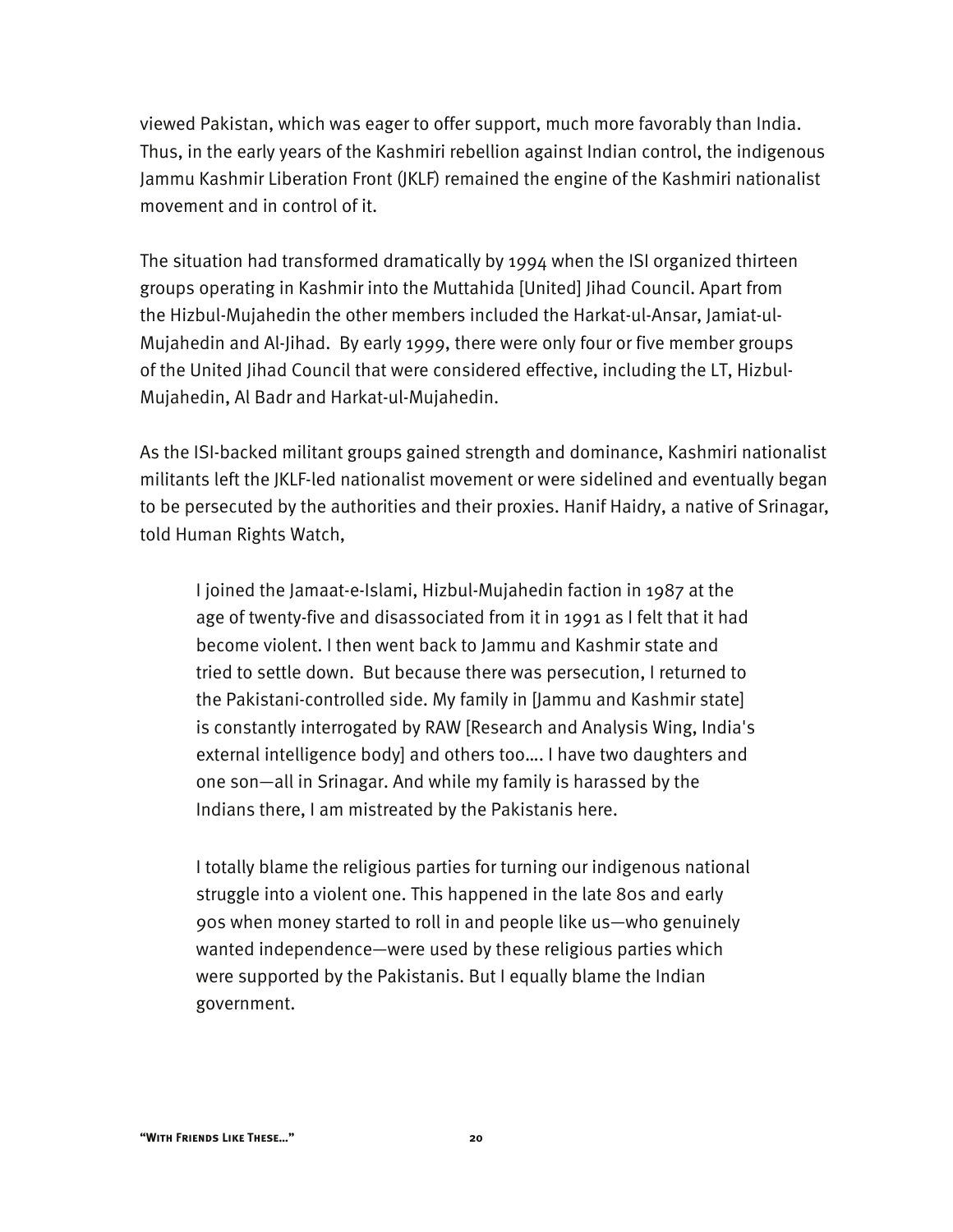viewed Pakistan, which was eager to offer support, much more favorably than India. Thus, in the early years of the Kashmiri rebellion against Indian control, the indigenous Jammu Kashmir Liberation Front (JKLF) remained the engine of the Kashmiri nationalist movement and in control of it.

The situation had transformed dramatically by 1994 when the ISI organized thirteen groups operating in Kashmir into the Muttahida [United] Jihad Council. Apart from the Hizbul-Mujahedin the other members included the Harkat-ul-Ansar, Jamiat-ul-Mujahedin and Al-Jihad. By early 1999, there were only four or five member groups of the United Jihad Council that were considered effective, including the LT, Hizbul-Mujahedin, Al Badr and Harkat-ul-Mujahedin.

As the ISI-backed militant groups gained strength and dominance, Kashmiri nationalist militants left the JKLF-led nationalist movement or were sidelined and eventually began to be persecuted by the authorities and their proxies. Hanif Haidry, a native of Srinagar, told Human Rights Watch,

I joined the Jamaat-e-Islami, Hizbul-Mujahedin faction in 1987 at the age of twenty-five and disassociated from it in 1991 as I felt that it had become violent. I then went back to Jammu and Kashmir state and tried to settle down. But because there was persecution, I returned to the Pakistani-controlled side. My family in [Jammu and Kashmir state] is constantly interrogated by RAW [Research and Analysis Wing, India's external intelligence body] and others too…. I have two daughters and one son—all in Srinagar. And while my family is harassed by the Indians there, I am mistreated by the Pakistanis here.

I totally blame the religious parties for turning our indigenous national struggle into a violent one. This happened in the late 80s and early 90s when money started to roll in and people like us—who genuinely wanted independence—were used by these religious parties which were supported by the Pakistanis. But I equally blame the Indian government.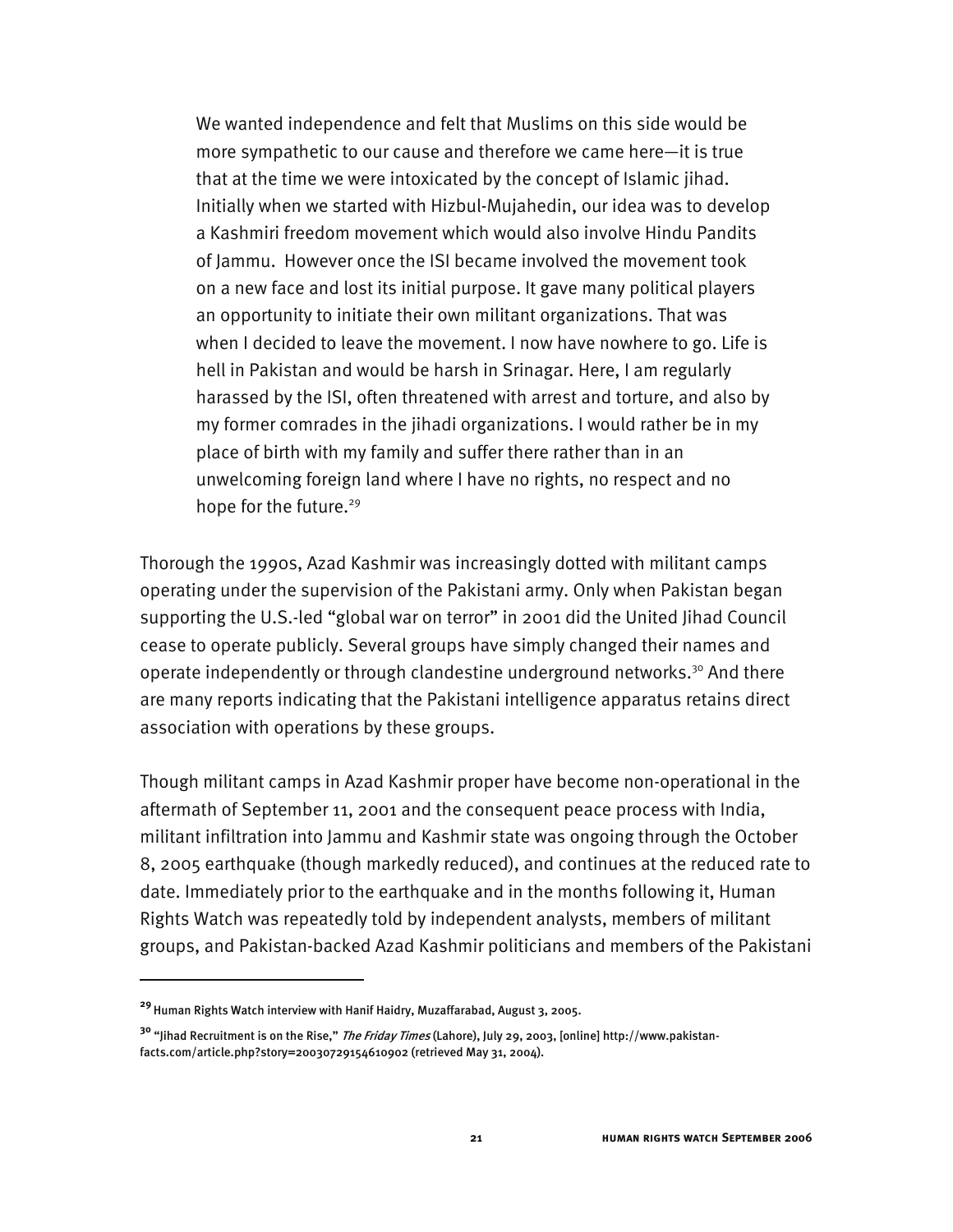We wanted independence and felt that Muslims on this side would be more sympathetic to our cause and therefore we came here—it is true that at the time we were intoxicated by the concept of Islamic jihad. Initially when we started with Hizbul-Mujahedin, our idea was to develop a Kashmiri freedom movement which would also involve Hindu Pandits of Jammu. However once the ISI became involved the movement took on a new face and lost its initial purpose. It gave many political players an opportunity to initiate their own militant organizations. That was when I decided to leave the movement. I now have nowhere to go. Life is hell in Pakistan and would be harsh in Srinagar. Here, I am regularly harassed by the ISI, often threatened with arrest and torture, and also by my former comrades in the jihadi organizations. I would rather be in my place of birth with my family and suffer there rather than in an unwelcoming foreign land where I have no rights, no respect and no hope for the future.<sup>29</sup>

Thorough the 1990s, Azad Kashmir was increasingly dotted with militant camps operating under the supervision of the Pakistani army. Only when Pakistan began supporting the U.S.-led "global war on terror" in 2001 did the United Jihad Council cease to operate publicly. Several groups have simply changed their names and operate independently or through clandestine underground networks.<sup>30</sup> And there are many reports indicating that the Pakistani intelligence apparatus retains direct association with operations by these groups.

Though militant camps in Azad Kashmir proper have become non-operational in the aftermath of September 11, 2001 and the consequent peace process with India, militant infiltration into Jammu and Kashmir state was ongoing through the October 8, 2005 earthquake (though markedly reduced), and continues at the reduced rate to date. Immediately prior to the earthquake and in the months following it, Human Rights Watch was repeatedly told by independent analysts, members of militant groups, and Pakistan-backed Azad Kashmir politicians and members of the Pakistani

**<sup>29</sup>**Human Rights Watch interview with Hanif Haidry, Muzaffarabad, August 3, 2005.

**<sup>30</sup>** "Jihad Recruitment is on the Rise," The Friday Times (Lahore), July 29, 2003, [online] http://www.pakistanfacts.com/article.php?story=20030729154610902 (retrieved May 31, 2004).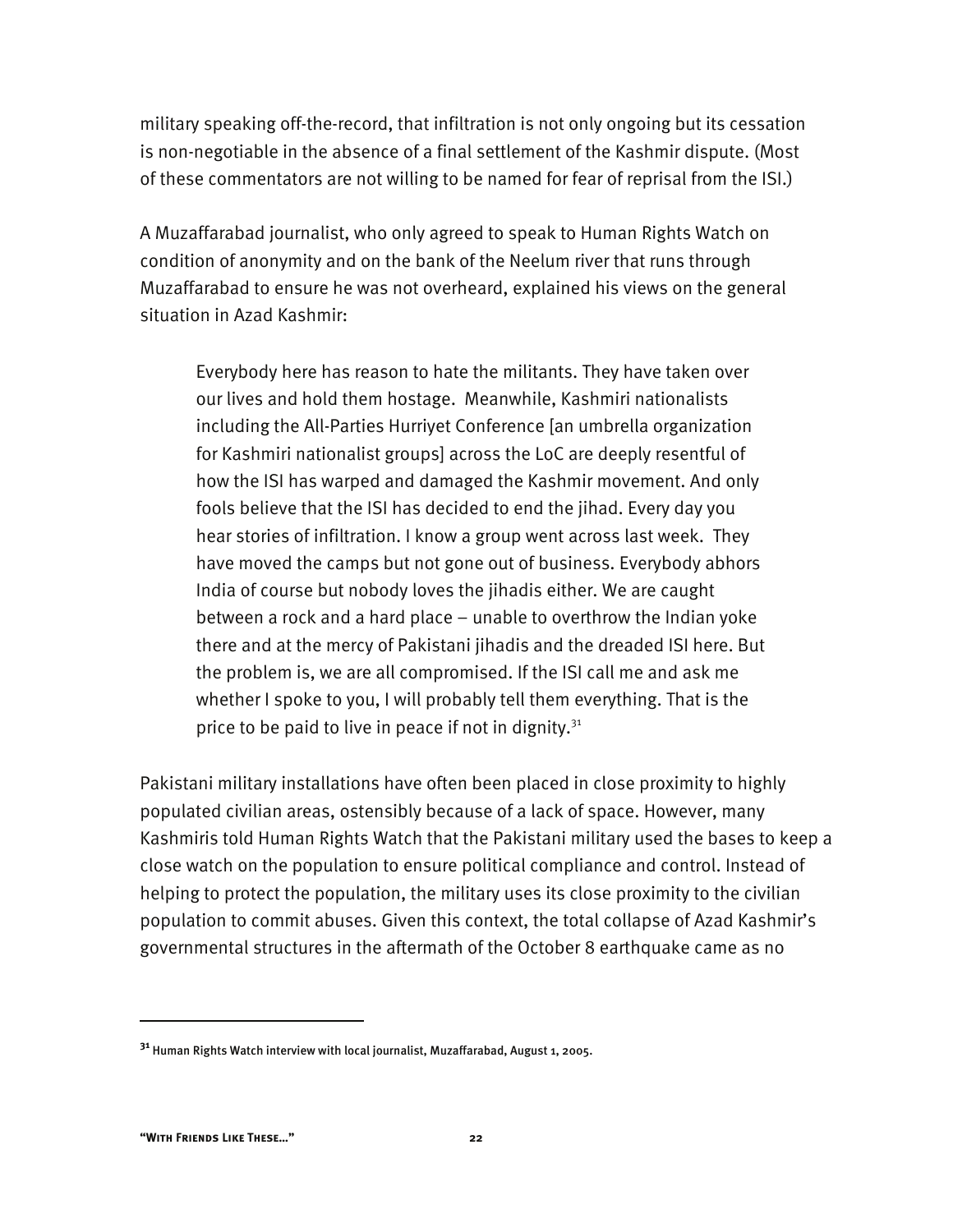military speaking off-the-record, that infiltration is not only ongoing but its cessation is non-negotiable in the absence of a final settlement of the Kashmir dispute. (Most of these commentators are not willing to be named for fear of reprisal from the ISI.)

A Muzaffarabad journalist, who only agreed to speak to Human Rights Watch on condition of anonymity and on the bank of the Neelum river that runs through Muzaffarabad to ensure he was not overheard, explained his views on the general situation in Azad Kashmir:

Everybody here has reason to hate the militants. They have taken over our lives and hold them hostage. Meanwhile, Kashmiri nationalists including the All-Parties Hurriyet Conference [an umbrella organization for Kashmiri nationalist groups] across the LoC are deeply resentful of how the ISI has warped and damaged the Kashmir movement. And only fools believe that the ISI has decided to end the jihad. Every day you hear stories of infiltration. I know a group went across last week. They have moved the camps but not gone out of business. Everybody abhors India of course but nobody loves the jihadis either. We are caught between a rock and a hard place – unable to overthrow the Indian yoke there and at the mercy of Pakistani jihadis and the dreaded ISI here. But the problem is, we are all compromised. If the ISI call me and ask me whether I spoke to you, I will probably tell them everything. That is the price to be paid to live in peace if not in dignity. $31$ 

Pakistani military installations have often been placed in close proximity to highly populated civilian areas, ostensibly because of a lack of space. However, many Kashmiris told Human Rights Watch that the Pakistani military used the bases to keep a close watch on the population to ensure political compliance and control. Instead of helping to protect the population, the military uses its close proximity to the civilian population to commit abuses. Given this context, the total collapse of Azad Kashmir's governmental structures in the aftermath of the October 8 earthquake came as no

**<sup>31</sup>** Human Rights Watch interview with local journalist, Muzaffarabad, August 1, 2005.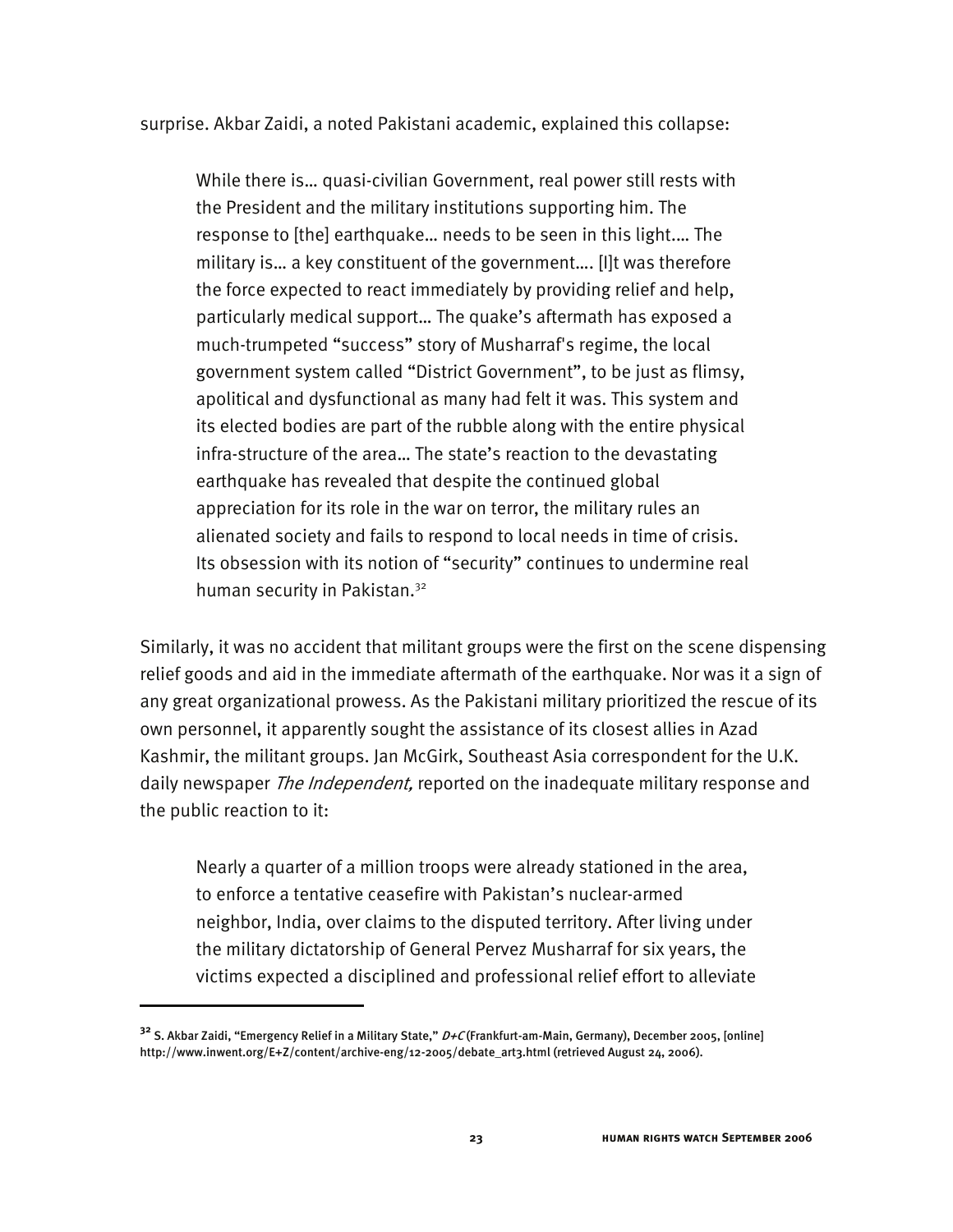surprise. Akbar Zaidi, a noted Pakistani academic, explained this collapse:

While there is… quasi-civilian Government, real power still rests with the President and the military institutions supporting him. The response to [the] earthquake… needs to be seen in this light.… The military is… a key constituent of the government…. [I]t was therefore the force expected to react immediately by providing relief and help, particularly medical support… The quake's aftermath has exposed a much-trumpeted "success" story of Musharraf's regime, the local government system called "District Government", to be just as flimsy, apolitical and dysfunctional as many had felt it was. This system and its elected bodies are part of the rubble along with the entire physical infra-structure of the area… The state's reaction to the devastating earthquake has revealed that despite the continued global appreciation for its role in the war on terror, the military rules an alienated society and fails to respond to local needs in time of crisis. Its obsession with its notion of "security" continues to undermine real human security in Pakistan.<sup>32</sup>

Similarly, it was no accident that militant groups were the first on the scene dispensing relief goods and aid in the immediate aftermath of the earthquake. Nor was it a sign of any great organizational prowess. As the Pakistani military prioritized the rescue of its own personnel, it apparently sought the assistance of its closest allies in Azad Kashmir, the militant groups. Jan McGirk, Southeast Asia correspondent for the U.K. daily newspaper *The Independent*, reported on the inadequate military response and the public reaction to it:

Nearly a quarter of a million troops were already stationed in the area, to enforce a tentative ceasefire with Pakistan's nuclear-armed neighbor, India, over claims to the disputed territory. After living under the military dictatorship of General Pervez Musharraf for six years, the victims expected a disciplined and professional relief effort to alleviate

**<sup>32</sup>** S. Akbar Zaidi, "Emergency Relief in a Military State," D+C (Frankfurt-am-Main, Germany), December 2005, [online] http://www.inwent.org/E+Z/content/archive-eng/12-2005/debate\_art3.html (retrieved August 24, 2006).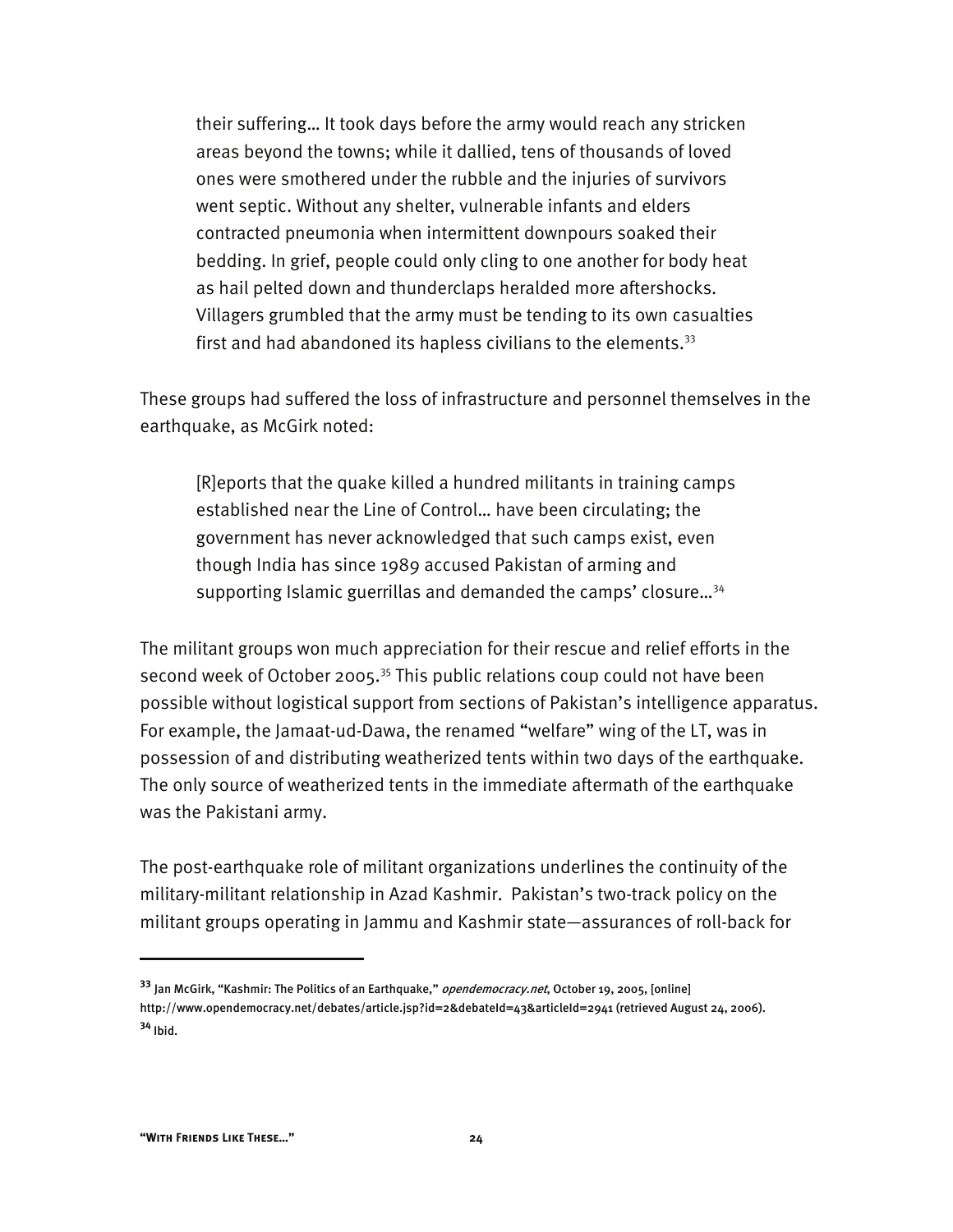their suffering… It took days before the army would reach any stricken areas beyond the towns; while it dallied, tens of thousands of loved ones were smothered under the rubble and the injuries of survivors went septic. Without any shelter, vulnerable infants and elders contracted pneumonia when intermittent downpours soaked their bedding. In grief, people could only cling to one another for body heat as hail pelted down and thunderclaps heralded more aftershocks. Villagers grumbled that the army must be tending to its own casualties first and had abandoned its hapless civilians to the elements.<sup>33</sup>

These groups had suffered the loss of infrastructure and personnel themselves in the earthquake, as McGirk noted:

[R]eports that the quake killed a hundred militants in training camps established near the Line of Control… have been circulating; the government has never acknowledged that such camps exist, even though India has since 1989 accused Pakistan of arming and supporting Islamic guerrillas and demanded the camps' closure...<sup>34</sup>

The militant groups won much appreciation for their rescue and relief efforts in the second week of October 2005.<sup>35</sup> This public relations coup could not have been possible without logistical support from sections of Pakistan's intelligence apparatus. For example, the Jamaat-ud-Dawa, the renamed "welfare" wing of the LT, was in possession of and distributing weatherized tents within two days of the earthquake. The only source of weatherized tents in the immediate aftermath of the earthquake was the Pakistani army.

The post-earthquake role of militant organizations underlines the continuity of the military-militant relationship in Azad Kashmir. Pakistan's two-track policy on the militant groups operating in Jammu and Kashmir state—assurances of roll-back for

**<sup>33</sup>** Jan McGirk, "Kashmir: The Politics of an Earthquake," opendemocracy.net, October 19, 2005, [online] http://www.opendemocracy.net/debates/article.jsp?id=2&debateId=43&articleId=2941 (retrieved August 24, 2006). **<sup>34</sup>** Ibid.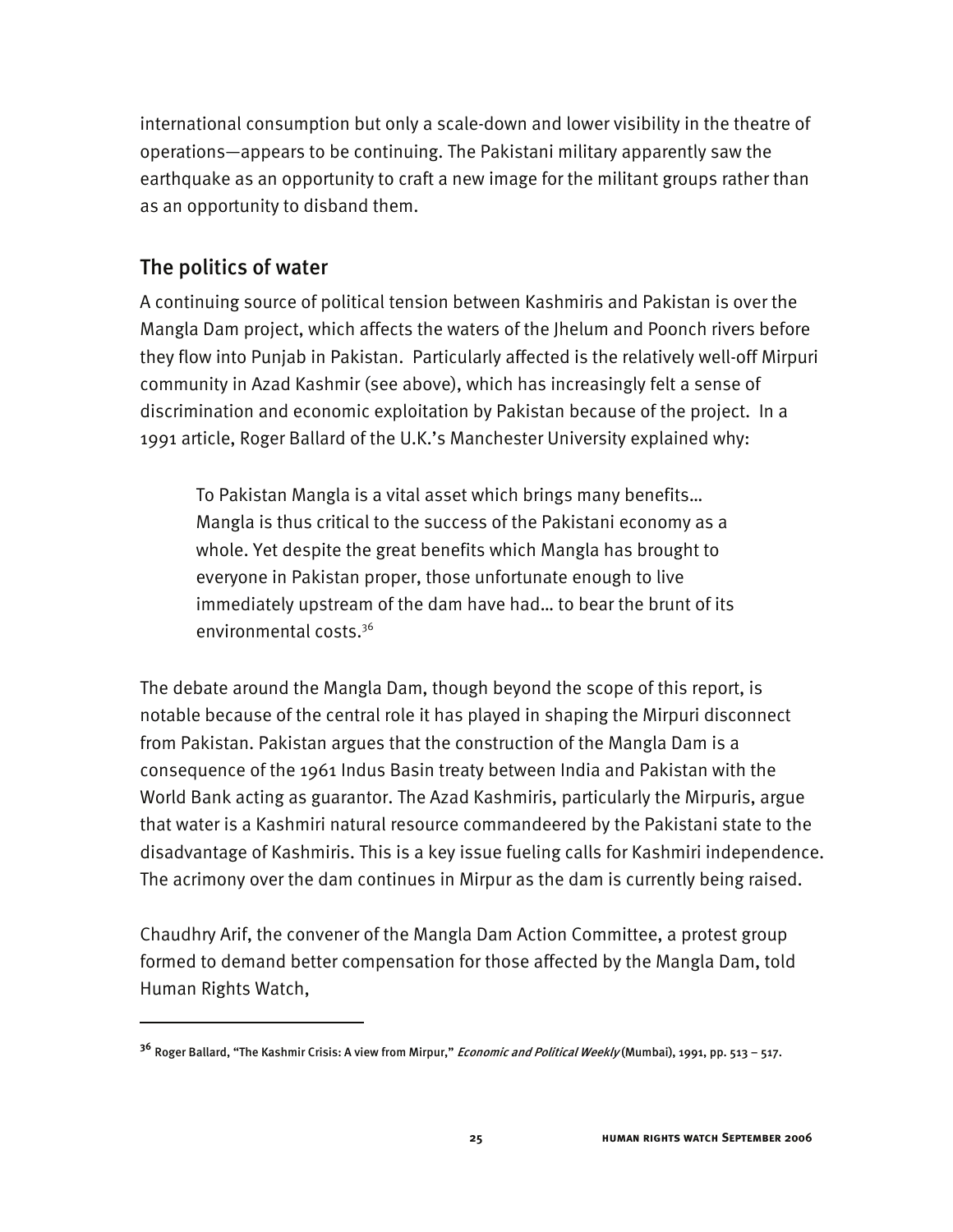international consumption but only a scale-down and lower visibility in the theatre of operations—appears to be continuing. The Pakistani military apparently saw the earthquake as an opportunity to craft a new image for the militant groups rather than as an opportunity to disband them.

### The politics of water

I

A continuing source of political tension between Kashmiris and Pakistan is over the Mangla Dam project, which affects the waters of the Jhelum and Poonch rivers before they flow into Punjab in Pakistan. Particularly affected is the relatively well-off Mirpuri community in Azad Kashmir (see above), which has increasingly felt a sense of discrimination and economic exploitation by Pakistan because of the project. In a 1991 article, Roger Ballard of the U.K.'s Manchester University explained why:

To Pakistan Mangla is a vital asset which brings many benefits… Mangla is thus critical to the success of the Pakistani economy as a whole. Yet despite the great benefits which Mangla has brought to everyone in Pakistan proper, those unfortunate enough to live immediately upstream of the dam have had… to bear the brunt of its environmental costs.36

The debate around the Mangla Dam, though beyond the scope of this report, is notable because of the central role it has played in shaping the Mirpuri disconnect from Pakistan. Pakistan argues that the construction of the Mangla Dam is a consequence of the 1961 Indus Basin treaty between India and Pakistan with the World Bank acting as guarantor. The Azad Kashmiris, particularly the Mirpuris, argue that water is a Kashmiri natural resource commandeered by the Pakistani state to the disadvantage of Kashmiris. This is a key issue fueling calls for Kashmiri independence. The acrimony over the dam continues in Mirpur as the dam is currently being raised.

Chaudhry Arif, the convener of the Mangla Dam Action Committee, a protest group formed to demand better compensation for those affected by the Mangla Dam, told Human Rights Watch,

**<sup>36</sup>** Roger Ballard, "The Kashmir Crisis: A view from Mirpur," Economic and Political Weekly (Mumbai), 1991, pp. 513 – 517.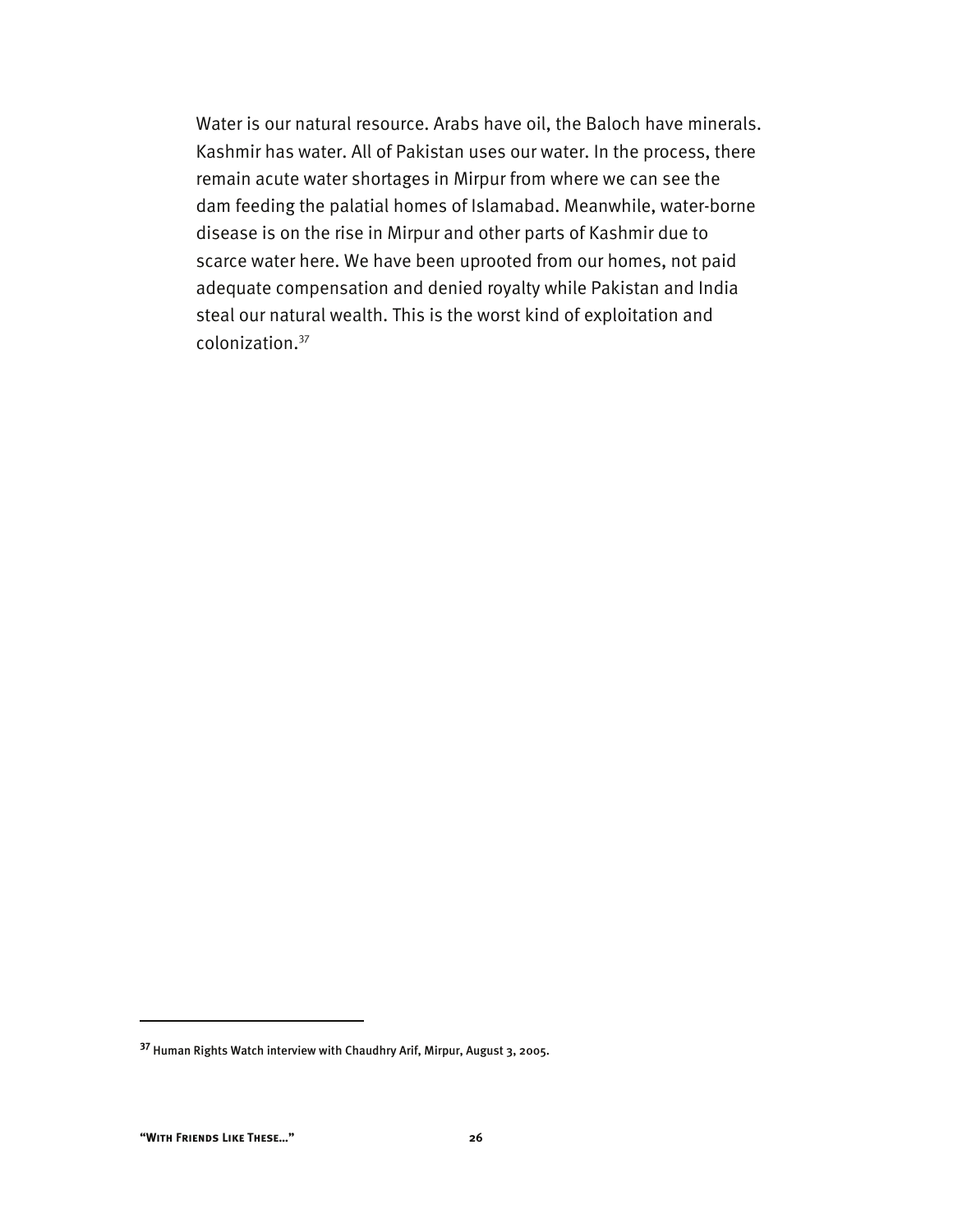Water is our natural resource. Arabs have oil, the Baloch have minerals. Kashmir has water. All of Pakistan uses our water. In the process, there remain acute water shortages in Mirpur from where we can see the dam feeding the palatial homes of Islamabad. Meanwhile, water-borne disease is on the rise in Mirpur and other parts of Kashmir due to scarce water here. We have been uprooted from our homes, not paid adequate compensation and denied royalty while Pakistan and India steal our natural wealth. This is the worst kind of exploitation and colonization.37

**<sup>37</sup>** Human Rights Watch interview with Chaudhry Arif, Mirpur, August 3, 2005.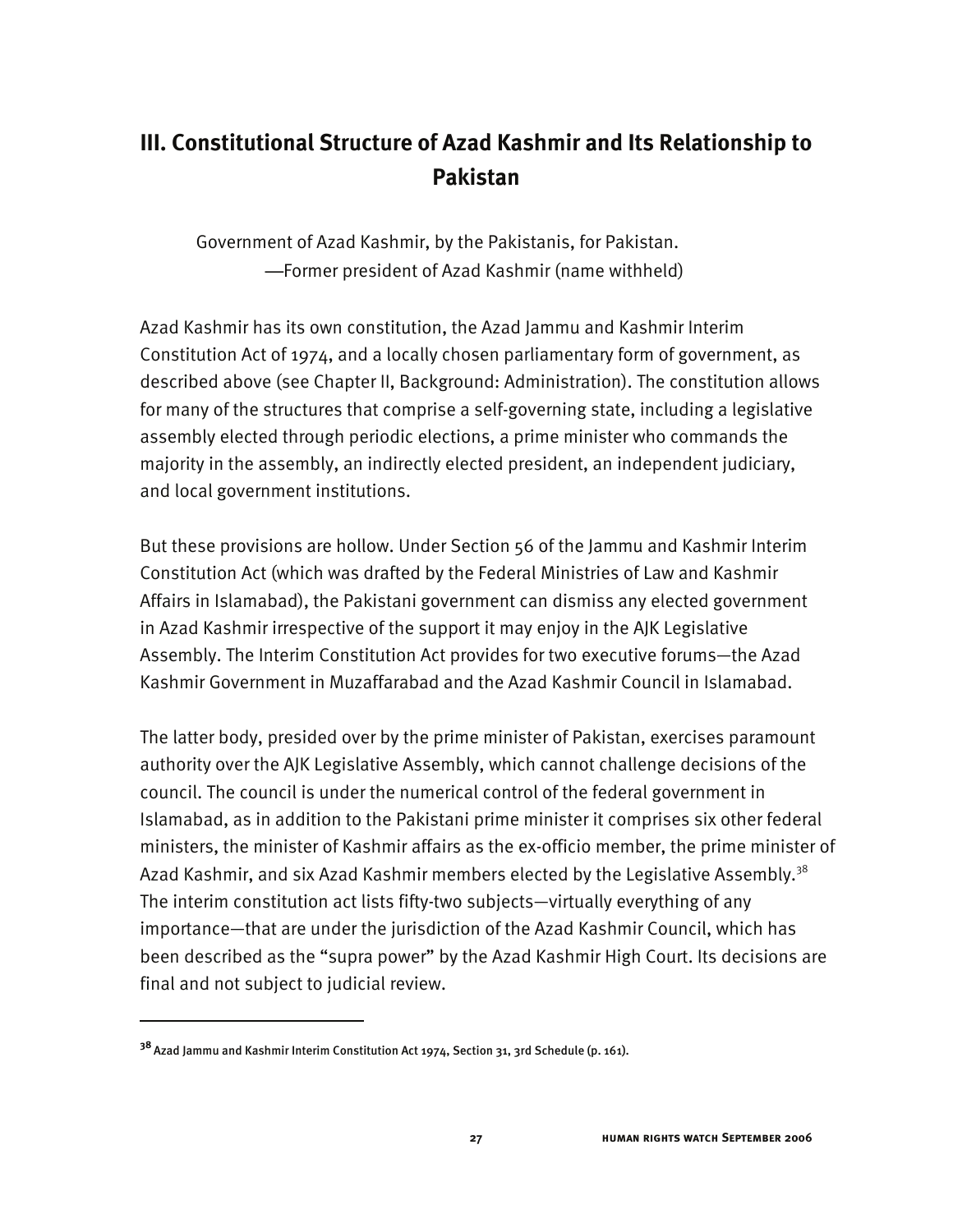# **III. Constitutional Structure of Azad Kashmir and Its Relationship to Pakistan**

Government of Azad Kashmir, by the Pakistanis, for Pakistan. —Former president of Azad Kashmir (name withheld)

Azad Kashmir has its own constitution, the Azad Jammu and Kashmir Interim Constitution Act of 1974, and a locally chosen parliamentary form of government, as described above (see Chapter II, Background: Administration). The constitution allows for many of the structures that comprise a self-governing state, including a legislative assembly elected through periodic elections, a prime minister who commands the majority in the assembly, an indirectly elected president, an independent judiciary, and local government institutions.

But these provisions are hollow. Under Section 56 of the Jammu and Kashmir Interim Constitution Act (which was drafted by the Federal Ministries of Law and Kashmir Affairs in Islamabad), the Pakistani government can dismiss any elected government in Azad Kashmir irrespective of the support it may enjoy in the AJK Legislative Assembly. The Interim Constitution Act provides for two executive forums—the Azad Kashmir Government in Muzaffarabad and the Azad Kashmir Council in Islamabad.

The latter body, presided over by the prime minister of Pakistan, exercises paramount authority over the AJK Legislative Assembly, which cannot challenge decisions of the council. The council is under the numerical control of the federal government in Islamabad, as in addition to the Pakistani prime minister it comprises six other federal ministers, the minister of Kashmir affairs as the ex-officio member, the prime minister of Azad Kashmir, and six Azad Kashmir members elected by the Legislative Assembly.<sup>38</sup> The interim constitution act lists fifty-two subjects—virtually everything of any importance—that are under the jurisdiction of the Azad Kashmir Council, which has been described as the "supra power" by the Azad Kashmir High Court. Its decisions are final and not subject to judicial review.

**<sup>38</sup>**Azad Jammu and Kashmir Interim Constitution Act 1974, Section 31, 3rd Schedule (p. 161).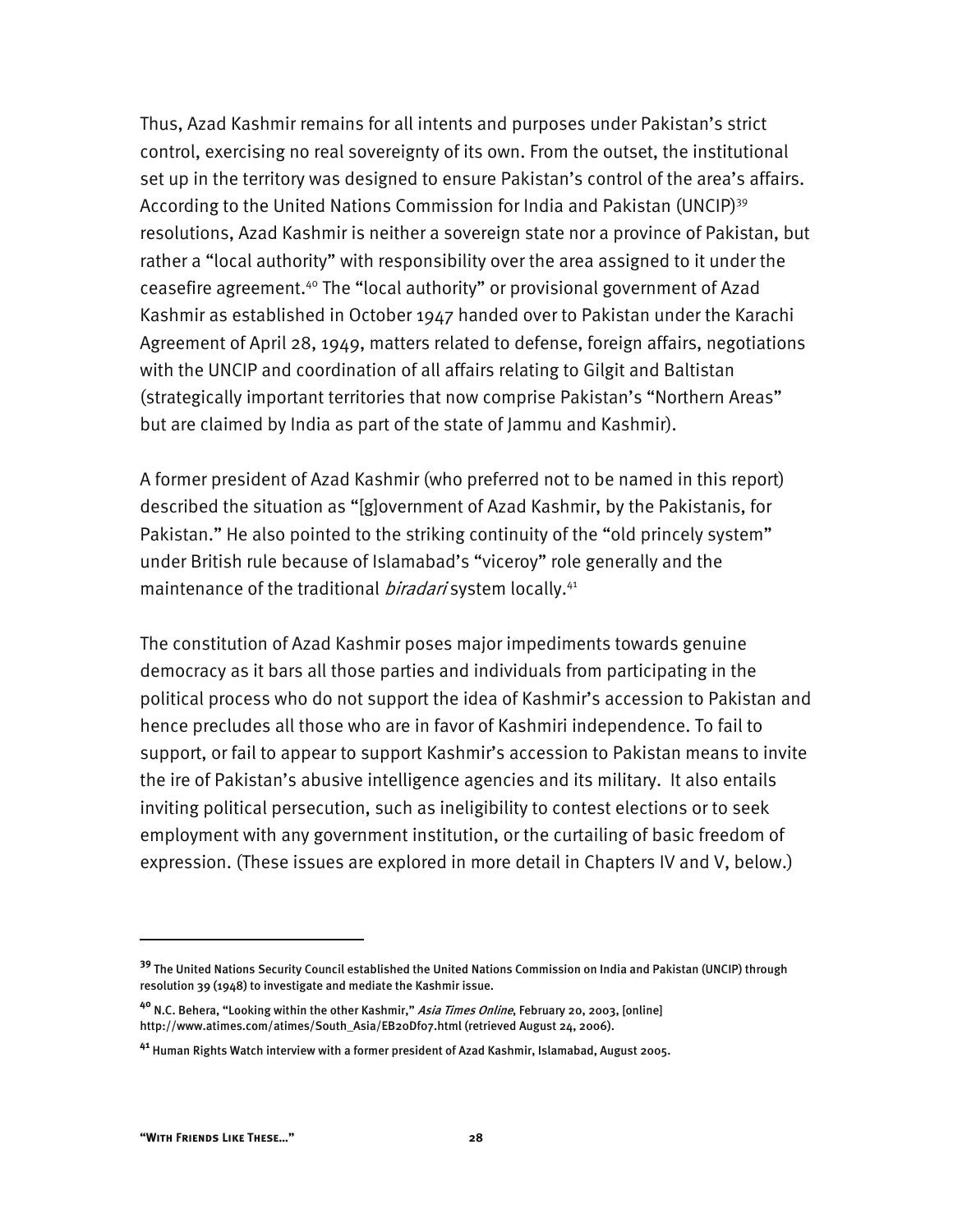Thus, Azad Kashmir remains for all intents and purposes under Pakistan's strict control, exercising no real sovereignty of its own. From the outset, the institutional set up in the territory was designed to ensure Pakistan's control of the area's affairs. According to the United Nations Commission for India and Pakistan (UNCIP)<sup>39</sup> resolutions, Azad Kashmir is neither a sovereign state nor a province of Pakistan, but rather a "local authority" with responsibility over the area assigned to it under the ceasefire agreement.40 The "local authority" or provisional government of Azad Kashmir as established in October 1947 handed over to Pakistan under the Karachi Agreement of April 28, 1949, matters related to defense, foreign affairs, negotiations with the UNCIP and coordination of all affairs relating to Gilgit and Baltistan (strategically important territories that now comprise Pakistan's "Northern Areas" but are claimed by India as part of the state of Jammu and Kashmir).

A former president of Azad Kashmir (who preferred not to be named in this report) described the situation as "[g]overnment of Azad Kashmir, by the Pakistanis, for Pakistan." He also pointed to the striking continuity of the "old princely system" under British rule because of Islamabad's "viceroy" role generally and the maintenance of the traditional *biradari* system locally.<sup>41</sup>

The constitution of Azad Kashmir poses major impediments towards genuine democracy as it bars all those parties and individuals from participating in the political process who do not support the idea of Kashmir's accession to Pakistan and hence precludes all those who are in favor of Kashmiri independence. To fail to support, or fail to appear to support Kashmir's accession to Pakistan means to invite the ire of Pakistan's abusive intelligence agencies and its military. It also entails inviting political persecution, such as ineligibility to contest elections or to seek employment with any government institution, or the curtailing of basic freedom of expression. (These issues are explored in more detail in Chapters IV and V, below.)

**<sup>39</sup>** The United Nations Security Council established the United Nations Commission on India and Pakistan (UNCIP) through resolution 39 (1948) to investigate and mediate the Kashmir issue.

**<sup>40</sup>** N.C. Behera, "Looking within the other Kashmir," Asia Times Online, February 20, 2003, [online] http://www.atimes.com/atimes/South\_Asia/EB20Df07.html (retrieved August 24, 2006).

**<sup>41</sup>** Human Rights Watch interview with a former president of Azad Kashmir, Islamabad, August 2005.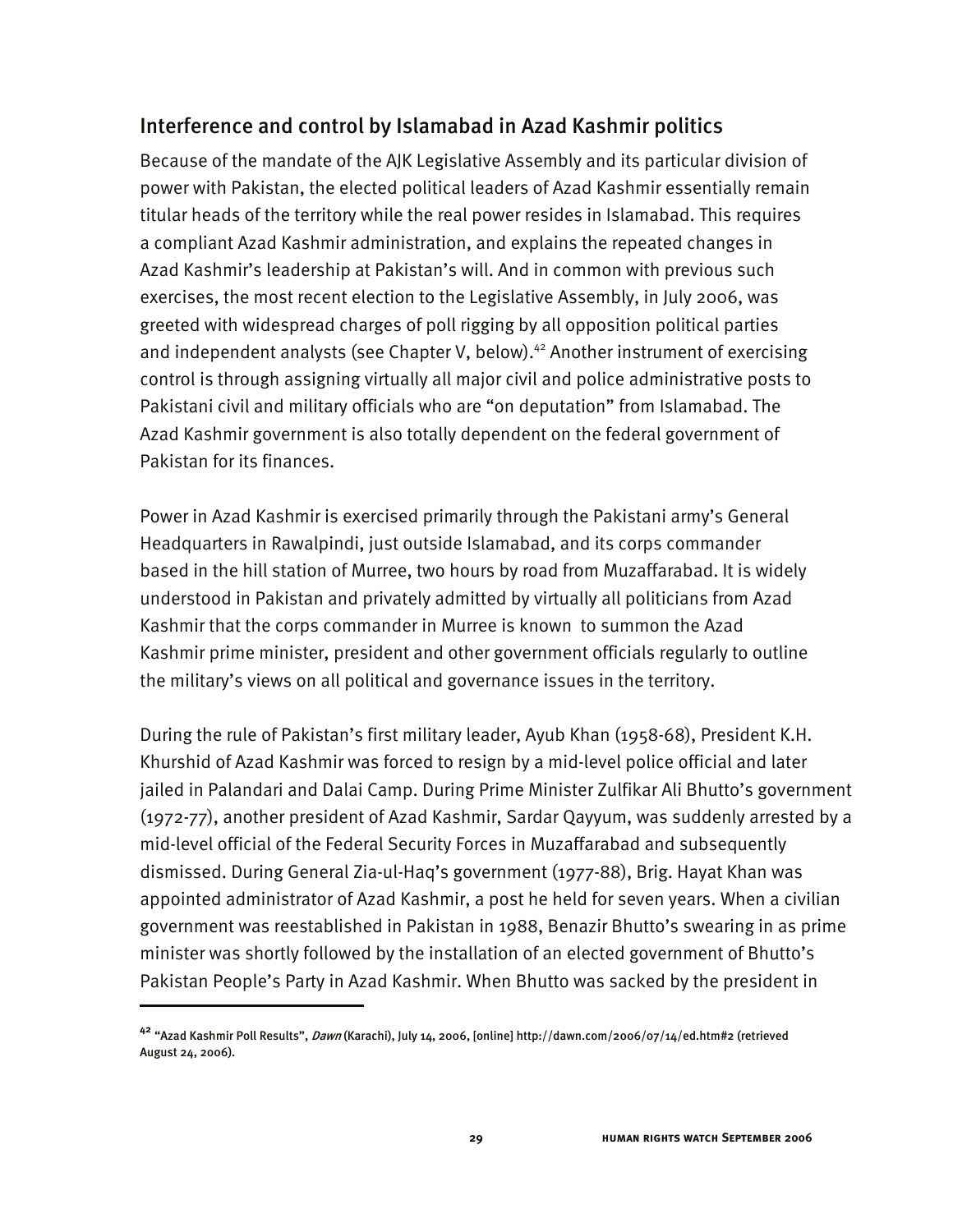### Interference and control by Islamabad in Azad Kashmir politics

Because of the mandate of the AJK Legislative Assembly and its particular division of power with Pakistan, the elected political leaders of Azad Kashmir essentially remain titular heads of the territory while the real power resides in Islamabad. This requires a compliant Azad Kashmir administration, and explains the repeated changes in Azad Kashmir's leadership at Pakistan's will. And in common with previous such exercises, the most recent election to the Legislative Assembly, in July 2006, was greeted with widespread charges of poll rigging by all opposition political parties and independent analysts (see Chapter V, below).<sup>42</sup> Another instrument of exercising control is through assigning virtually all major civil and police administrative posts to Pakistani civil and military officials who are "on deputation" from Islamabad. The Azad Kashmir government is also totally dependent on the federal government of Pakistan for its finances.

Power in Azad Kashmir is exercised primarily through the Pakistani army's General Headquarters in Rawalpindi, just outside Islamabad, and its corps commander based in the hill station of Murree, two hours by road from Muzaffarabad. It is widely understood in Pakistan and privately admitted by virtually all politicians from Azad Kashmir that the corps commander in Murree is known to summon the Azad Kashmir prime minister, president and other government officials regularly to outline the military's views on all political and governance issues in the territory.

During the rule of Pakistan's first military leader, Ayub Khan (1958-68), President K.H. Khurshid of Azad Kashmir was forced to resign by a mid-level police official and later jailed in Palandari and Dalai Camp. During Prime Minister Zulfikar Ali Bhutto's government (1972-77), another president of Azad Kashmir, Sardar Qayyum, was suddenly arrested by a mid-level official of the Federal Security Forces in Muzaffarabad and subsequently dismissed. During General Zia-ul-Haq's government (1977-88), Brig. Hayat Khan was appointed administrator of Azad Kashmir, a post he held for seven years. When a civilian government was reestablished in Pakistan in 1988, Benazir Bhutto's swearing in as prime minister was shortly followed by the installation of an elected government of Bhutto's Pakistan People's Party in Azad Kashmir. When Bhutto was sacked by the president in

**<sup>42</sup>** "Azad Kashmir Poll Results", Dawn (Karachi), July 14, 2006, [online] http://dawn.com/2006/07/14/ed.htm#2 (retrieved August 24, 2006).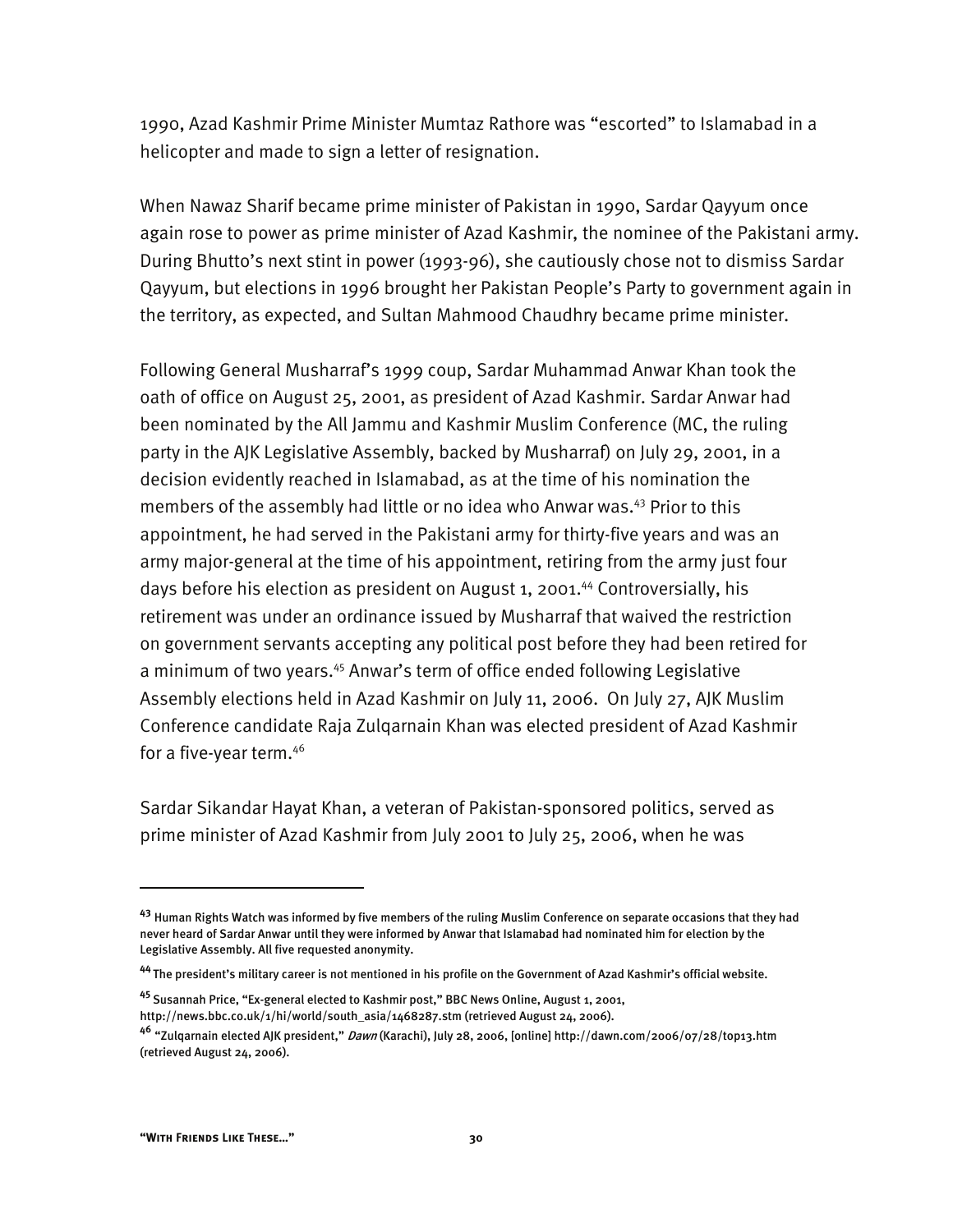1990, Azad Kashmir Prime Minister Mumtaz Rathore was "escorted" to Islamabad in a helicopter and made to sign a letter of resignation.

When Nawaz Sharif became prime minister of Pakistan in 1990, Sardar Qayyum once again rose to power as prime minister of Azad Kashmir, the nominee of the Pakistani army. During Bhutto's next stint in power (1993-96), she cautiously chose not to dismiss Sardar Qayyum, but elections in 1996 brought her Pakistan People's Party to government again in the territory, as expected, and Sultan Mahmood Chaudhry became prime minister.

Following General Musharraf's 1999 coup, Sardar Muhammad Anwar Khan took the oath of office on August 25, 2001, as president of Azad Kashmir. Sardar Anwar had been nominated by the All Jammu and Kashmir Muslim Conference (MC, the ruling party in the AJK Legislative Assembly, backed by Musharraf) on July 29, 2001, in a decision evidently reached in Islamabad, as at the time of his nomination the members of the assembly had little or no idea who Anwar was.<sup>43</sup> Prior to this appointment, he had served in the Pakistani army for thirty-five years and was an army major-general at the time of his appointment, retiring from the army just four days before his election as president on August 1, 2001.<sup>44</sup> Controversially, his retirement was under an ordinance issued by Musharraf that waived the restriction on government servants accepting any political post before they had been retired for a minimum of two years.<sup>45</sup> Anwar's term of office ended following Legislative Assembly elections held in Azad Kashmir on July 11, 2006. On July 27, AJK Muslim Conference candidate Raja Zulqarnain Khan was elected president of Azad Kashmir for a five-year term.46

Sardar Sikandar Hayat Khan, a veteran of Pakistan-sponsored politics, served as prime minister of Azad Kashmir from July 2001 to July 25, 2006, when he was

**<sup>45</sup>**Susannah Price, "Ex-general elected to Kashmir post," BBC News Online, August 1, 2001, http://news.bbc.co.uk/1/hi/world/south\_asia/1468287.stm (retrieved August 24, 2006).

**<sup>43</sup>** Human Rights Watch was informed by five members of the ruling Muslim Conference on separate occasions that they had never heard of Sardar Anwar until they were informed by Anwar that Islamabad had nominated him for election by the Legislative Assembly. All five requested anonymity.

**<sup>44</sup>**The president's military career is not mentioned in his profile on the Government of Azad Kashmir's official website.

**<sup>46</sup>** "Zulqarnain elected AJK president," Dawn (Karachi), July 28, 2006, [online] http://dawn.com/2006/07/28/top13.htm (retrieved August 24, 2006).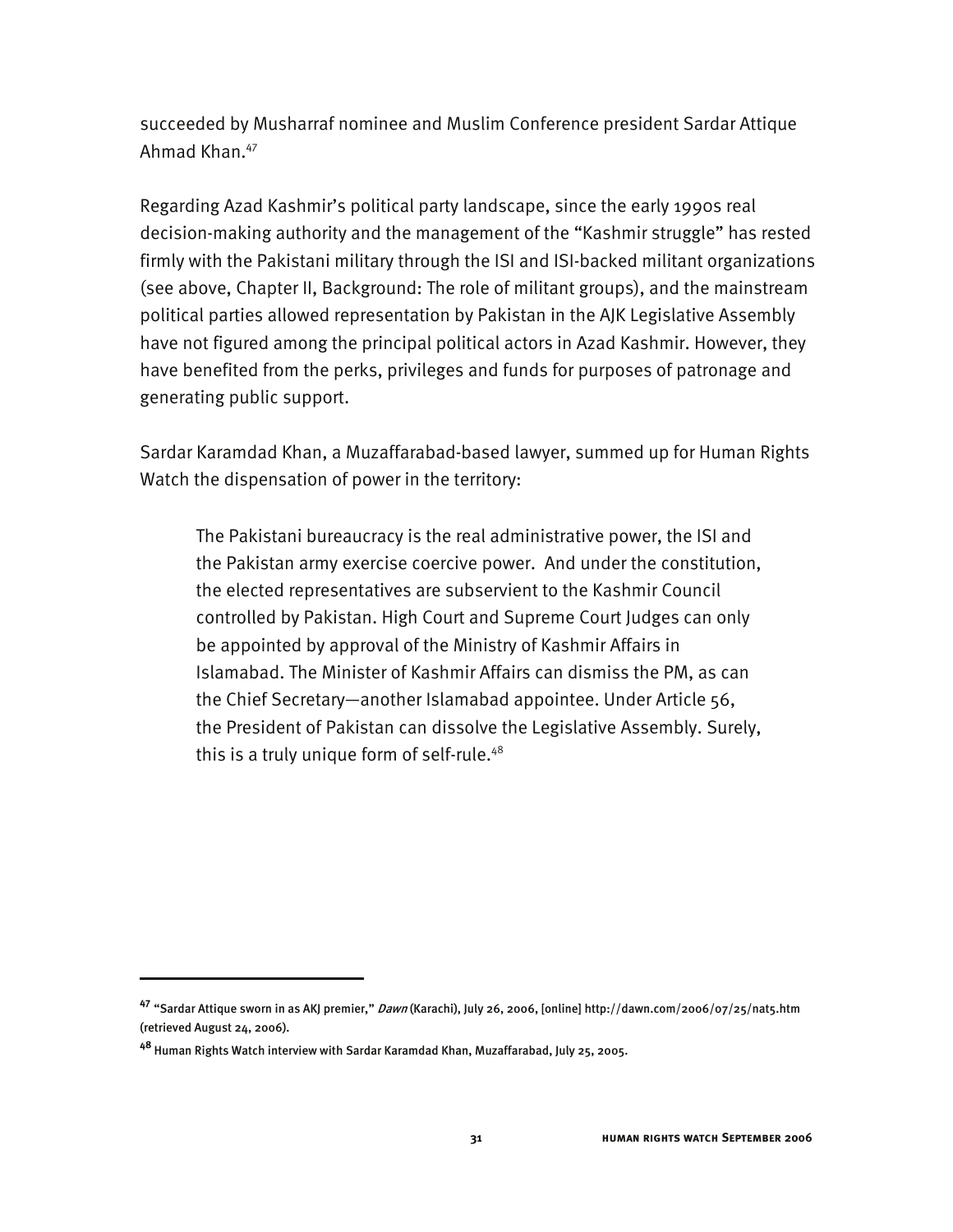succeeded by Musharraf nominee and Muslim Conference president Sardar Attique Ahmad Khan.<sup>47</sup>

Regarding Azad Kashmir's political party landscape, since the early 1990s real decision-making authority and the management of the "Kashmir struggle" has rested firmly with the Pakistani military through the ISI and ISI-backed militant organizations (see above, Chapter II, Background: The role of militant groups), and the mainstream political parties allowed representation by Pakistan in the AJK Legislative Assembly have not figured among the principal political actors in Azad Kashmir. However, they have benefited from the perks, privileges and funds for purposes of patronage and generating public support.

Sardar Karamdad Khan, a Muzaffarabad-based lawyer, summed up for Human Rights Watch the dispensation of power in the territory:

The Pakistani bureaucracy is the real administrative power, the ISI and the Pakistan army exercise coercive power. And under the constitution, the elected representatives are subservient to the Kashmir Council controlled by Pakistan. High Court and Supreme Court Judges can only be appointed by approval of the Ministry of Kashmir Affairs in Islamabad. The Minister of Kashmir Affairs can dismiss the PM, as can the Chief Secretary—another Islamabad appointee. Under Article 56, the President of Pakistan can dissolve the Legislative Assembly. Surely, this is a truly unique form of self-rule.<sup>48</sup>

j

**<sup>47</sup>** "Sardar Attique sworn in as AKJ premier," Dawn (Karachi), July 26, 2006, [online] http://dawn.com/2006/07/25/nat5.htm (retrieved August 24, 2006).

**<sup>48</sup>** Human Rights Watch interview with Sardar Karamdad Khan, Muzaffarabad, July 25, 2005.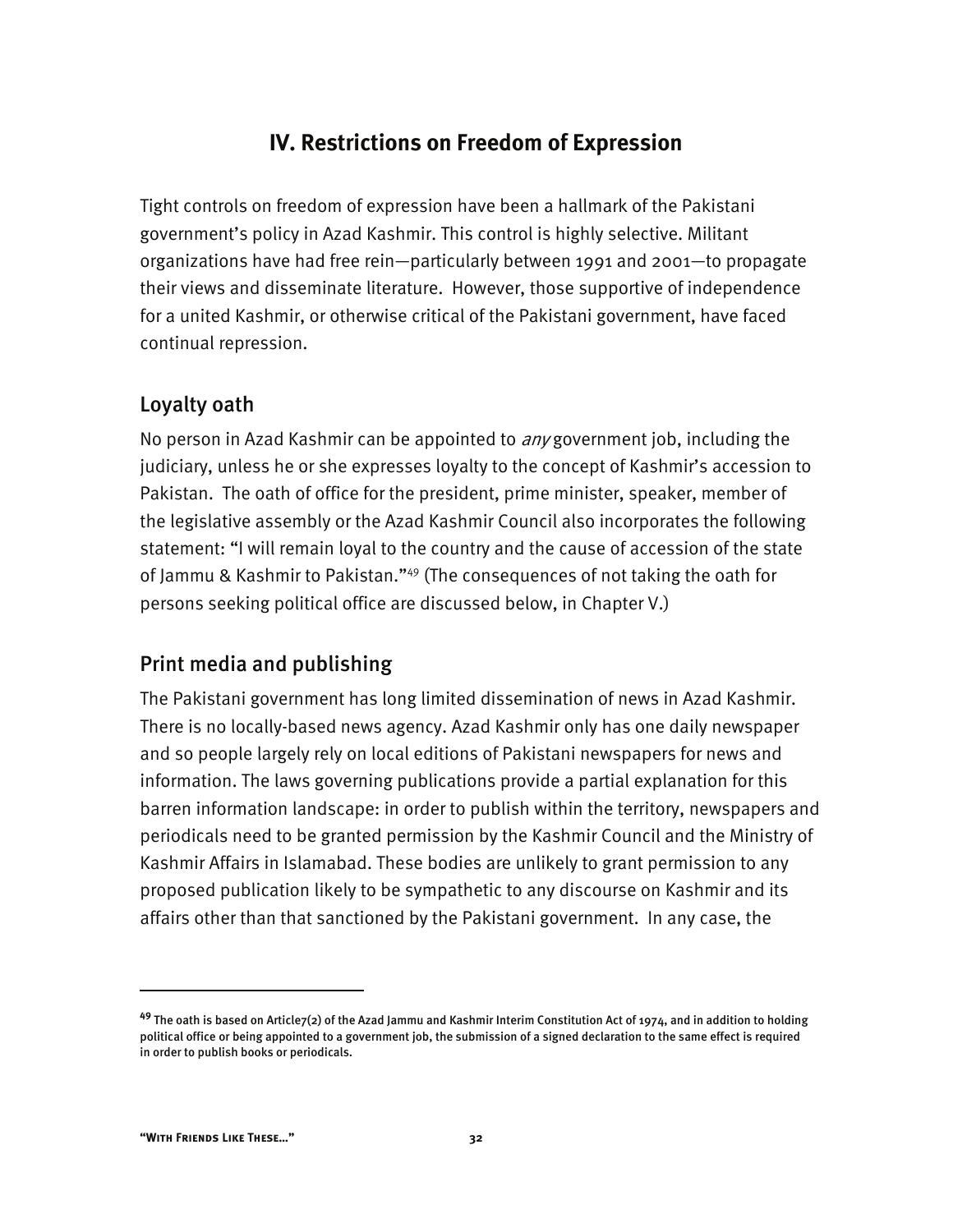## **IV. Restrictions on Freedom of Expression**

Tight controls on freedom of expression have been a hallmark of the Pakistani government's policy in Azad Kashmir. This control is highly selective. Militant organizations have had free rein—particularly between 1991 and 2001—to propagate their views and disseminate literature. However, those supportive of independence for a united Kashmir, or otherwise critical of the Pakistani government, have faced continual repression.

### Loyalty oath

No person in Azad Kashmir can be appointed to  $\frac{any}{good}$  government job, including the judiciary, unless he or she expresses loyalty to the concept of Kashmir's accession to Pakistan. The oath of office for the president, prime minister, speaker, member of the legislative assembly or the Azad Kashmir Council also incorporates the following statement: "I will remain loyal to the country and the cause of accession of the state of Jammu & Kashmir to Pakistan."49 (The consequences of not taking the oath for persons seeking political office are discussed below, in Chapter V.)

## Print media and publishing

The Pakistani government has long limited dissemination of news in Azad Kashmir. There is no locally-based news agency. Azad Kashmir only has one daily newspaper and so people largely rely on local editions of Pakistani newspapers for news and information. The laws governing publications provide a partial explanation for this barren information landscape: in order to publish within the territory, newspapers and periodicals need to be granted permission by the Kashmir Council and the Ministry of Kashmir Affairs in Islamabad. These bodies are unlikely to grant permission to any proposed publication likely to be sympathetic to any discourse on Kashmir and its affairs other than that sanctioned by the Pakistani government. In any case, the

**<sup>49</sup>** The oath is based on Article7(2) of the Azad Jammu and Kashmir Interim Constitution Act of 1974, and in addition to holding political office or being appointed to a government job, the submission of a signed declaration to the same effect is required in order to publish books or periodicals.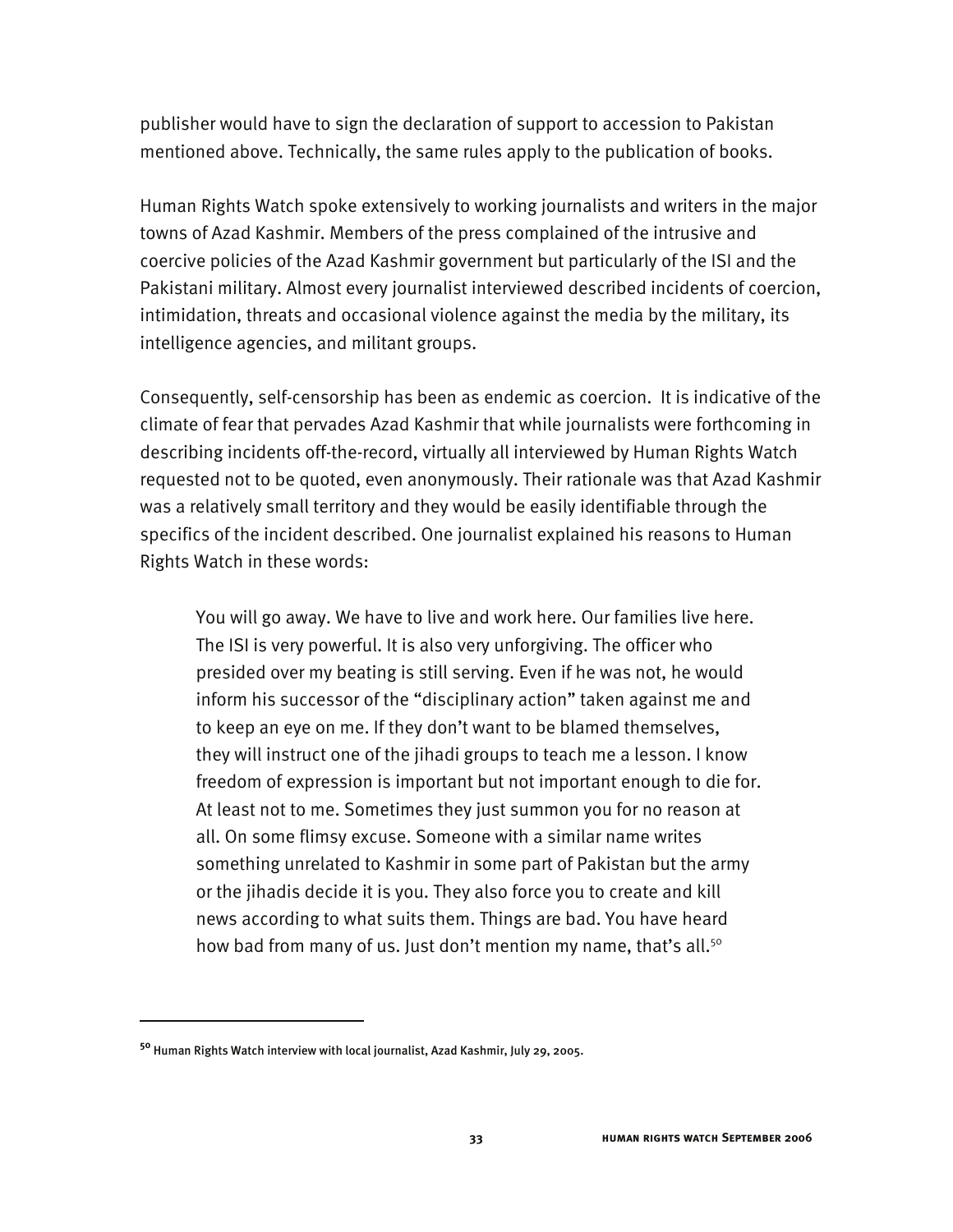publisher would have to sign the declaration of support to accession to Pakistan mentioned above. Technically, the same rules apply to the publication of books.

Human Rights Watch spoke extensively to working journalists and writers in the major towns of Azad Kashmir. Members of the press complained of the intrusive and coercive policies of the Azad Kashmir government but particularly of the ISI and the Pakistani military. Almost every journalist interviewed described incidents of coercion, intimidation, threats and occasional violence against the media by the military, its intelligence agencies, and militant groups.

Consequently, self-censorship has been as endemic as coercion. It is indicative of the climate of fear that pervades Azad Kashmir that while journalists were forthcoming in describing incidents off-the-record, virtually all interviewed by Human Rights Watch requested not to be quoted, even anonymously. Their rationale was that Azad Kashmir was a relatively small territory and they would be easily identifiable through the specifics of the incident described. One journalist explained his reasons to Human Rights Watch in these words:

You will go away. We have to live and work here. Our families live here. The ISI is very powerful. It is also very unforgiving. The officer who presided over my beating is still serving. Even if he was not, he would inform his successor of the "disciplinary action" taken against me and to keep an eye on me. If they don't want to be blamed themselves, they will instruct one of the jihadi groups to teach me a lesson. I know freedom of expression is important but not important enough to die for. At least not to me. Sometimes they just summon you for no reason at all. On some flimsy excuse. Someone with a similar name writes something unrelated to Kashmir in some part of Pakistan but the army or the jihadis decide it is you. They also force you to create and kill news according to what suits them. Things are bad. You have heard how bad from many of us. Just don't mention my name, that's all.<sup>50</sup>

**<sup>50</sup>** Human Rights Watch interview with local journalist, Azad Kashmir, July 29, 2005.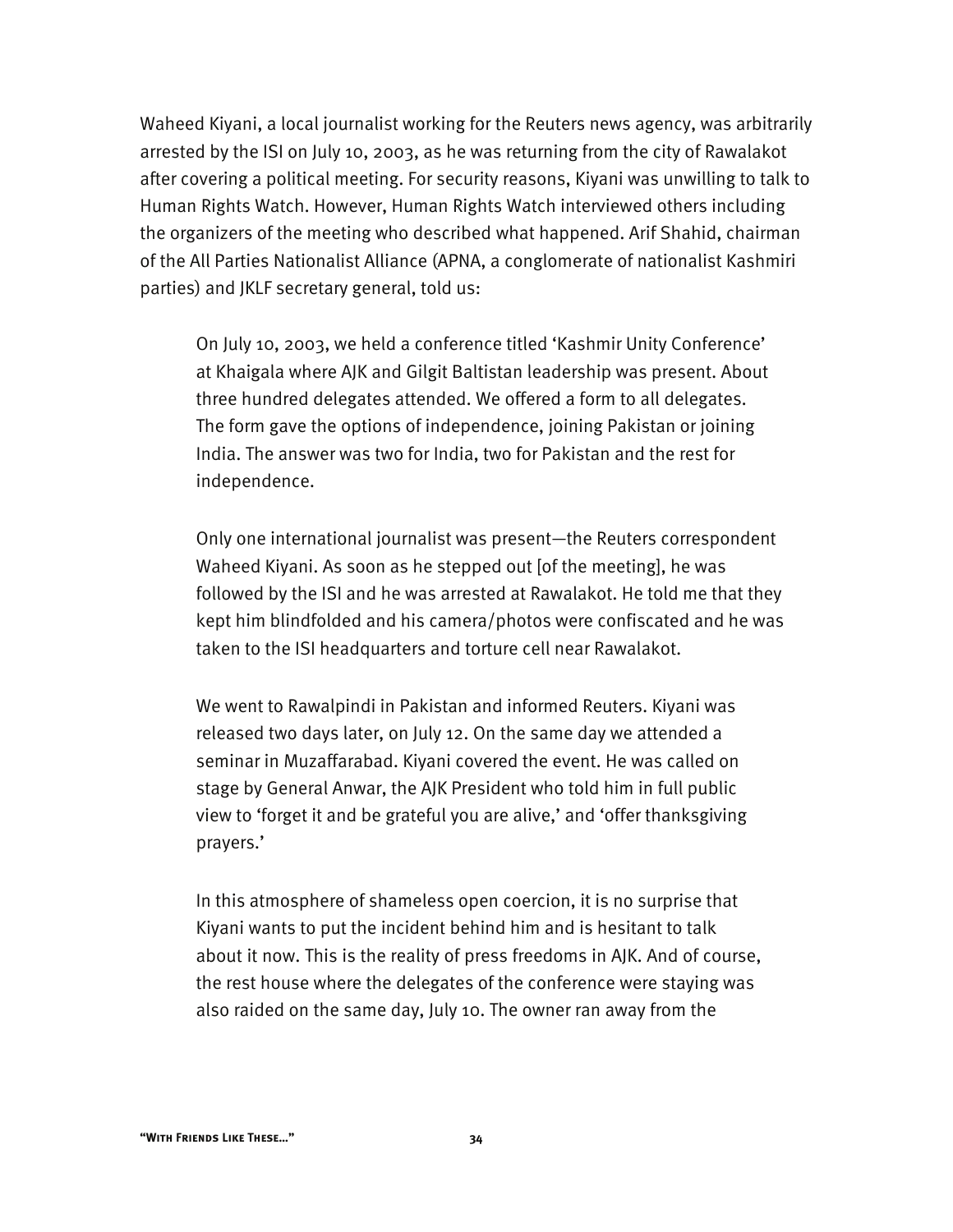Waheed Kiyani, a local journalist working for the Reuters news agency, was arbitrarily arrested by the ISI on July 10, 2003, as he was returning from the city of Rawalakot after covering a political meeting. For security reasons, Kiyani was unwilling to talk to Human Rights Watch. However, Human Rights Watch interviewed others including the organizers of the meeting who described what happened. Arif Shahid, chairman of the All Parties Nationalist Alliance (APNA, a conglomerate of nationalist Kashmiri parties) and JKLF secretary general, told us:

On July 10, 2003, we held a conference titled 'Kashmir Unity Conference' at Khaigala where AJK and Gilgit Baltistan leadership was present. About three hundred delegates attended. We offered a form to all delegates. The form gave the options of independence, joining Pakistan or joining India. The answer was two for India, two for Pakistan and the rest for independence.

Only one international journalist was present—the Reuters correspondent Waheed Kiyani. As soon as he stepped out [of the meeting], he was followed by the ISI and he was arrested at Rawalakot. He told me that they kept him blindfolded and his camera/photos were confiscated and he was taken to the ISI headquarters and torture cell near Rawalakot.

We went to Rawalpindi in Pakistan and informed Reuters. Kiyani was released two days later, on July 12. On the same day we attended a seminar in Muzaffarabad. Kiyani covered the event. He was called on stage by General Anwar, the AJK President who told him in full public view to 'forget it and be grateful you are alive,' and 'offer thanksgiving prayers.'

In this atmosphere of shameless open coercion, it is no surprise that Kiyani wants to put the incident behind him and is hesitant to talk about it now. This is the reality of press freedoms in AJK. And of course, the rest house where the delegates of the conference were staying was also raided on the same day, July 10. The owner ran away from the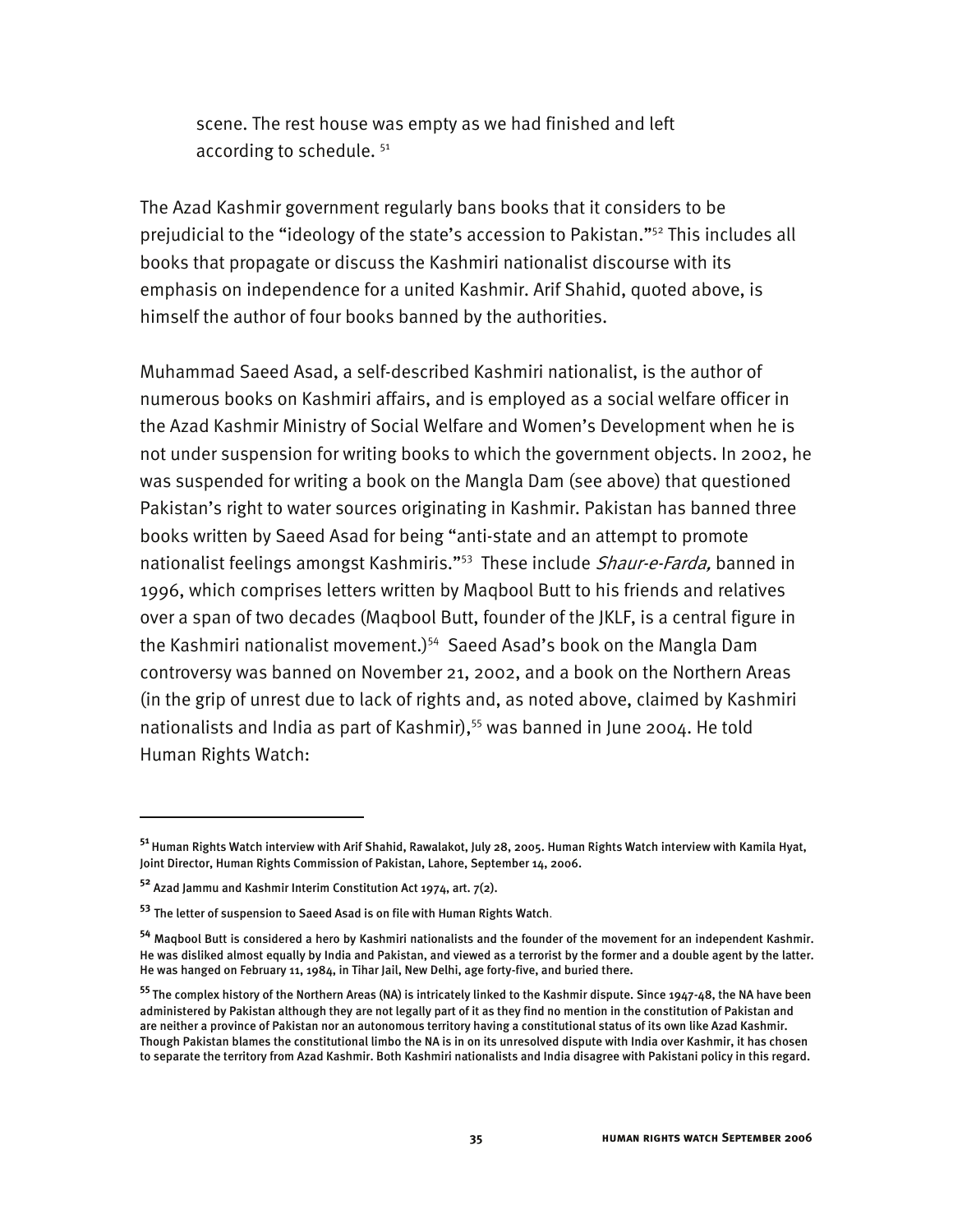scene. The rest house was empty as we had finished and left according to schedule.<sup>51</sup>

The Azad Kashmir government regularly bans books that it considers to be prejudicial to the "ideology of the state's accession to Pakistan."52 This includes all books that propagate or discuss the Kashmiri nationalist discourse with its emphasis on independence for a united Kashmir. Arif Shahid, quoted above, is himself the author of four books banned by the authorities.

Muhammad Saeed Asad, a self-described Kashmiri nationalist, is the author of numerous books on Kashmiri affairs, and is employed as a social welfare officer in the Azad Kashmir Ministry of Social Welfare and Women's Development when he is not under suspension for writing books to which the government objects. In 2002, he was suspended for writing a book on the Mangla Dam (see above) that questioned Pakistan's right to water sources originating in Kashmir. Pakistan has banned three books written by Saeed Asad for being "anti-state and an attempt to promote nationalist feelings amongst Kashmiris."<sup>53</sup> These include Shaur-e-Farda, banned in 1996, which comprises letters written by Maqbool Butt to his friends and relatives over a span of two decades (Maqbool Butt, founder of the JKLF, is a central figure in the Kashmiri nationalist movement.)<sup>54</sup> Saeed Asad's book on the Mangla Dam controversy was banned on November 21, 2002, and a book on the Northern Areas (in the grip of unrest due to lack of rights and, as noted above, claimed by Kashmiri nationalists and India as part of Kashmir),<sup>55</sup> was banned in June 2004. He told Human Rights Watch:

**<sup>51</sup>**Human Rights Watch interview with Arif Shahid, Rawalakot, July 28, 2005. Human Rights Watch interview with Kamila Hyat, Joint Director, Human Rights Commission of Pakistan, Lahore, September 14, 2006.

**<sup>52</sup>** Azad Jammu and Kashmir Interim Constitution Act 1974, art. 7(2).

**<sup>53</sup>** The letter of suspension to Saeed Asad is on file with Human Rights Watch.

**<sup>54</sup>** Maqbool Butt is considered a hero by Kashmiri nationalists and the founder of the movement for an independent Kashmir. He was disliked almost equally by India and Pakistan, and viewed as a terrorist by the former and a double agent by the latter. He was hanged on February 11, 1984, in Tihar Jail, New Delhi, age forty-five, and buried there.

**<sup>55</sup>**The complex history of the Northern Areas (NA) is intricately linked to the Kashmir dispute. Since 1947-48, the NA have been administered by Pakistan although they are not legally part of it as they find no mention in the constitution of Pakistan and are neither a province of Pakistan nor an autonomous territory having a constitutional status of its own like Azad Kashmir. Though Pakistan blames the constitutional limbo the NA is in on its unresolved dispute with India over Kashmir, it has chosen to separate the territory from Azad Kashmir. Both Kashmiri nationalists and India disagree with Pakistani policy in this regard.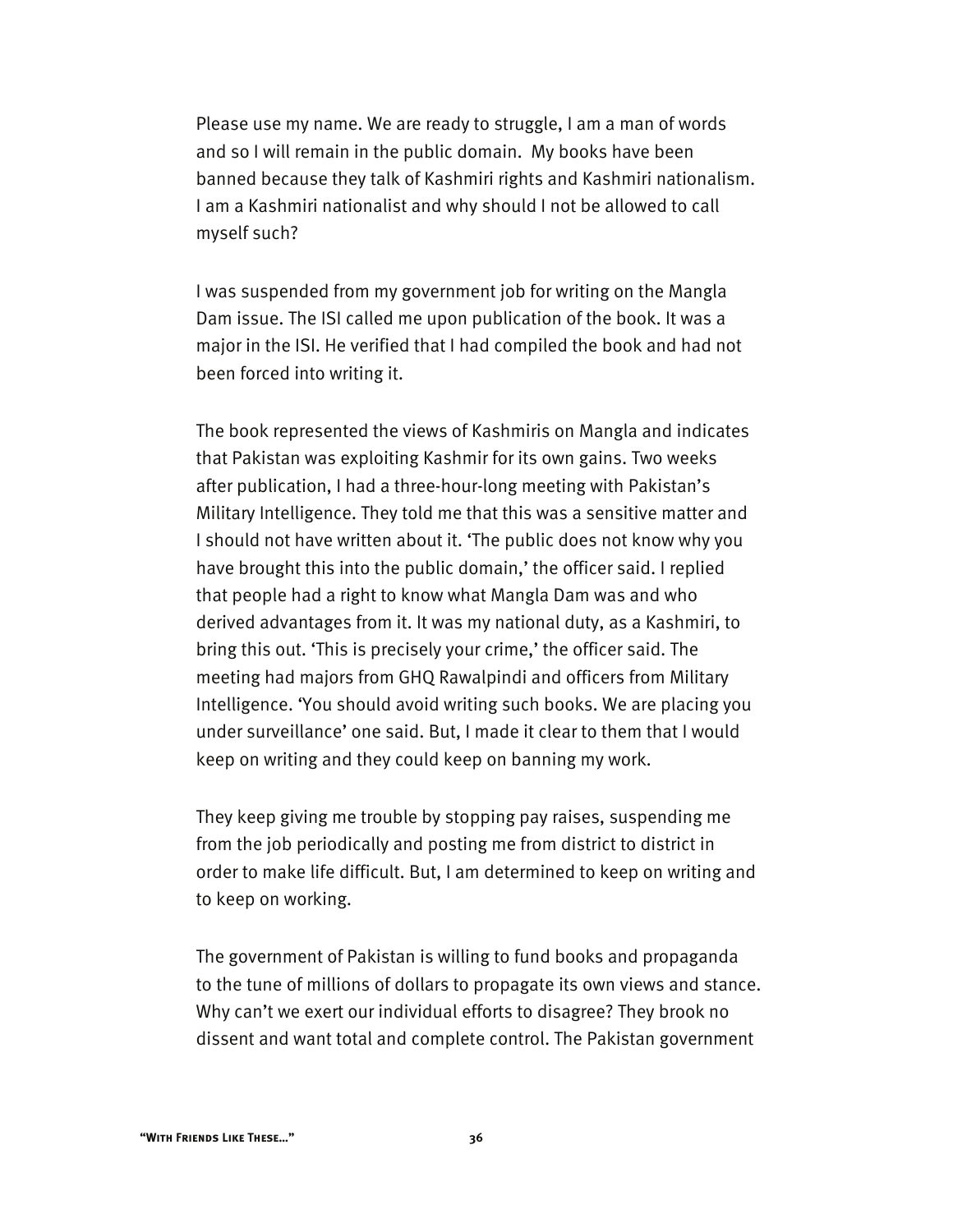Please use my name. We are ready to struggle, I am a man of words and so I will remain in the public domain. My books have been banned because they talk of Kashmiri rights and Kashmiri nationalism. I am a Kashmiri nationalist and why should I not be allowed to call myself such?

I was suspended from my government job for writing on the Mangla Dam issue. The ISI called me upon publication of the book. It was a major in the ISI. He verified that I had compiled the book and had not been forced into writing it.

The book represented the views of Kashmiris on Mangla and indicates that Pakistan was exploiting Kashmir for its own gains. Two weeks after publication, I had a three-hour-long meeting with Pakistan's Military Intelligence. They told me that this was a sensitive matter and I should not have written about it. 'The public does not know why you have brought this into the public domain,' the officer said. I replied that people had a right to know what Mangla Dam was and who derived advantages from it. It was my national duty, as a Kashmiri, to bring this out. 'This is precisely your crime,' the officer said. The meeting had majors from GHQ Rawalpindi and officers from Military Intelligence. 'You should avoid writing such books. We are placing you under surveillance' one said. But, I made it clear to them that I would keep on writing and they could keep on banning my work.

They keep giving me trouble by stopping pay raises, suspending me from the job periodically and posting me from district to district in order to make life difficult. But, I am determined to keep on writing and to keep on working.

The government of Pakistan is willing to fund books and propaganda to the tune of millions of dollars to propagate its own views and stance. Why can't we exert our individual efforts to disagree? They brook no dissent and want total and complete control. The Pakistan government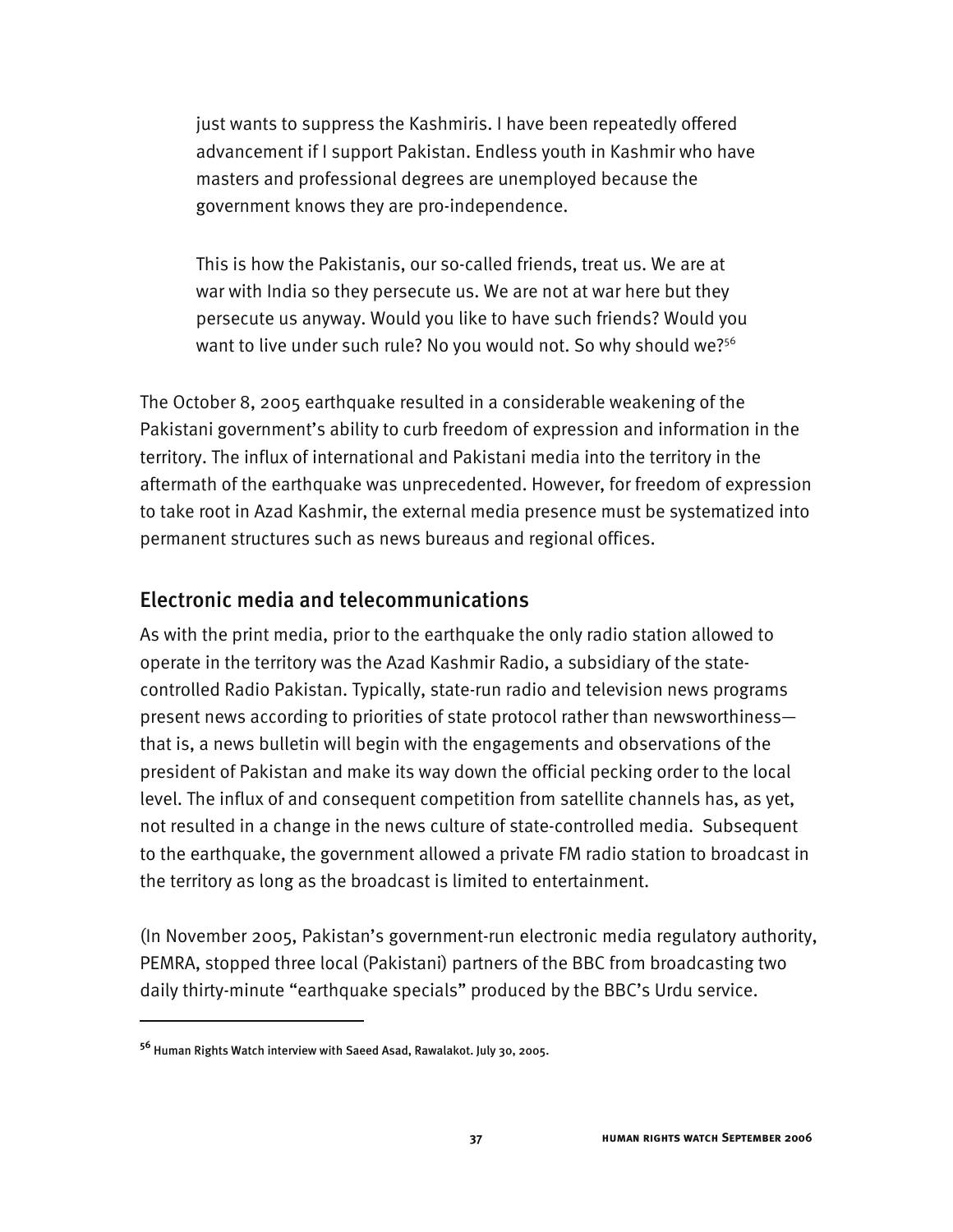just wants to suppress the Kashmiris. I have been repeatedly offered advancement if I support Pakistan. Endless youth in Kashmir who have masters and professional degrees are unemployed because the government knows they are pro-independence.

This is how the Pakistanis, our so-called friends, treat us. We are at war with India so they persecute us. We are not at war here but they persecute us anyway. Would you like to have such friends? Would you want to live under such rule? No you would not. So why should we?<sup>56</sup>

The October 8, 2005 earthquake resulted in a considerable weakening of the Pakistani government's ability to curb freedom of expression and information in the territory. The influx of international and Pakistani media into the territory in the aftermath of the earthquake was unprecedented. However, for freedom of expression to take root in Azad Kashmir, the external media presence must be systematized into permanent structures such as news bureaus and regional offices.

#### Electronic media and telecommunications

As with the print media, prior to the earthquake the only radio station allowed to operate in the territory was the Azad Kashmir Radio, a subsidiary of the statecontrolled Radio Pakistan. Typically, state-run radio and television news programs present news according to priorities of state protocol rather than newsworthiness that is, a news bulletin will begin with the engagements and observations of the president of Pakistan and make its way down the official pecking order to the local level. The influx of and consequent competition from satellite channels has, as yet, not resulted in a change in the news culture of state-controlled media. Subsequent to the earthquake, the government allowed a private FM radio station to broadcast in the territory as long as the broadcast is limited to entertainment.

(In November 2005, Pakistan's government-run electronic media regulatory authority, PEMRA, stopped three local (Pakistani) partners of the BBC from broadcasting two daily thirty-minute "earthquake specials" produced by the BBC's Urdu service.

**<sup>56</sup>** Human Rights Watch interview with Saeed Asad, Rawalakot. July 30, 2005.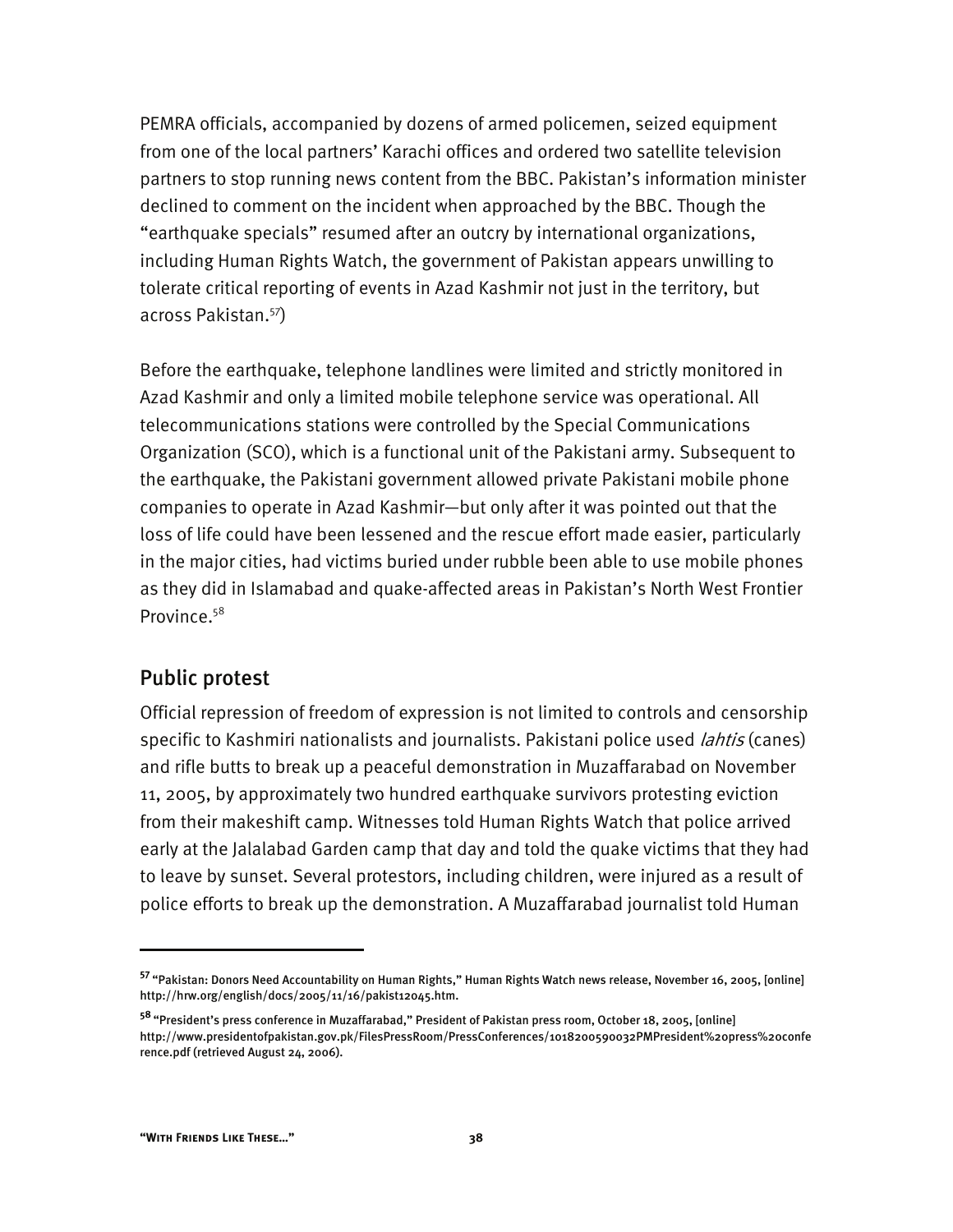PEMRA officials, accompanied by dozens of armed policemen, seized equipment from one of the local partners' Karachi offices and ordered two satellite television partners to stop running news content from the BBC. Pakistan's information minister declined to comment on the incident when approached by the BBC. Though the "earthquake specials" resumed after an outcry by international organizations, including Human Rights Watch, the government of Pakistan appears unwilling to tolerate critical reporting of events in Azad Kashmir not just in the territory, but across Pakistan.57)

Before the earthquake, telephone landlines were limited and strictly monitored in Azad Kashmir and only a limited mobile telephone service was operational. All telecommunications stations were controlled by the Special Communications Organization (SCO), which is a functional unit of the Pakistani army. Subsequent to the earthquake, the Pakistani government allowed private Pakistani mobile phone companies to operate in Azad Kashmir—but only after it was pointed out that the loss of life could have been lessened and the rescue effort made easier, particularly in the major cities, had victims buried under rubble been able to use mobile phones as they did in Islamabad and quake-affected areas in Pakistan's North West Frontier Province.<sup>58</sup>

### Public protest

Official repression of freedom of expression is not limited to controls and censorship specific to Kashmiri nationalists and journalists. Pakistani police used *lahtis* (canes) and rifle butts to break up a peaceful demonstration in Muzaffarabad on November 11, 2005, by approximately two hundred earthquake survivors protesting eviction from their makeshift camp. Witnesses told Human Rights Watch that police arrived early at the Jalalabad Garden camp that day and told the quake victims that they had to leave by sunset. Several protestors, including children, were injured as a result of police efforts to break up the demonstration. A Muzaffarabad journalist told Human

**<sup>57</sup>**"Pakistan: Donors Need Accountability on Human Rights," Human Rights Watch news release, November 16, 2005, [online] http://hrw.org/english/docs/2005/11/16/pakist12045.htm.

**<sup>58</sup>**"President's press conference in Muzaffarabad," President of Pakistan press room, October 18, 2005, [online] http://www.presidentofpakistan.gov.pk/FilesPressRoom/PressConferences/1018200590032PMPresident%20press%20confe rence.pdf (retrieved August 24, 2006).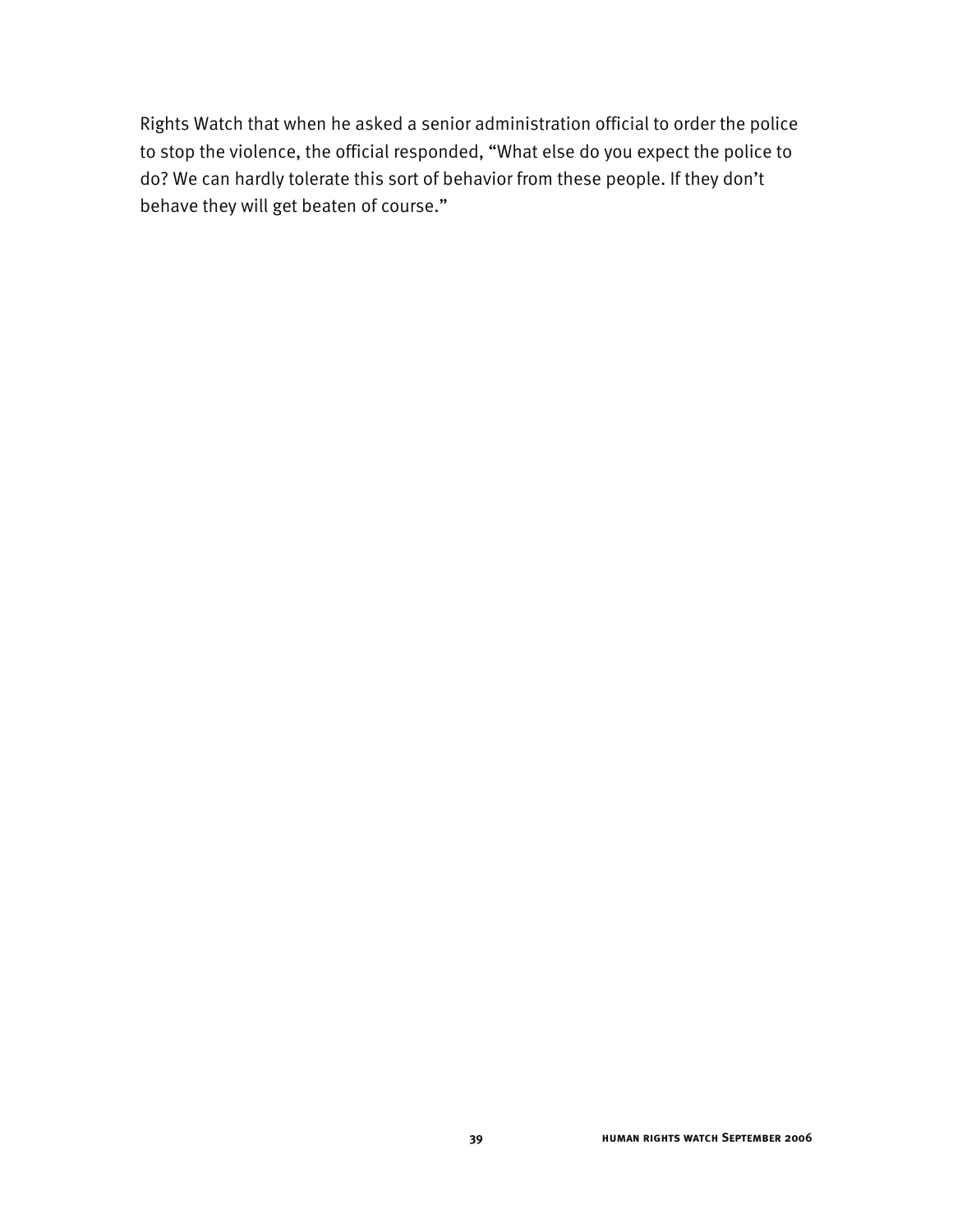Rights Watch that when he asked a senior administration official to order the police to stop the violence, the official responded, "What else do you expect the police to do? We can hardly tolerate this sort of behavior from these people. If they don't behave they will get beaten of course."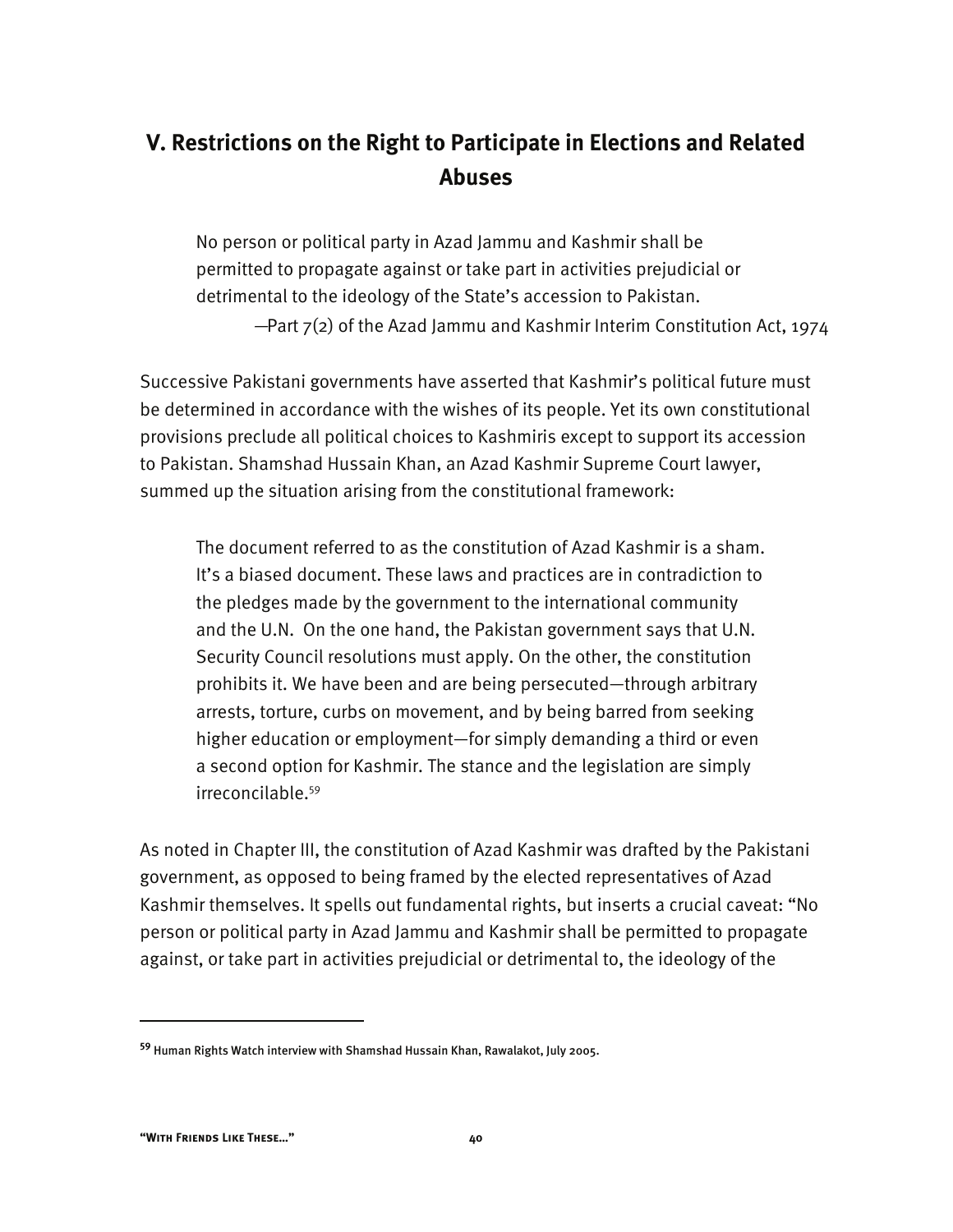# **V. Restrictions on the Right to Participate in Elections and Related Abuses**

No person or political party in Azad Jammu and Kashmir shall be permitted to propagate against or take part in activities prejudicial or detrimental to the ideology of the State's accession to Pakistan. —Part 7(2) of the Azad Jammu and Kashmir Interim Constitution Act, 1974

Successive Pakistani governments have asserted that Kashmir's political future must be determined in accordance with the wishes of its people. Yet its own constitutional provisions preclude all political choices to Kashmiris except to support its accession to Pakistan. Shamshad Hussain Khan, an Azad Kashmir Supreme Court lawyer, summed up the situation arising from the constitutional framework:

The document referred to as the constitution of Azad Kashmir is a sham. It's a biased document. These laws and practices are in contradiction to the pledges made by the government to the international community and the U.N. On the one hand, the Pakistan government says that U.N. Security Council resolutions must apply. On the other, the constitution prohibits it. We have been and are being persecuted—through arbitrary arrests, torture, curbs on movement, and by being barred from seeking higher education or employment—for simply demanding a third or even a second option for Kashmir. The stance and the legislation are simply irreconcilable.59

As noted in Chapter III, the constitution of Azad Kashmir was drafted by the Pakistani government, as opposed to being framed by the elected representatives of Azad Kashmir themselves. It spells out fundamental rights, but inserts a crucial caveat: "No person or political party in Azad Jammu and Kashmir shall be permitted to propagate against, or take part in activities prejudicial or detrimental to, the ideology of the

-

**<sup>59</sup>** Human Rights Watch interview with Shamshad Hussain Khan, Rawalakot, July 2005.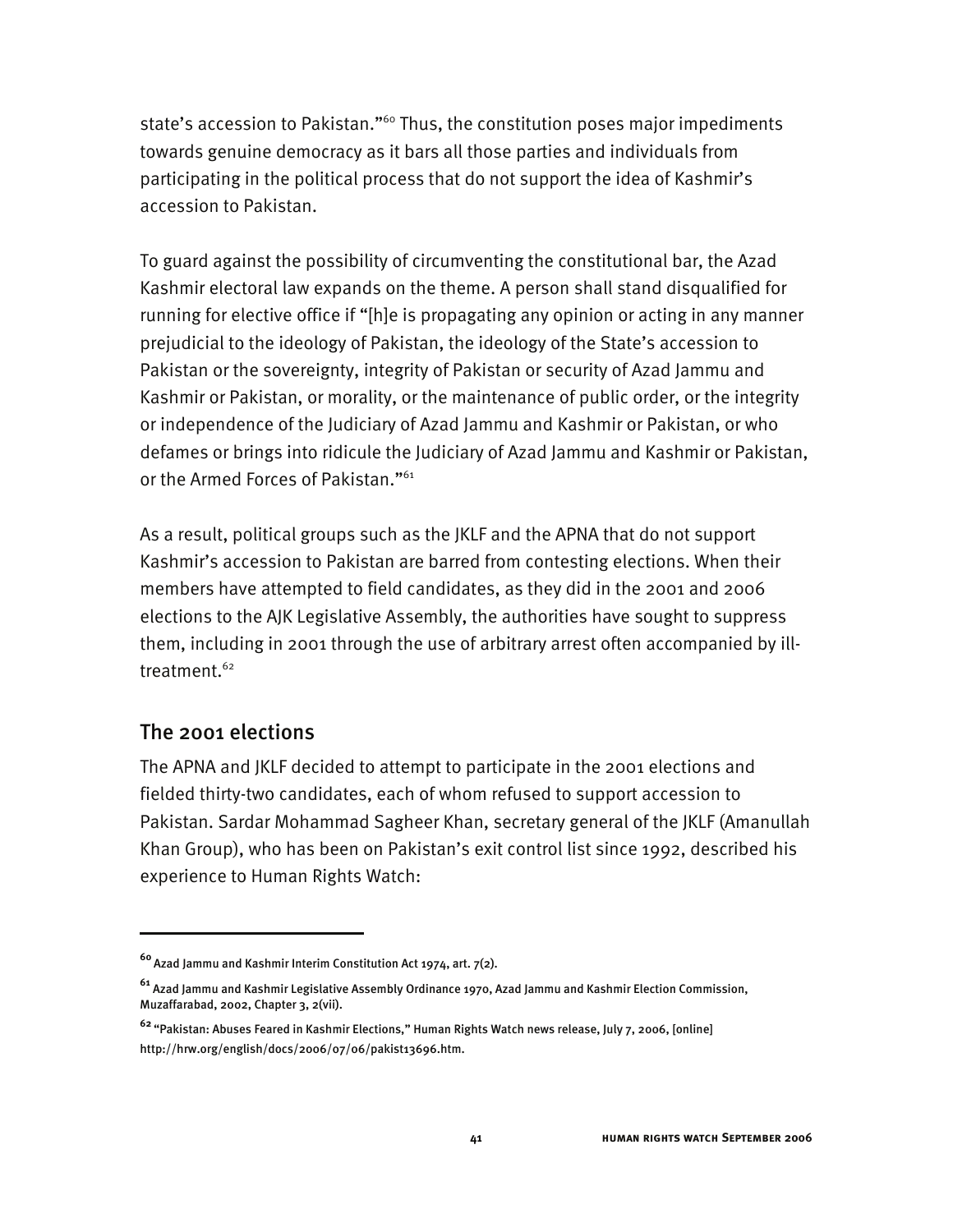state's accession to Pakistan."<sup>60</sup> Thus, the constitution poses major impediments towards genuine democracy as it bars all those parties and individuals from participating in the political process that do not support the idea of Kashmir's accession to Pakistan.

To guard against the possibility of circumventing the constitutional bar, the Azad Kashmir electoral law expands on the theme. A person shall stand disqualified for running for elective office if "[h]e is propagating any opinion or acting in any manner prejudicial to the ideology of Pakistan, the ideology of the State's accession to Pakistan or the sovereignty, integrity of Pakistan or security of Azad Jammu and Kashmir or Pakistan, or morality, or the maintenance of public order, or the integrity or independence of the Judiciary of Azad Jammu and Kashmir or Pakistan, or who defames or brings into ridicule the Judiciary of Azad Jammu and Kashmir or Pakistan, or the Armed Forces of Pakistan."<sup>61</sup>

As a result, political groups such as the JKLF and the APNA that do not support Kashmir's accession to Pakistan are barred from contesting elections. When their members have attempted to field candidates, as they did in the 2001 and 2006 elections to the AJK Legislative Assembly, the authorities have sought to suppress them, including in 2001 through the use of arbitrary arrest often accompanied by illtreatment.<sup>62</sup>

### The 2001 elections

I

The APNA and JKLF decided to attempt to participate in the 2001 elections and fielded thirty-two candidates, each of whom refused to support accession to Pakistan. Sardar Mohammad Sagheer Khan, secretary general of the JKLF (Amanullah Khan Group), who has been on Pakistan's exit control list since 1992, described his experience to Human Rights Watch:

**<sup>60</sup>**Azad Jammu and Kashmir Interim Constitution Act 1974, art. 7(2).

**<sup>61</sup>** Azad Jammu and Kashmir Legislative Assembly Ordinance 1970, Azad Jammu and Kashmir Election Commission, Muzaffarabad, 2002, Chapter 3, 2(vii).

**<sup>62</sup>**"Pakistan: Abuses Feared in Kashmir Elections," Human Rights Watch news release, July 7, 2006, [online] http://hrw.org/english/docs/2006/07/06/pakist13696.htm.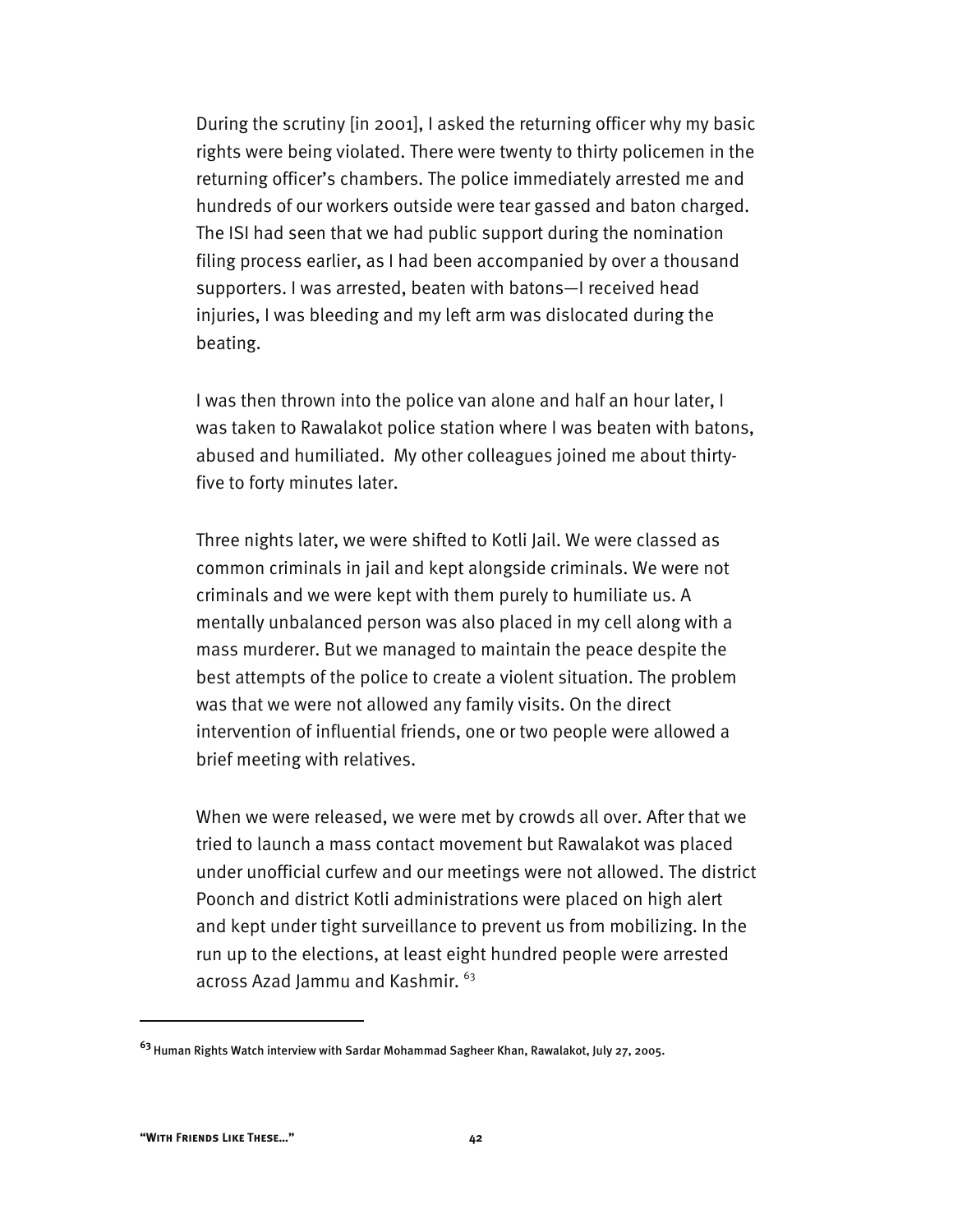During the scrutiny [in 2001], I asked the returning officer why my basic rights were being violated. There were twenty to thirty policemen in the returning officer's chambers. The police immediately arrested me and hundreds of our workers outside were tear gassed and baton charged. The ISI had seen that we had public support during the nomination filing process earlier, as I had been accompanied by over a thousand supporters. I was arrested, beaten with batons—I received head injuries, I was bleeding and my left arm was dislocated during the beating.

I was then thrown into the police van alone and half an hour later, I was taken to Rawalakot police station where I was beaten with batons, abused and humiliated. My other colleagues joined me about thirtyfive to forty minutes later.

Three nights later, we were shifted to Kotli Jail. We were classed as common criminals in jail and kept alongside criminals. We were not criminals and we were kept with them purely to humiliate us. A mentally unbalanced person was also placed in my cell along with a mass murderer. But we managed to maintain the peace despite the best attempts of the police to create a violent situation. The problem was that we were not allowed any family visits. On the direct intervention of influential friends, one or two people were allowed a brief meeting with relatives.

When we were released, we were met by crowds all over. After that we tried to launch a mass contact movement but Rawalakot was placed under unofficial curfew and our meetings were not allowed. The district Poonch and district Kotli administrations were placed on high alert and kept under tight surveillance to prevent us from mobilizing. In the run up to the elections, at least eight hundred people were arrested across Azad Jammu and Kashmir. <sup>63</sup>

**<sup>63</sup>**Human Rights Watch interview with Sardar Mohammad Sagheer Khan, Rawalakot, July 27, 2005.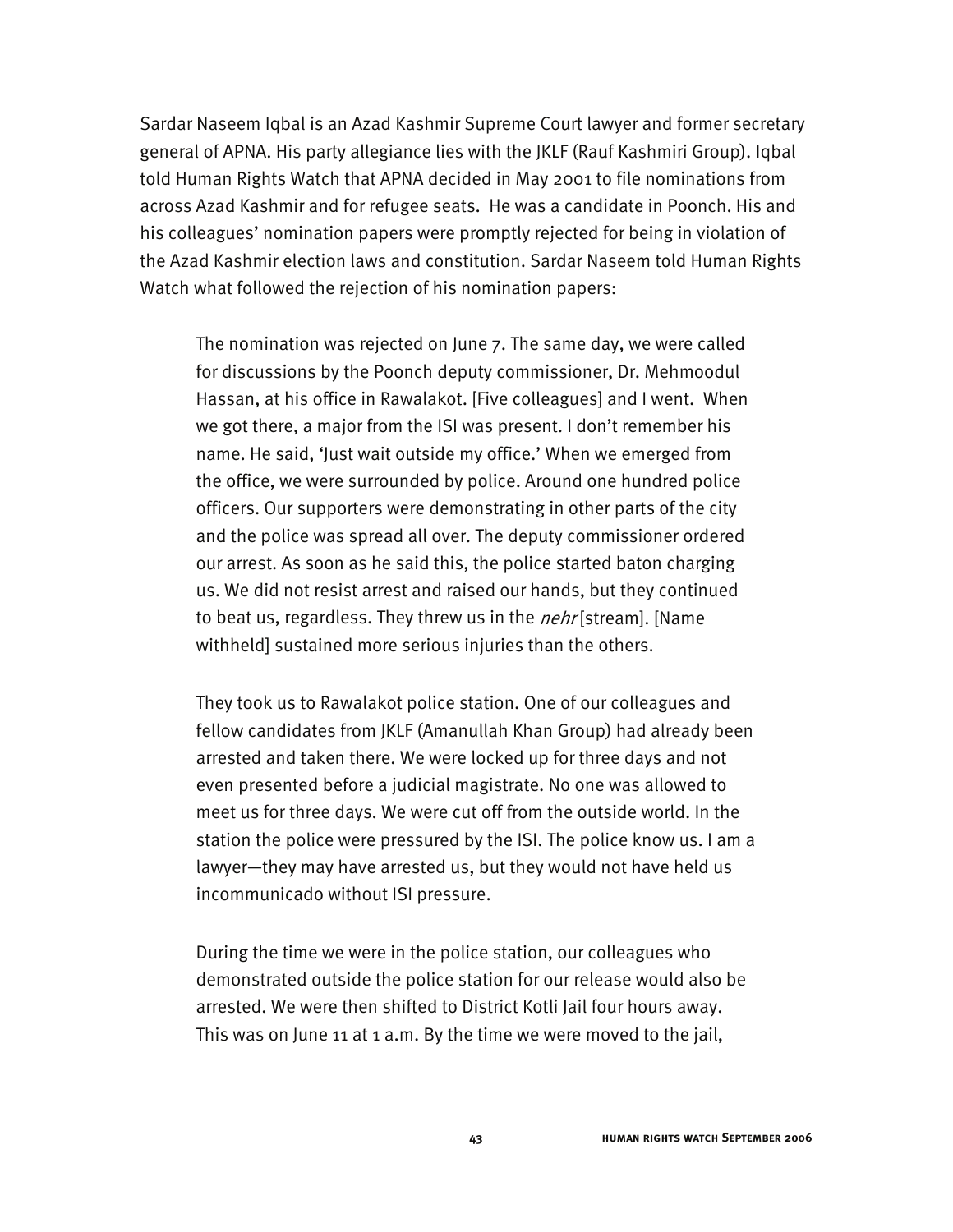Sardar Naseem Iqbal is an Azad Kashmir Supreme Court lawyer and former secretary general of APNA. His party allegiance lies with the JKLF (Rauf Kashmiri Group). Iqbal told Human Rights Watch that APNA decided in May 2001 to file nominations from across Azad Kashmir and for refugee seats. He was a candidate in Poonch. His and his colleagues' nomination papers were promptly rejected for being in violation of the Azad Kashmir election laws and constitution. Sardar Naseem told Human Rights Watch what followed the rejection of his nomination papers:

The nomination was rejected on June 7. The same day, we were called for discussions by the Poonch deputy commissioner, Dr. Mehmoodul Hassan, at his office in Rawalakot. [Five colleagues] and I went. When we got there, a major from the ISI was present. I don't remember his name. He said, 'Just wait outside my office.' When we emerged from the office, we were surrounded by police. Around one hundred police officers. Our supporters were demonstrating in other parts of the city and the police was spread all over. The deputy commissioner ordered our arrest. As soon as he said this, the police started baton charging us. We did not resist arrest and raised our hands, but they continued to beat us, regardless. They threw us in the *nehr* [stream]. [Name withheld] sustained more serious injuries than the others.

They took us to Rawalakot police station. One of our colleagues and fellow candidates from JKLF (Amanullah Khan Group) had already been arrested and taken there. We were locked up for three days and not even presented before a judicial magistrate. No one was allowed to meet us for three days. We were cut off from the outside world. In the station the police were pressured by the ISI. The police know us. I am a lawyer—they may have arrested us, but they would not have held us incommunicado without ISI pressure.

During the time we were in the police station, our colleagues who demonstrated outside the police station for our release would also be arrested. We were then shifted to District Kotli Jail four hours away. This was on June 11 at 1 a.m. By the time we were moved to the jail,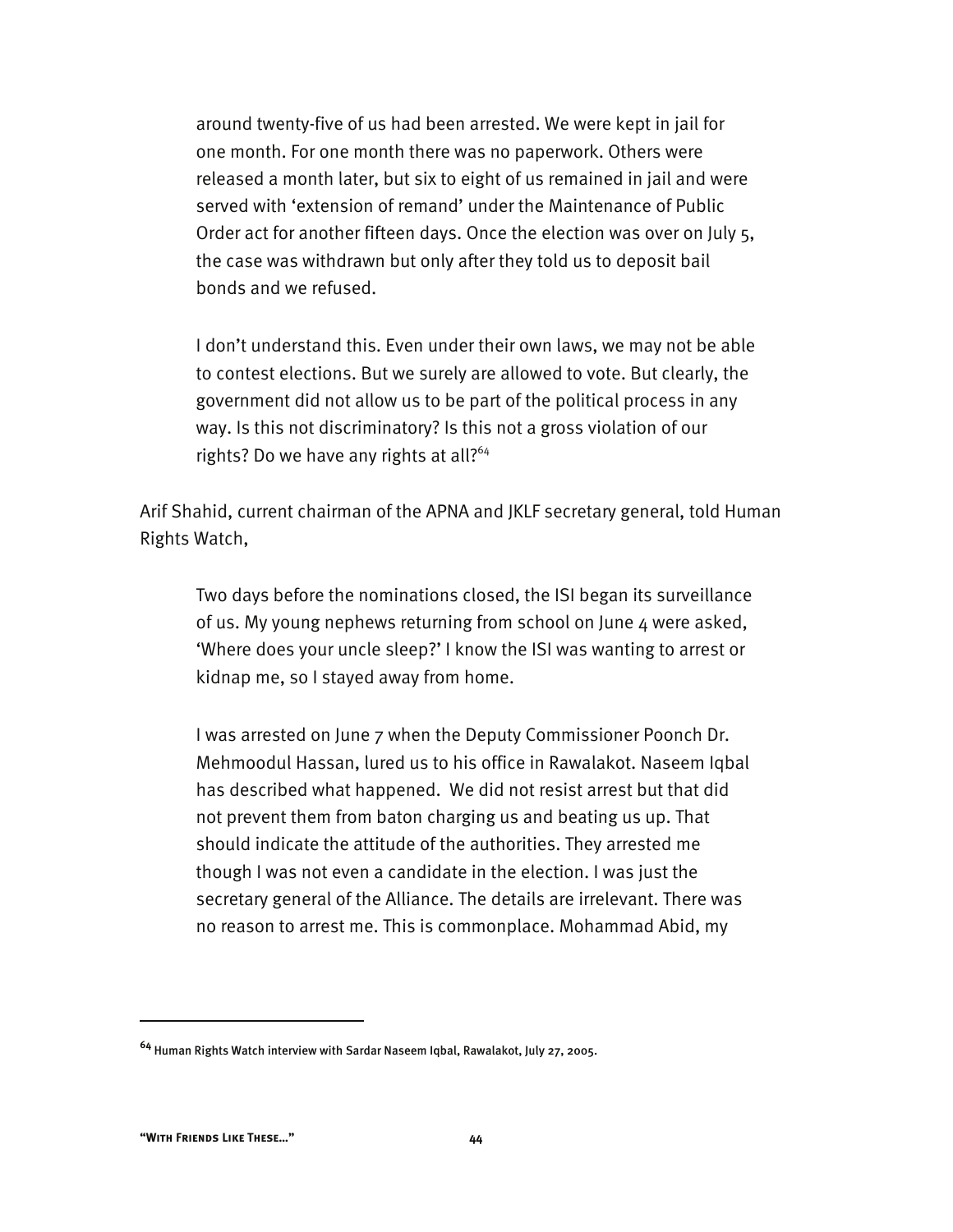around twenty-five of us had been arrested. We were kept in jail for one month. For one month there was no paperwork. Others were released a month later, but six to eight of us remained in jail and were served with 'extension of remand' under the Maintenance of Public Order act for another fifteen days. Once the election was over on July 5, the case was withdrawn but only after they told us to deposit bail bonds and we refused.

I don't understand this. Even under their own laws, we may not be able to contest elections. But we surely are allowed to vote. But clearly, the government did not allow us to be part of the political process in any way. Is this not discriminatory? Is this not a gross violation of our rights? Do we have any rights at all?<sup>64</sup>

Arif Shahid, current chairman of the APNA and JKLF secretary general, told Human Rights Watch,

Two days before the nominations closed, the ISI began its surveillance of us. My young nephews returning from school on June 4 were asked, 'Where does your uncle sleep?' I know the ISI was wanting to arrest or kidnap me, so I stayed away from home.

I was arrested on June 7 when the Deputy Commissioner Poonch Dr. Mehmoodul Hassan, lured us to his office in Rawalakot. Naseem Iqbal has described what happened. We did not resist arrest but that did not prevent them from baton charging us and beating us up. That should indicate the attitude of the authorities. They arrested me though I was not even a candidate in the election. I was just the secretary general of the Alliance. The details are irrelevant. There was no reason to arrest me. This is commonplace. Mohammad Abid, my

**<sup>64</sup>** Human Rights Watch interview with Sardar Naseem Iqbal, Rawalakot, July 27, 2005.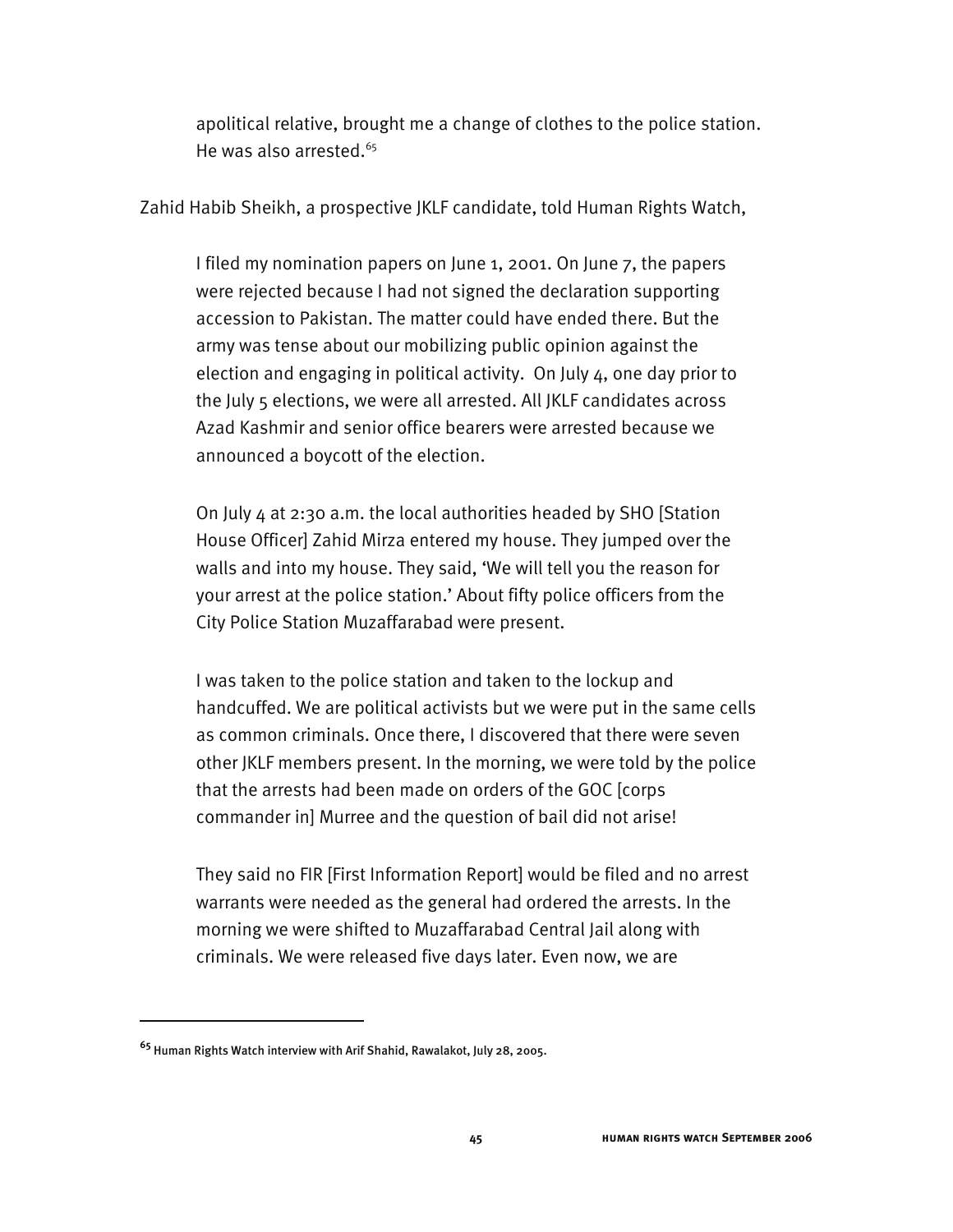apolitical relative, brought me a change of clothes to the police station. He was also arrested. $65$ 

Zahid Habib Sheikh, a prospective JKLF candidate, told Human Rights Watch,

I filed my nomination papers on June 1, 2001. On June 7, the papers were rejected because I had not signed the declaration supporting accession to Pakistan. The matter could have ended there. But the army was tense about our mobilizing public opinion against the election and engaging in political activity. On July 4, one day prior to the July 5 elections, we were all arrested. All JKLF candidates across Azad Kashmir and senior office bearers were arrested because we announced a boycott of the election.

On July 4 at 2:30 a.m. the local authorities headed by SHO [Station House Officer] Zahid Mirza entered my house. They jumped over the walls and into my house. They said, 'We will tell you the reason for your arrest at the police station.' About fifty police officers from the City Police Station Muzaffarabad were present.

I was taken to the police station and taken to the lockup and handcuffed. We are political activists but we were put in the same cells as common criminals. Once there, I discovered that there were seven other JKLF members present. In the morning, we were told by the police that the arrests had been made on orders of the GOC [corps commander in] Murree and the question of bail did not arise!

They said no FIR [First Information Report] would be filed and no arrest warrants were needed as the general had ordered the arrests. In the morning we were shifted to Muzaffarabad Central Jail along with criminals. We were released five days later. Even now, we are

**<sup>65</sup>** Human Rights Watch interview with Arif Shahid, Rawalakot, July 28, 2005.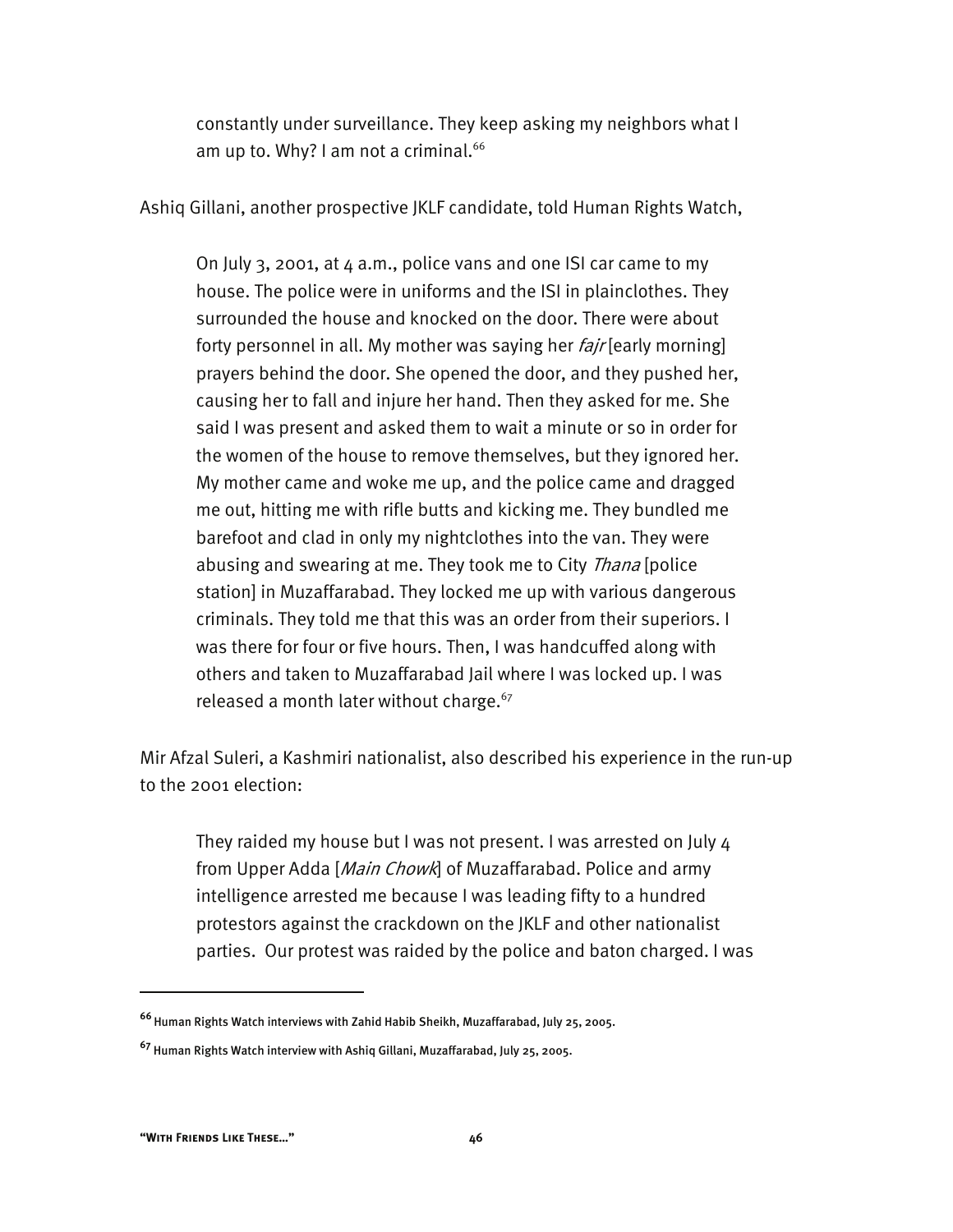constantly under surveillance. They keep asking my neighbors what I am up to. Why? I am not a criminal. $^{66}$ 

Ashiq Gillani, another prospective JKLF candidate, told Human Rights Watch,

On July 3, 2001, at 4 a.m., police vans and one ISI car came to my house. The police were in uniforms and the ISI in plainclothes. They surrounded the house and knocked on the door. There were about forty personnel in all. My mother was saying her *fajr* [early morning] prayers behind the door. She opened the door, and they pushed her, causing her to fall and injure her hand. Then they asked for me. She said I was present and asked them to wait a minute or so in order for the women of the house to remove themselves, but they ignored her. My mother came and woke me up, and the police came and dragged me out, hitting me with rifle butts and kicking me. They bundled me barefoot and clad in only my nightclothes into the van. They were abusing and swearing at me. They took me to City *Thana* [police station] in Muzaffarabad. They locked me up with various dangerous criminals. They told me that this was an order from their superiors. I was there for four or five hours. Then, I was handcuffed along with others and taken to Muzaffarabad Jail where I was locked up. I was released a month later without charge.<sup>67</sup>

Mir Afzal Suleri, a Kashmiri nationalist, also described his experience in the run-up to the 2001 election:

They raided my house but I was not present. I was arrested on July 4 from Upper Adda [Main Chowk] of Muzaffarabad. Police and army intelligence arrested me because I was leading fifty to a hundred protestors against the crackdown on the JKLF and other nationalist parties. Our protest was raided by the police and baton charged. I was

**<sup>66</sup>**Human Rights Watch interviews with Zahid Habib Sheikh, Muzaffarabad, July 25, 2005.

**<sup>67</sup>** Human Rights Watch interview with Ashiq Gillani, Muzaffarabad, July 25, 2005.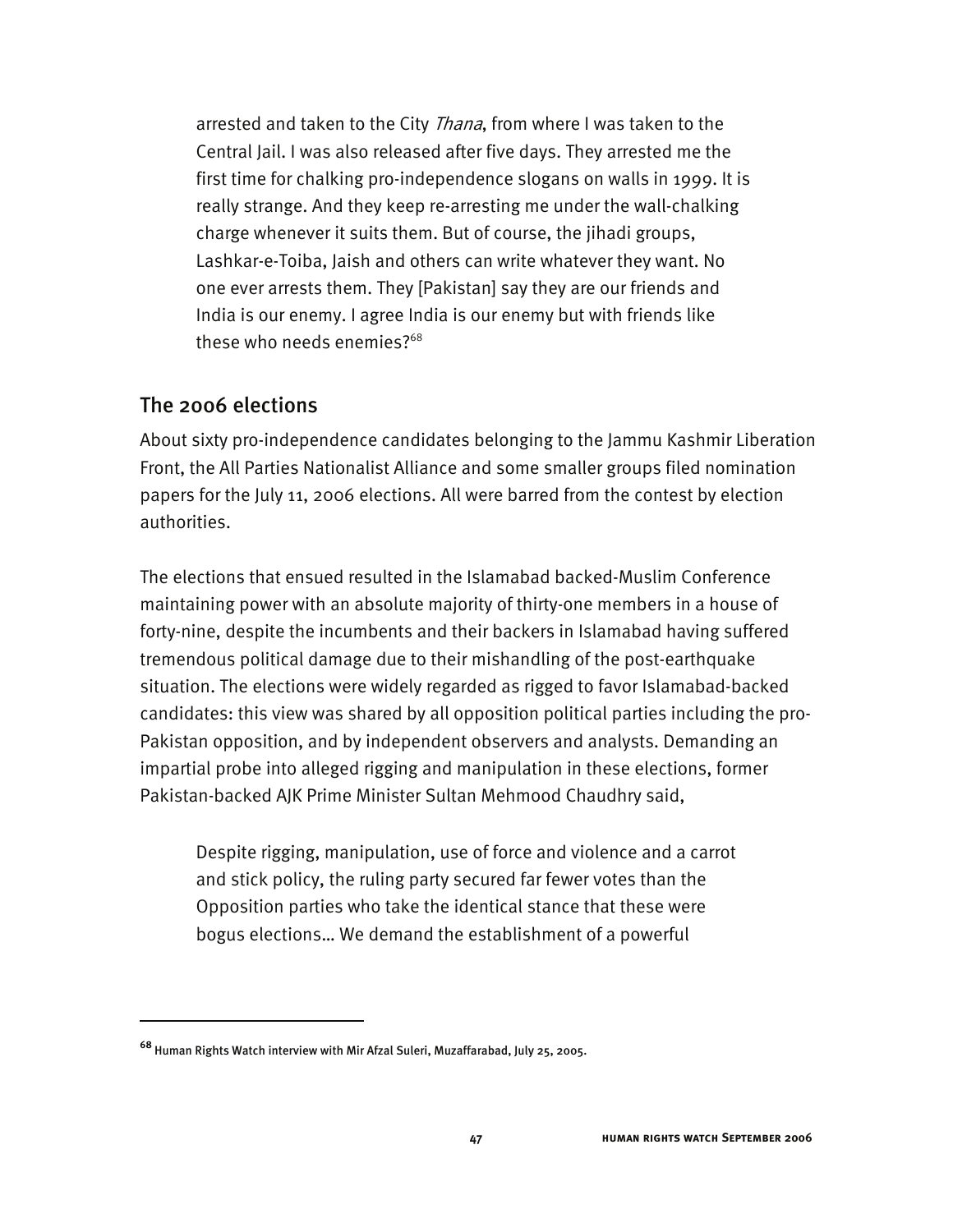arrested and taken to the City *Thana*, from where I was taken to the Central Jail. I was also released after five days. They arrested me the first time for chalking pro-independence slogans on walls in 1999. It is really strange. And they keep re-arresting me under the wall-chalking charge whenever it suits them. But of course, the jihadi groups, Lashkar-e-Toiba, Jaish and others can write whatever they want. No one ever arrests them. They [Pakistan] say they are our friends and India is our enemy. I agree India is our enemy but with friends like these who needs enemies?<sup>68</sup>

### The 2006 elections

I

About sixty pro-independence candidates belonging to the Jammu Kashmir Liberation Front, the All Parties Nationalist Alliance and some smaller groups filed nomination papers for the July 11, 2006 elections. All were barred from the contest by election authorities.

The elections that ensued resulted in the Islamabad backed-Muslim Conference maintaining power with an absolute majority of thirty-one members in a house of forty-nine, despite the incumbents and their backers in Islamabad having suffered tremendous political damage due to their mishandling of the post-earthquake situation. The elections were widely regarded as rigged to favor Islamabad-backed candidates: this view was shared by all opposition political parties including the pro-Pakistan opposition, and by independent observers and analysts. Demanding an impartial probe into alleged rigging and manipulation in these elections, former Pakistan-backed AJK Prime Minister Sultan Mehmood Chaudhry said,

Despite rigging, manipulation, use of force and violence and a carrot and stick policy, the ruling party secured far fewer votes than the Opposition parties who take the identical stance that these were bogus elections… We demand the establishment of a powerful

**<sup>68</sup>** Human Rights Watch interview with Mir Afzal Suleri, Muzaffarabad, July 25, 2005.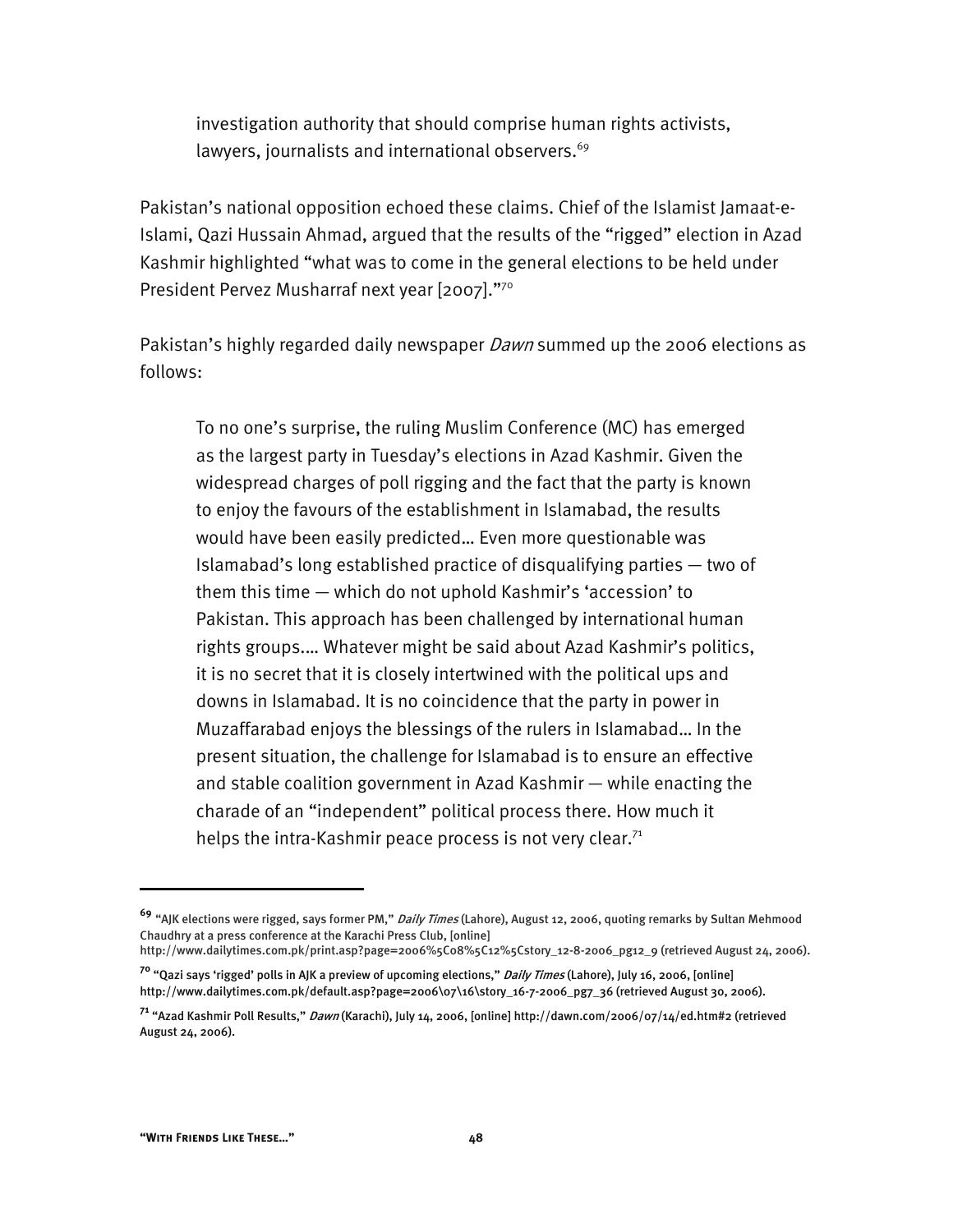investigation authority that should comprise human rights activists, lawyers, journalists and international observers.<sup>69</sup>

Pakistan's national opposition echoed these claims. Chief of the Islamist Jamaat-e-Islami, Qazi Hussain Ahmad, argued that the results of the "rigged" election in Azad Kashmir highlighted "what was to come in the general elections to be held under President Pervez Musharraf next year [2007]."<sup>70</sup>

Pakistan's highly regarded daily newspaper Dawn summed up the 2006 elections as follows:

To no one's surprise, the ruling Muslim Conference (MC) has emerged as the largest party in Tuesday's elections in Azad Kashmir. Given the widespread charges of poll rigging and the fact that the party is known to enjoy the favours of the establishment in Islamabad, the results would have been easily predicted… Even more questionable was Islamabad's long established practice of disqualifying parties — two of them this time — which do not uphold Kashmir's 'accession' to Pakistan. This approach has been challenged by international human rights groups.… Whatever might be said about Azad Kashmir's politics, it is no secret that it is closely intertwined with the political ups and downs in Islamabad. It is no coincidence that the party in power in Muzaffarabad enjoys the blessings of the rulers in Islamabad… In the present situation, the challenge for Islamabad is to ensure an effective and stable coalition government in Azad Kashmir — while enacting the charade of an "independent" political process there. How much it helps the intra-Kashmir peace process is not very clear. $71$ 

**<sup>69</sup>** "AJK elections were rigged, says former PM," Daily Times (Lahore), August 12, 2006, quoting remarks by Sultan Mehmood Chaudhry at a press conference at the Karachi Press Club, [online]

http://www.dailytimes.com.pk/print.asp?page=2006%5C08%5C12%5Cstory\_12-8-2006\_pg12\_9 (retrieved August 24, 2006).

**<sup>70</sup>** "Qazi says 'rigged' polls in AJK a preview of upcoming elections," Daily Times (Lahore), July 16, 2006, [online] http://www.dailytimes.com.pk/default.asp?page=2006\07\16\story\_16-7-2006\_pg7\_36 (retrieved August 30, 2006).

**<sup>71</sup>** "Azad Kashmir Poll Results," Dawn (Karachi), July 14, 2006, [online] http://dawn.com/2006/07/14/ed.htm#2 (retrieved August 24, 2006).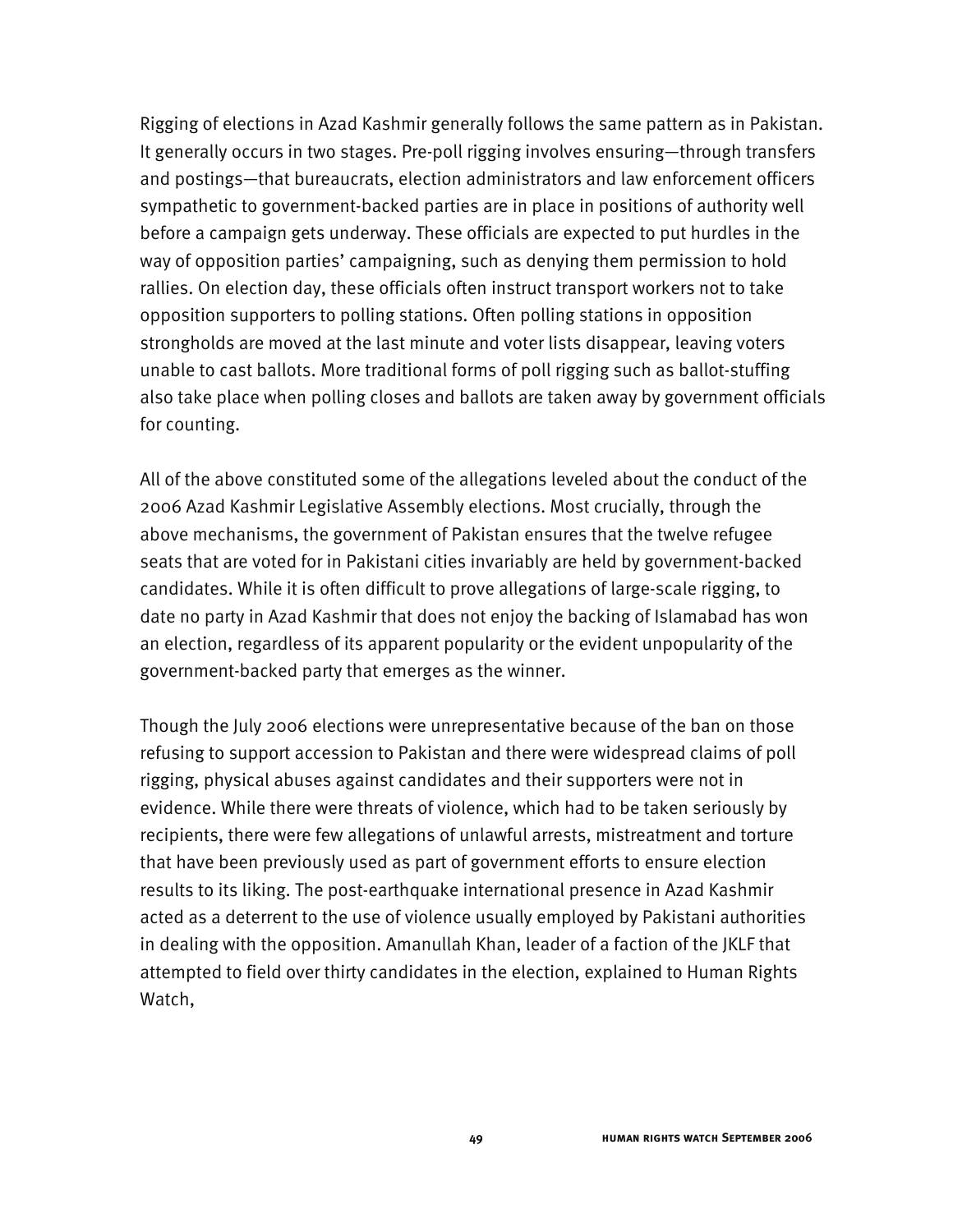Rigging of elections in Azad Kashmir generally follows the same pattern as in Pakistan. It generally occurs in two stages. Pre-poll rigging involves ensuring—through transfers and postings—that bureaucrats, election administrators and law enforcement officers sympathetic to government-backed parties are in place in positions of authority well before a campaign gets underway. These officials are expected to put hurdles in the way of opposition parties' campaigning, such as denying them permission to hold rallies. On election day, these officials often instruct transport workers not to take opposition supporters to polling stations. Often polling stations in opposition strongholds are moved at the last minute and voter lists disappear, leaving voters unable to cast ballots. More traditional forms of poll rigging such as ballot-stuffing also take place when polling closes and ballots are taken away by government officials for counting.

All of the above constituted some of the allegations leveled about the conduct of the 2006 Azad Kashmir Legislative Assembly elections. Most crucially, through the above mechanisms, the government of Pakistan ensures that the twelve refugee seats that are voted for in Pakistani cities invariably are held by government-backed candidates. While it is often difficult to prove allegations of large-scale rigging, to date no party in Azad Kashmir that does not enjoy the backing of Islamabad has won an election, regardless of its apparent popularity or the evident unpopularity of the government-backed party that emerges as the winner.

Though the July 2006 elections were unrepresentative because of the ban on those refusing to support accession to Pakistan and there were widespread claims of poll rigging, physical abuses against candidates and their supporters were not in evidence. While there were threats of violence, which had to be taken seriously by recipients, there were few allegations of unlawful arrests, mistreatment and torture that have been previously used as part of government efforts to ensure election results to its liking. The post-earthquake international presence in Azad Kashmir acted as a deterrent to the use of violence usually employed by Pakistani authorities in dealing with the opposition. Amanullah Khan, leader of a faction of the JKLF that attempted to field over thirty candidates in the election, explained to Human Rights Watch,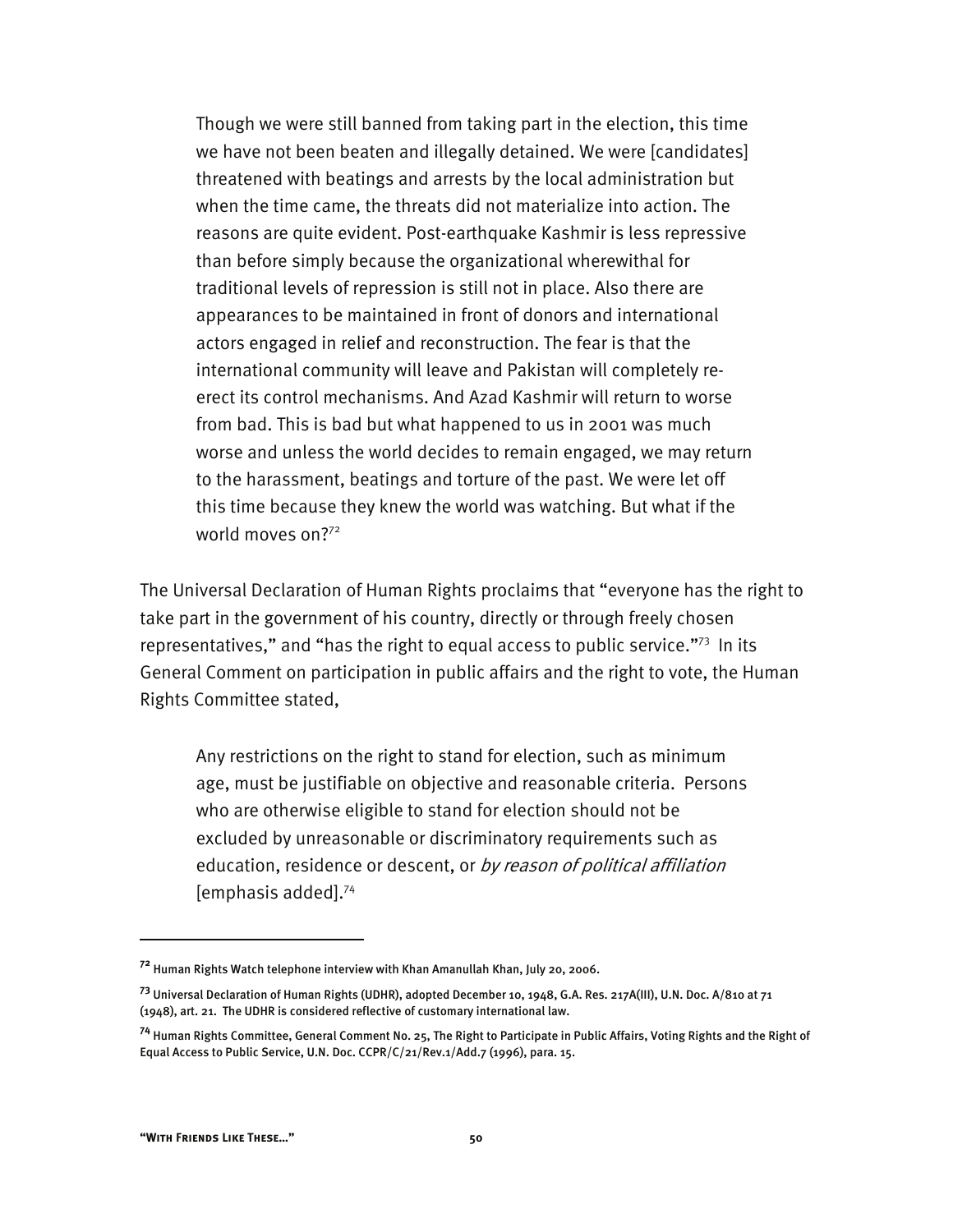Though we were still banned from taking part in the election, this time we have not been beaten and illegally detained. We were [candidates] threatened with beatings and arrests by the local administration but when the time came, the threats did not materialize into action. The reasons are quite evident. Post-earthquake Kashmir is less repressive than before simply because the organizational wherewithal for traditional levels of repression is still not in place. Also there are appearances to be maintained in front of donors and international actors engaged in relief and reconstruction. The fear is that the international community will leave and Pakistan will completely reerect its control mechanisms. And Azad Kashmir will return to worse from bad. This is bad but what happened to us in 2001 was much worse and unless the world decides to remain engaged, we may return to the harassment, beatings and torture of the past. We were let off this time because they knew the world was watching. But what if the world moves on?<sup>72</sup>

The Universal Declaration of Human Rights proclaims that "everyone has the right to take part in the government of his country, directly or through freely chosen representatives," and "has the right to equal access to public service."73 In its General Comment on participation in public affairs and the right to vote, the Human Rights Committee stated,

Any restrictions on the right to stand for election, such as minimum age, must be justifiable on objective and reasonable criteria. Persons who are otherwise eligible to stand for election should not be excluded by unreasonable or discriminatory requirements such as education, residence or descent, or by reason of political affiliation [emphasis added].74

**<sup>72</sup>** Human Rights Watch telephone interview with Khan Amanullah Khan, July 20, 2006.

**<sup>73</sup>** Universal Declaration of Human Rights (UDHR), adopted December 10, 1948, G.A. Res. 217A(III), U.N. Doc. A/810 at 71 (1948), art. 21. The UDHR is considered reflective of customary international law.

**<sup>74</sup>** Human Rights Committee, General Comment No. 25, The Right to Participate in Public Affairs, Voting Rights and the Right of Equal Access to Public Service, U.N. Doc. CCPR/C/21/Rev.1/Add.7 (1996), para. 15.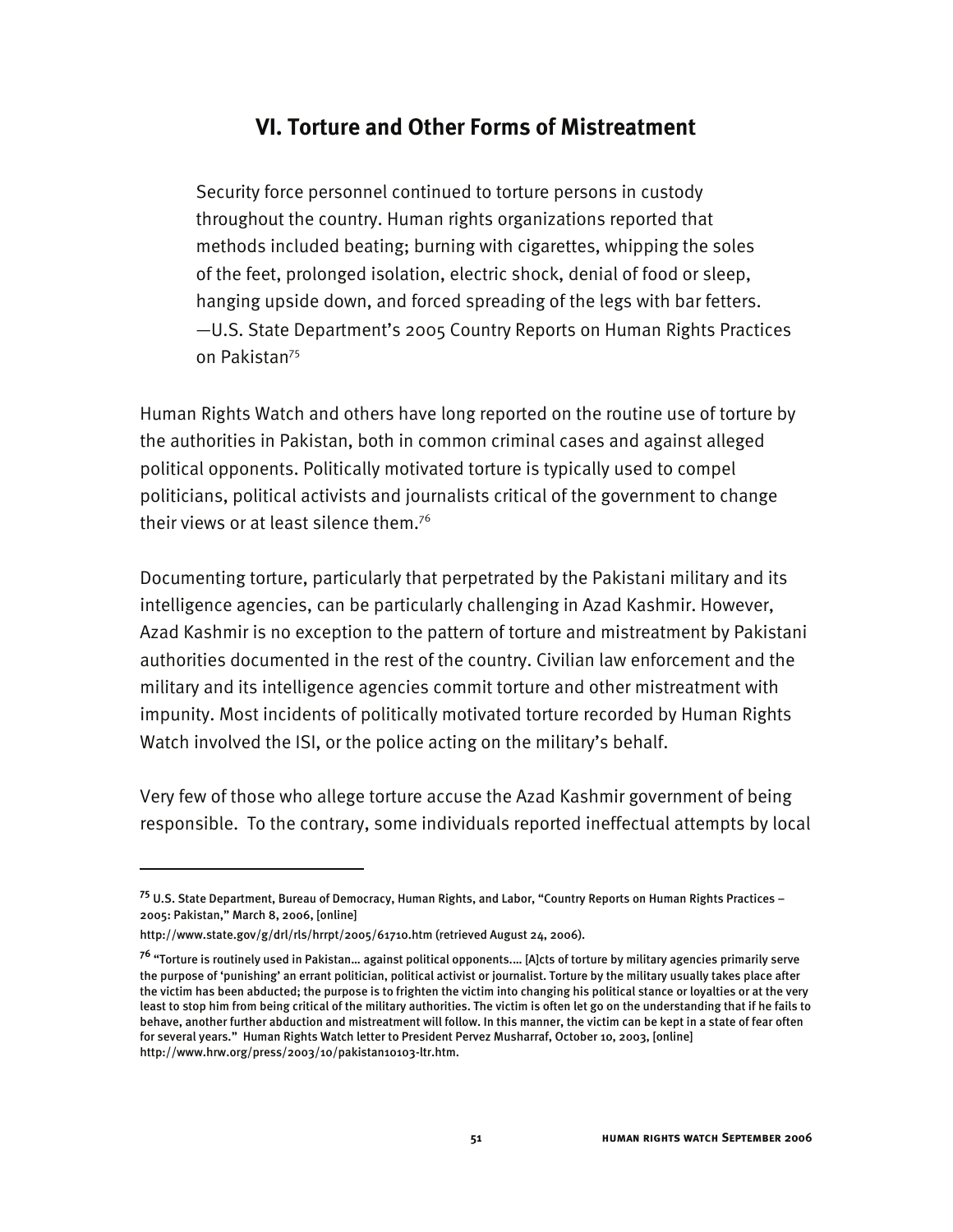## **VI. Torture and Other Forms of Mistreatment**

Security force personnel continued to torture persons in custody throughout the country. Human rights organizations reported that methods included beating; burning with cigarettes, whipping the soles of the feet, prolonged isolation, electric shock, denial of food or sleep, hanging upside down, and forced spreading of the legs with bar fetters. —U.S. State Department's 2005 Country Reports on Human Rights Practices on Pakistan<sup>75</sup>

Human Rights Watch and others have long reported on the routine use of torture by the authorities in Pakistan, both in common criminal cases and against alleged political opponents. Politically motivated torture is typically used to compel politicians, political activists and journalists critical of the government to change their views or at least silence them.<sup>76</sup>

Documenting torture, particularly that perpetrated by the Pakistani military and its intelligence agencies, can be particularly challenging in Azad Kashmir. However, Azad Kashmir is no exception to the pattern of torture and mistreatment by Pakistani authorities documented in the rest of the country. Civilian law enforcement and the military and its intelligence agencies commit torture and other mistreatment with impunity. Most incidents of politically motivated torture recorded by Human Rights Watch involved the ISI, or the police acting on the military's behalf.

Very few of those who allege torture accuse the Azad Kashmir government of being responsible. To the contrary, some individuals reported ineffectual attempts by local

**<sup>75</sup>** U.S. State Department, Bureau of Democracy, Human Rights, and Labor, "Country Reports on Human Rights Practices – 2005: Pakistan," March 8, 2006, [online]

http://www.state.gov/g/drl/rls/hrrpt/2005/61710.htm (retrieved August 24, 2006).

**<sup>76</sup>** "Torture is routinely used in Pakistan… against political opponents.… [A]cts of torture by military agencies primarily serve the purpose of 'punishing' an errant politician, political activist or journalist. Torture by the military usually takes place after the victim has been abducted; the purpose is to frighten the victim into changing his political stance or loyalties or at the very least to stop him from being critical of the military authorities. The victim is often let go on the understanding that if he fails to behave, another further abduction and mistreatment will follow. In this manner, the victim can be kept in a state of fear often for several years." Human Rights Watch letter to President Pervez Musharraf, October 10, 2003, [online] http://www.hrw.org/press/2003/10/pakistan10103-ltr.htm.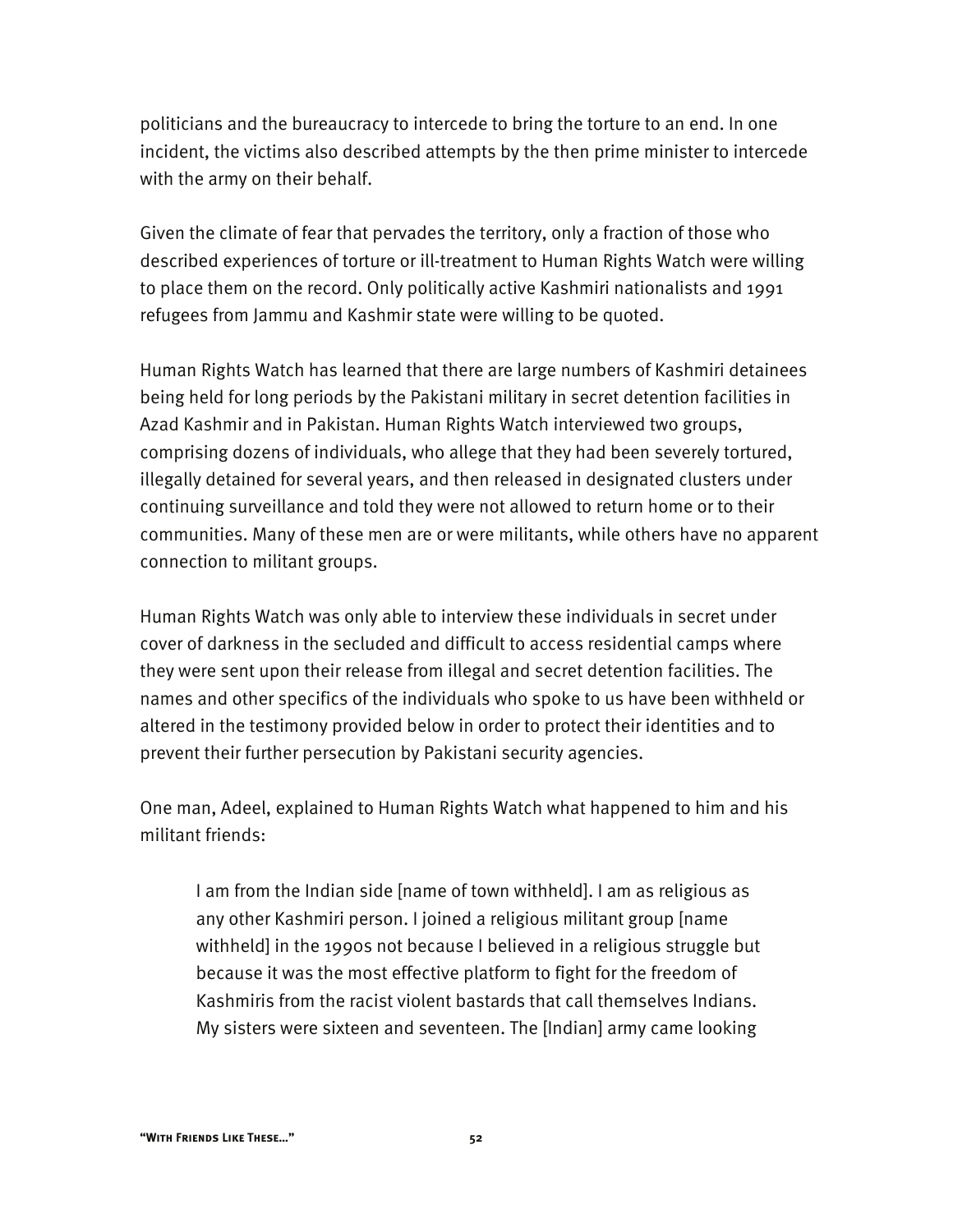politicians and the bureaucracy to intercede to bring the torture to an end. In one incident, the victims also described attempts by the then prime minister to intercede with the army on their behalf.

Given the climate of fear that pervades the territory, only a fraction of those who described experiences of torture or ill-treatment to Human Rights Watch were willing to place them on the record. Only politically active Kashmiri nationalists and 1991 refugees from Jammu and Kashmir state were willing to be quoted.

Human Rights Watch has learned that there are large numbers of Kashmiri detainees being held for long periods by the Pakistani military in secret detention facilities in Azad Kashmir and in Pakistan. Human Rights Watch interviewed two groups, comprising dozens of individuals, who allege that they had been severely tortured, illegally detained for several years, and then released in designated clusters under continuing surveillance and told they were not allowed to return home or to their communities. Many of these men are or were militants, while others have no apparent connection to militant groups.

Human Rights Watch was only able to interview these individuals in secret under cover of darkness in the secluded and difficult to access residential camps where they were sent upon their release from illegal and secret detention facilities. The names and other specifics of the individuals who spoke to us have been withheld or altered in the testimony provided below in order to protect their identities and to prevent their further persecution by Pakistani security agencies.

One man, Adeel, explained to Human Rights Watch what happened to him and his militant friends:

I am from the Indian side [name of town withheld]. I am as religious as any other Kashmiri person. I joined a religious militant group [name withheld] in the 1990s not because I believed in a religious struggle but because it was the most effective platform to fight for the freedom of Kashmiris from the racist violent bastards that call themselves Indians. My sisters were sixteen and seventeen. The [Indian] army came looking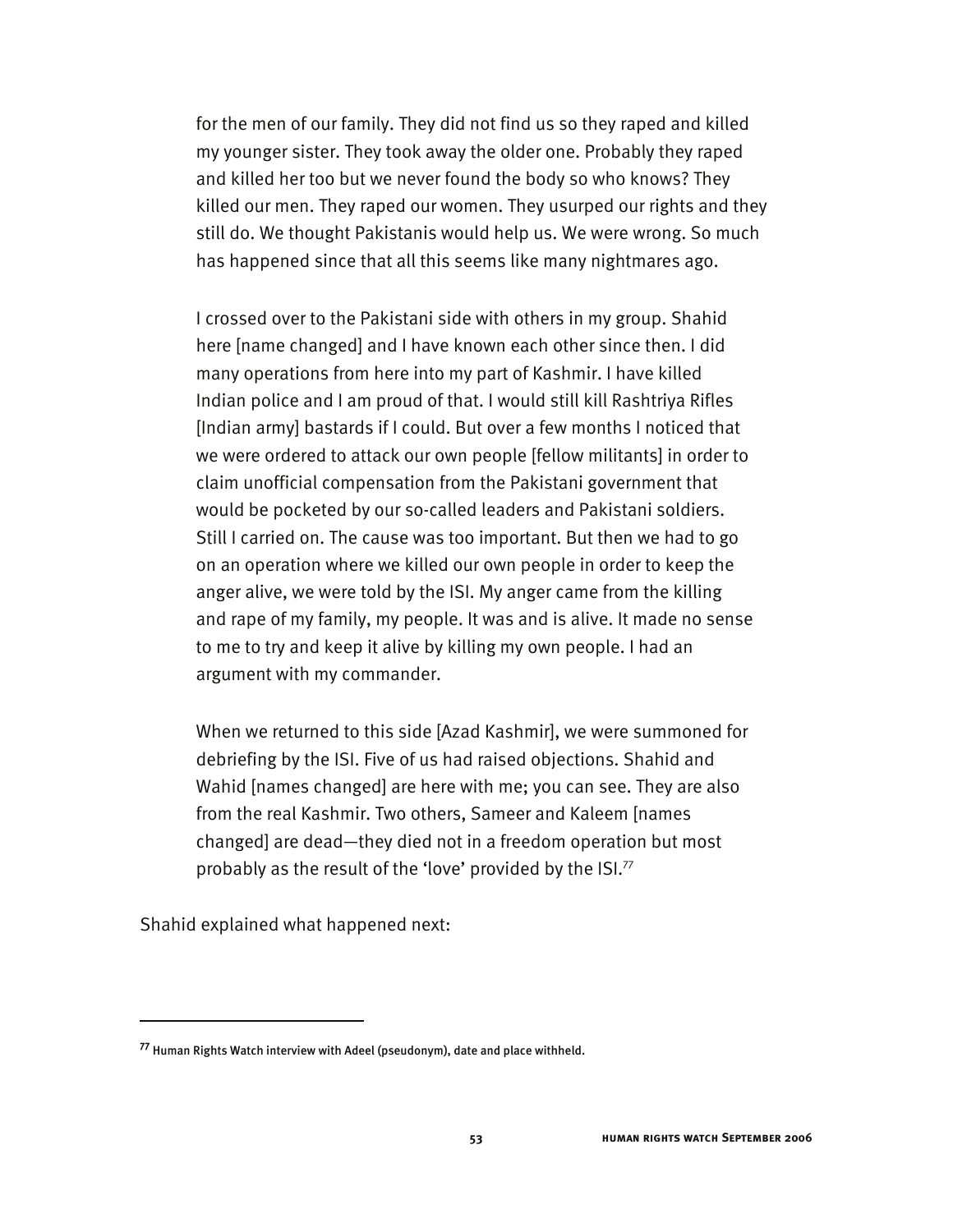for the men of our family. They did not find us so they raped and killed my younger sister. They took away the older one. Probably they raped and killed her too but we never found the body so who knows? They killed our men. They raped our women. They usurped our rights and they still do. We thought Pakistanis would help us. We were wrong. So much has happened since that all this seems like many nightmares ago.

I crossed over to the Pakistani side with others in my group. Shahid here [name changed] and I have known each other since then. I did many operations from here into my part of Kashmir. I have killed Indian police and I am proud of that. I would still kill Rashtriya Rifles [Indian army] bastards if I could. But over a few months I noticed that we were ordered to attack our own people [fellow militants] in order to claim unofficial compensation from the Pakistani government that would be pocketed by our so-called leaders and Pakistani soldiers. Still I carried on. The cause was too important. But then we had to go on an operation where we killed our own people in order to keep the anger alive, we were told by the ISI. My anger came from the killing and rape of my family, my people. It was and is alive. It made no sense to me to try and keep it alive by killing my own people. I had an argument with my commander.

When we returned to this side [Azad Kashmir], we were summoned for debriefing by the ISI. Five of us had raised objections. Shahid and Wahid [names changed] are here with me; you can see. They are also from the real Kashmir. Two others, Sameer and Kaleem [names changed] are dead—they died not in a freedom operation but most probably as the result of the 'love' provided by the ISI.<sup>77</sup>

Shahid explained what happened next:

**<sup>77</sup>** Human Rights Watch interview with Adeel (pseudonym), date and place withheld.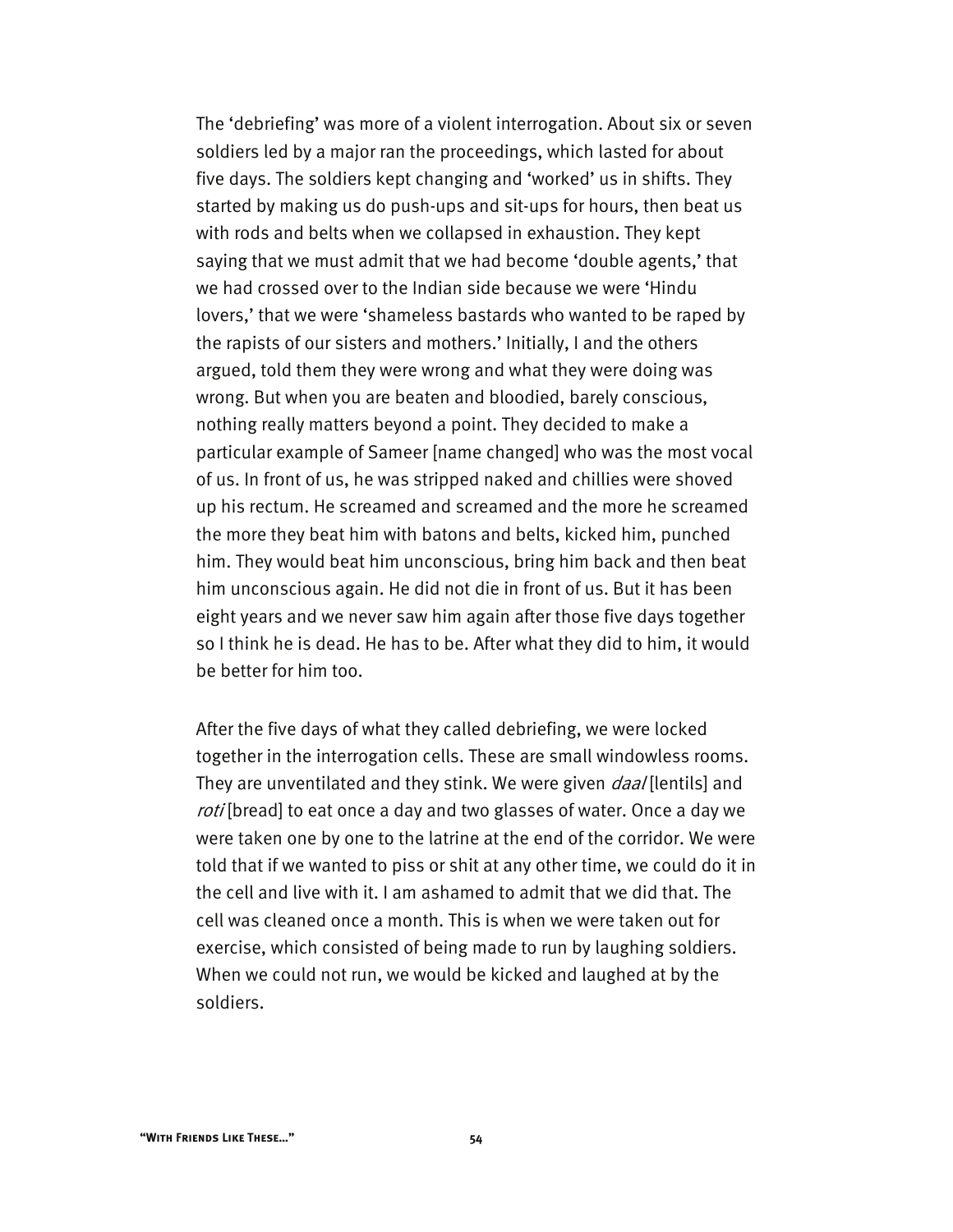The 'debriefing' was more of a violent interrogation. About six or seven soldiers led by a major ran the proceedings, which lasted for about five days. The soldiers kept changing and 'worked' us in shifts. They started by making us do push-ups and sit-ups for hours, then beat us with rods and belts when we collapsed in exhaustion. They kept saying that we must admit that we had become 'double agents,' that we had crossed over to the Indian side because we were 'Hindu lovers,' that we were 'shameless bastards who wanted to be raped by the rapists of our sisters and mothers.' Initially, I and the others argued, told them they were wrong and what they were doing was wrong. But when you are beaten and bloodied, barely conscious, nothing really matters beyond a point. They decided to make a particular example of Sameer [name changed] who was the most vocal of us. In front of us, he was stripped naked and chillies were shoved up his rectum. He screamed and screamed and the more he screamed the more they beat him with batons and belts, kicked him, punched him. They would beat him unconscious, bring him back and then beat him unconscious again. He did not die in front of us. But it has been eight years and we never saw him again after those five days together so I think he is dead. He has to be. After what they did to him, it would be better for him too.

After the five days of what they called debriefing, we were locked together in the interrogation cells. These are small windowless rooms. They are unventilated and they stink. We were given *daal* [lentils] and roti [bread] to eat once a day and two glasses of water. Once a day we were taken one by one to the latrine at the end of the corridor. We were told that if we wanted to piss or shit at any other time, we could do it in the cell and live with it. I am ashamed to admit that we did that. The cell was cleaned once a month. This is when we were taken out for exercise, which consisted of being made to run by laughing soldiers. When we could not run, we would be kicked and laughed at by the soldiers.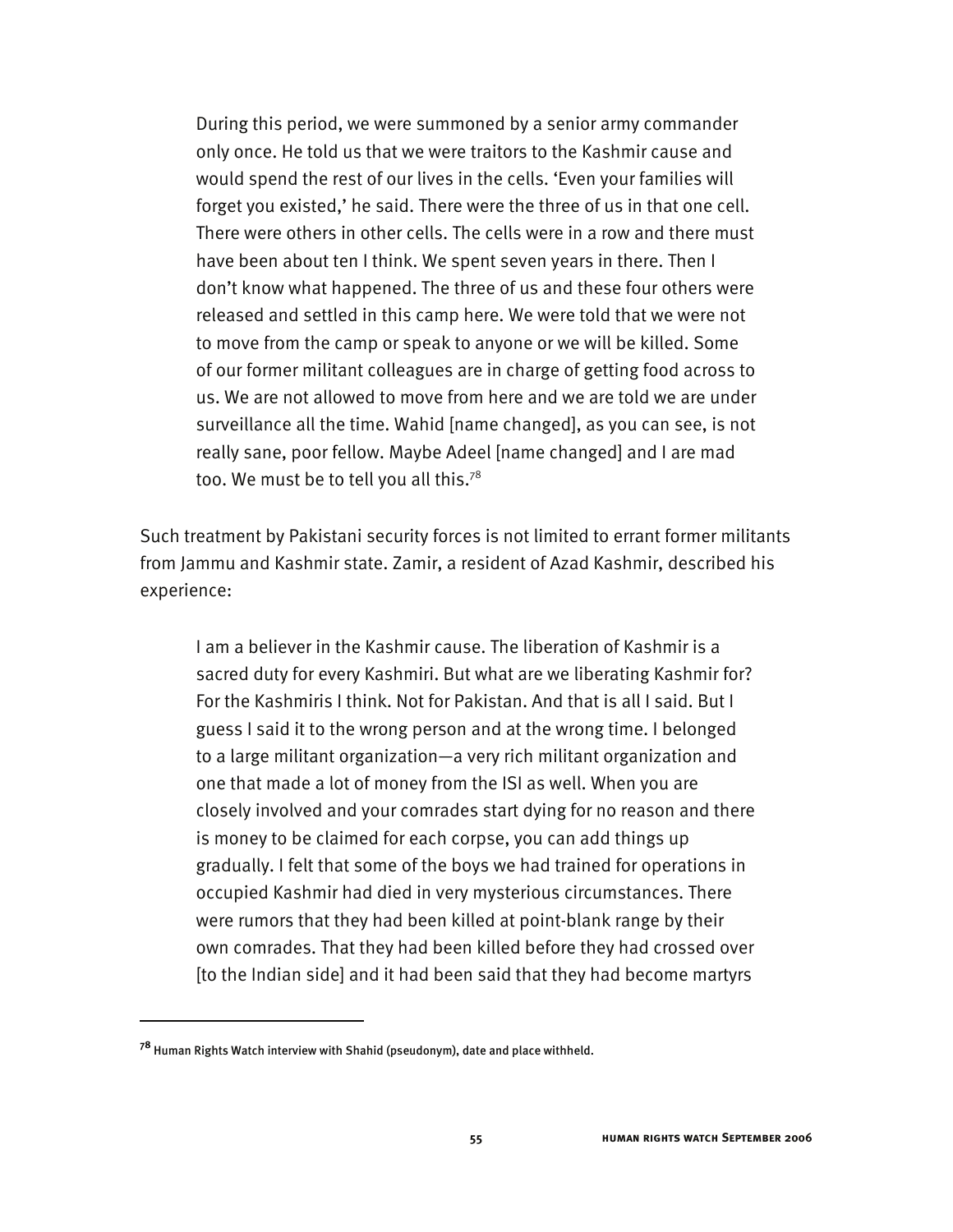During this period, we were summoned by a senior army commander only once. He told us that we were traitors to the Kashmir cause and would spend the rest of our lives in the cells. 'Even your families will forget you existed,' he said. There were the three of us in that one cell. There were others in other cells. The cells were in a row and there must have been about ten I think. We spent seven years in there. Then I don't know what happened. The three of us and these four others were released and settled in this camp here. We were told that we were not to move from the camp or speak to anyone or we will be killed. Some of our former militant colleagues are in charge of getting food across to us. We are not allowed to move from here and we are told we are under surveillance all the time. Wahid [name changed], as you can see, is not really sane, poor fellow. Maybe Adeel [name changed] and I are mad too. We must be to tell you all this.<sup>78</sup>

Such treatment by Pakistani security forces is not limited to errant former militants from Jammu and Kashmir state. Zamir, a resident of Azad Kashmir, described his experience:

I am a believer in the Kashmir cause. The liberation of Kashmir is a sacred duty for every Kashmiri. But what are we liberating Kashmir for? For the Kashmiris I think. Not for Pakistan. And that is all I said. But I guess I said it to the wrong person and at the wrong time. I belonged to a large militant organization—a very rich militant organization and one that made a lot of money from the ISI as well. When you are closely involved and your comrades start dying for no reason and there is money to be claimed for each corpse, you can add things up gradually. I felt that some of the boys we had trained for operations in occupied Kashmir had died in very mysterious circumstances. There were rumors that they had been killed at point-blank range by their own comrades. That they had been killed before they had crossed over [to the Indian side] and it had been said that they had become martyrs

-

**<sup>78</sup>** Human Rights Watch interview with Shahid (pseudonym), date and place withheld.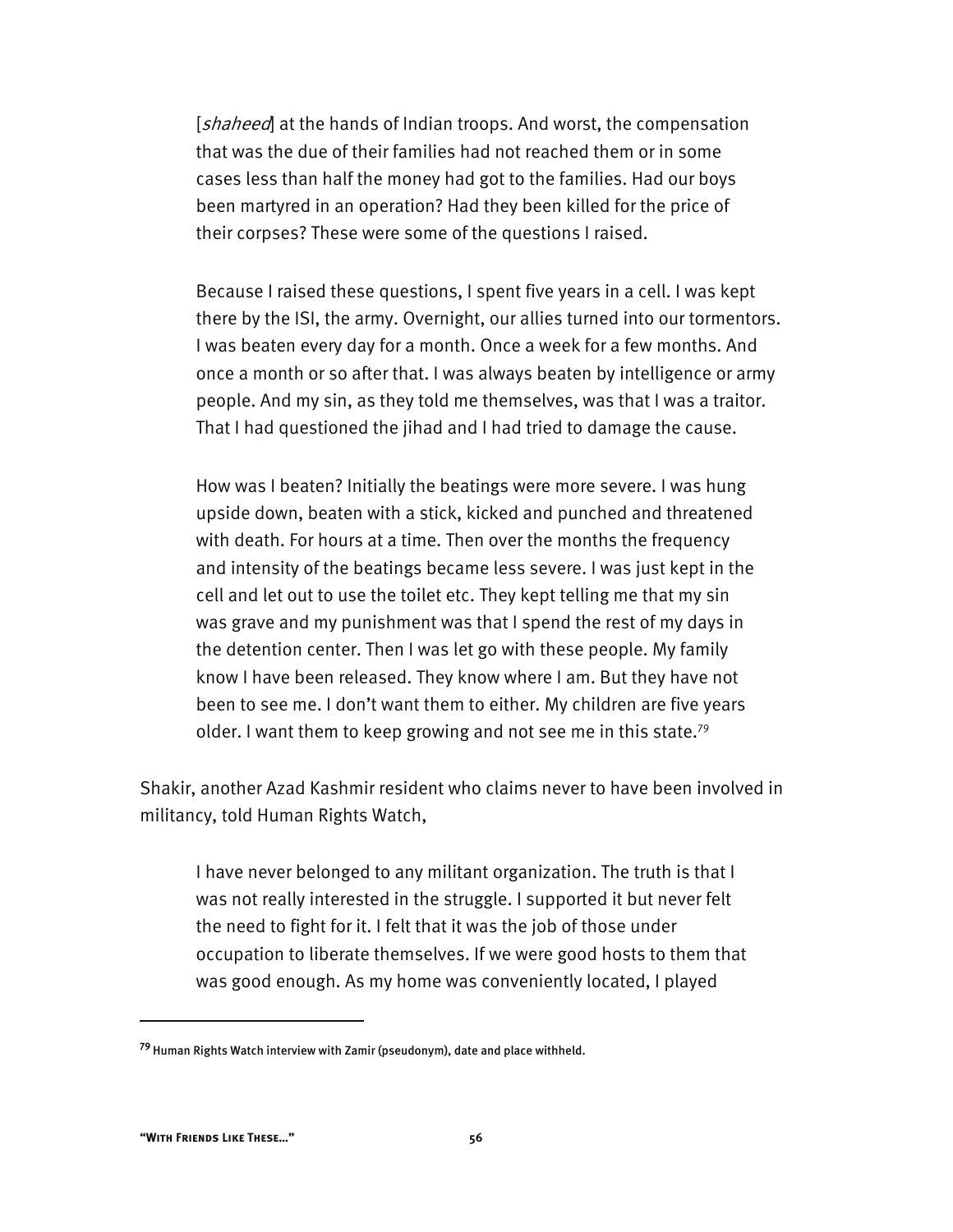[*shaheed*] at the hands of Indian troops. And worst, the compensation that was the due of their families had not reached them or in some cases less than half the money had got to the families. Had our boys been martyred in an operation? Had they been killed for the price of their corpses? These were some of the questions I raised.

Because I raised these questions, I spent five years in a cell. I was kept there by the ISI, the army. Overnight, our allies turned into our tormentors. I was beaten every day for a month. Once a week for a few months. And once a month or so after that. I was always beaten by intelligence or army people. And my sin, as they told me themselves, was that I was a traitor. That I had questioned the jihad and I had tried to damage the cause.

How was I beaten? Initially the beatings were more severe. I was hung upside down, beaten with a stick, kicked and punched and threatened with death. For hours at a time. Then over the months the frequency and intensity of the beatings became less severe. I was just kept in the cell and let out to use the toilet etc. They kept telling me that my sin was grave and my punishment was that I spend the rest of my days in the detention center. Then I was let go with these people. My family know I have been released. They know where I am. But they have not been to see me. I don't want them to either. My children are five years older. I want them to keep growing and not see me in this state.<sup>79</sup>

Shakir, another Azad Kashmir resident who claims never to have been involved in militancy, told Human Rights Watch,

I have never belonged to any militant organization. The truth is that I was not really interested in the struggle. I supported it but never felt the need to fight for it. I felt that it was the job of those under occupation to liberate themselves. If we were good hosts to them that was good enough. As my home was conveniently located, I played

-

**<sup>79</sup>**Human Rights Watch interview with Zamir (pseudonym), date and place withheld.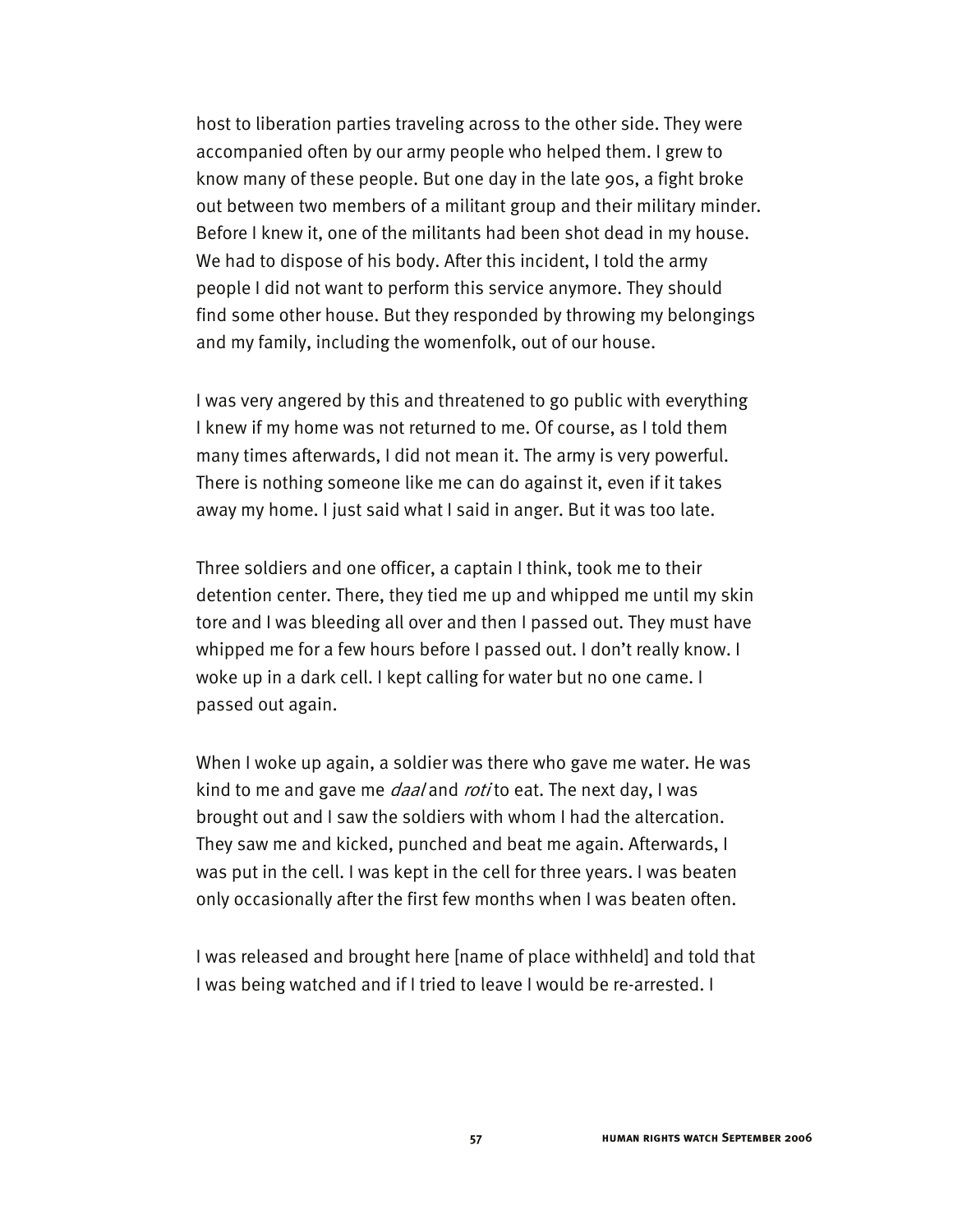host to liberation parties traveling across to the other side. They were accompanied often by our army people who helped them. I grew to know many of these people. But one day in the late 90s, a fight broke out between two members of a militant group and their military minder. Before I knew it, one of the militants had been shot dead in my house. We had to dispose of his body. After this incident, I told the army people I did not want to perform this service anymore. They should find some other house. But they responded by throwing my belongings and my family, including the womenfolk, out of our house.

I was very angered by this and threatened to go public with everything I knew if my home was not returned to me. Of course, as I told them many times afterwards, I did not mean it. The army is very powerful. There is nothing someone like me can do against it, even if it takes away my home. I just said what I said in anger. But it was too late.

Three soldiers and one officer, a captain I think, took me to their detention center. There, they tied me up and whipped me until my skin tore and I was bleeding all over and then I passed out. They must have whipped me for a few hours before I passed out. I don't really know. I woke up in a dark cell. I kept calling for water but no one came. I passed out again.

When I woke up again, a soldier was there who gave me water. He was kind to me and gave me *daal* and *roti* to eat. The next day, I was brought out and I saw the soldiers with whom I had the altercation. They saw me and kicked, punched and beat me again. Afterwards, I was put in the cell. I was kept in the cell for three years. I was beaten only occasionally after the first few months when I was beaten often.

I was released and brought here [name of place withheld] and told that I was being watched and if I tried to leave I would be re-arrested. I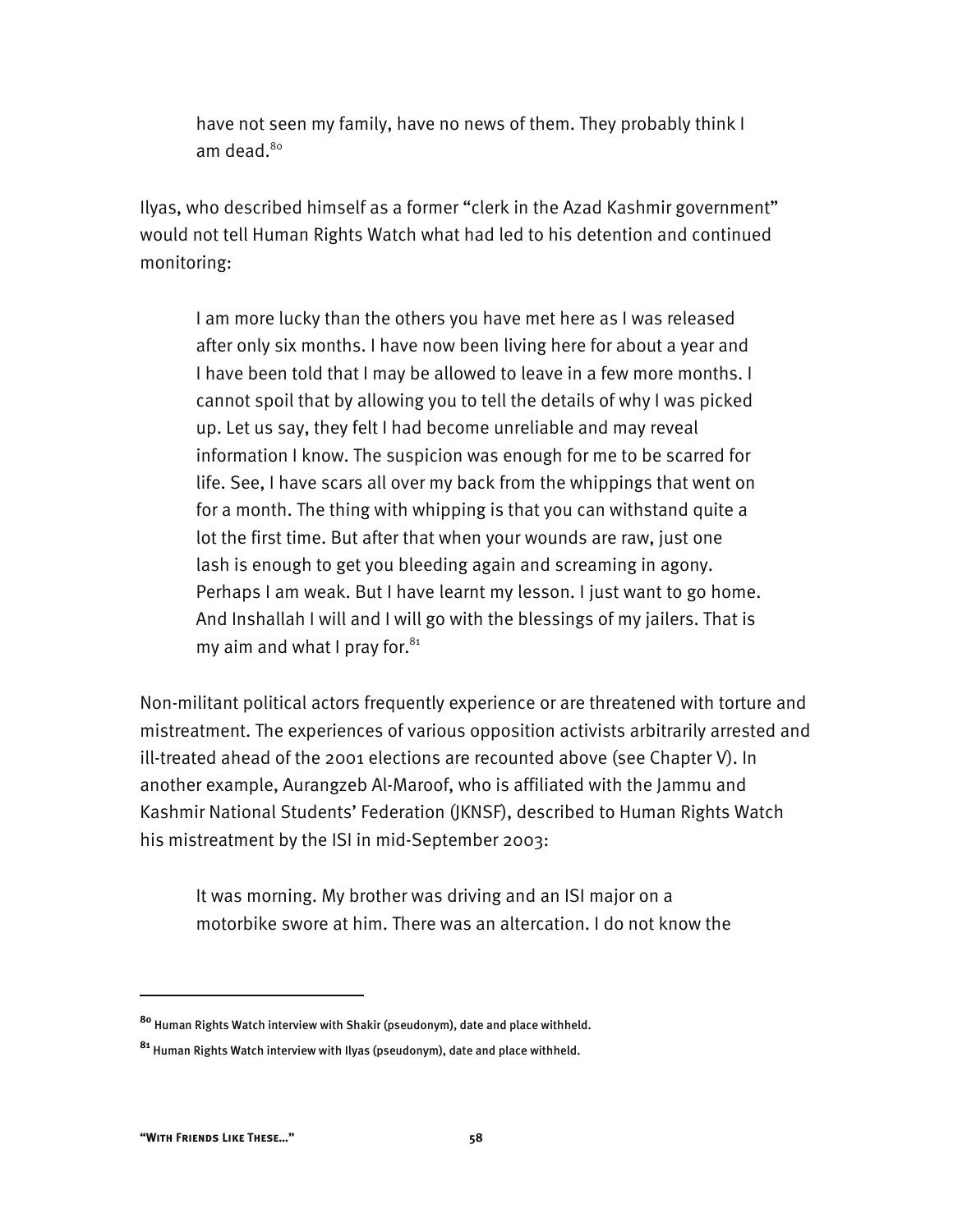have not seen my family, have no news of them. They probably think I am dead.<sup>80</sup>

Ilyas, who described himself as a former "clerk in the Azad Kashmir government" would not tell Human Rights Watch what had led to his detention and continued monitoring:

I am more lucky than the others you have met here as I was released after only six months. I have now been living here for about a year and I have been told that I may be allowed to leave in a few more months. I cannot spoil that by allowing you to tell the details of why I was picked up. Let us say, they felt I had become unreliable and may reveal information I know. The suspicion was enough for me to be scarred for life. See, I have scars all over my back from the whippings that went on for a month. The thing with whipping is that you can withstand quite a lot the first time. But after that when your wounds are raw, just one lash is enough to get you bleeding again and screaming in agony. Perhaps I am weak. But I have learnt my lesson. I just want to go home. And Inshallah I will and I will go with the blessings of my jailers. That is my aim and what I pray for. $81$ 

Non-militant political actors frequently experience or are threatened with torture and mistreatment. The experiences of various opposition activists arbitrarily arrested and ill-treated ahead of the 2001 elections are recounted above (see Chapter V). In another example, Aurangzeb Al-Maroof, who is affiliated with the Jammu and Kashmir National Students' Federation (JKNSF), described to Human Rights Watch his mistreatment by the ISI in mid-September 2003:

It was morning. My brother was driving and an ISI major on a motorbike swore at him. There was an altercation. I do not know the

**<sup>80</sup>** Human Rights Watch interview with Shakir (pseudonym), date and place withheld.

**<sup>81</sup>** Human Rights Watch interview with Ilyas (pseudonym), date and place withheld.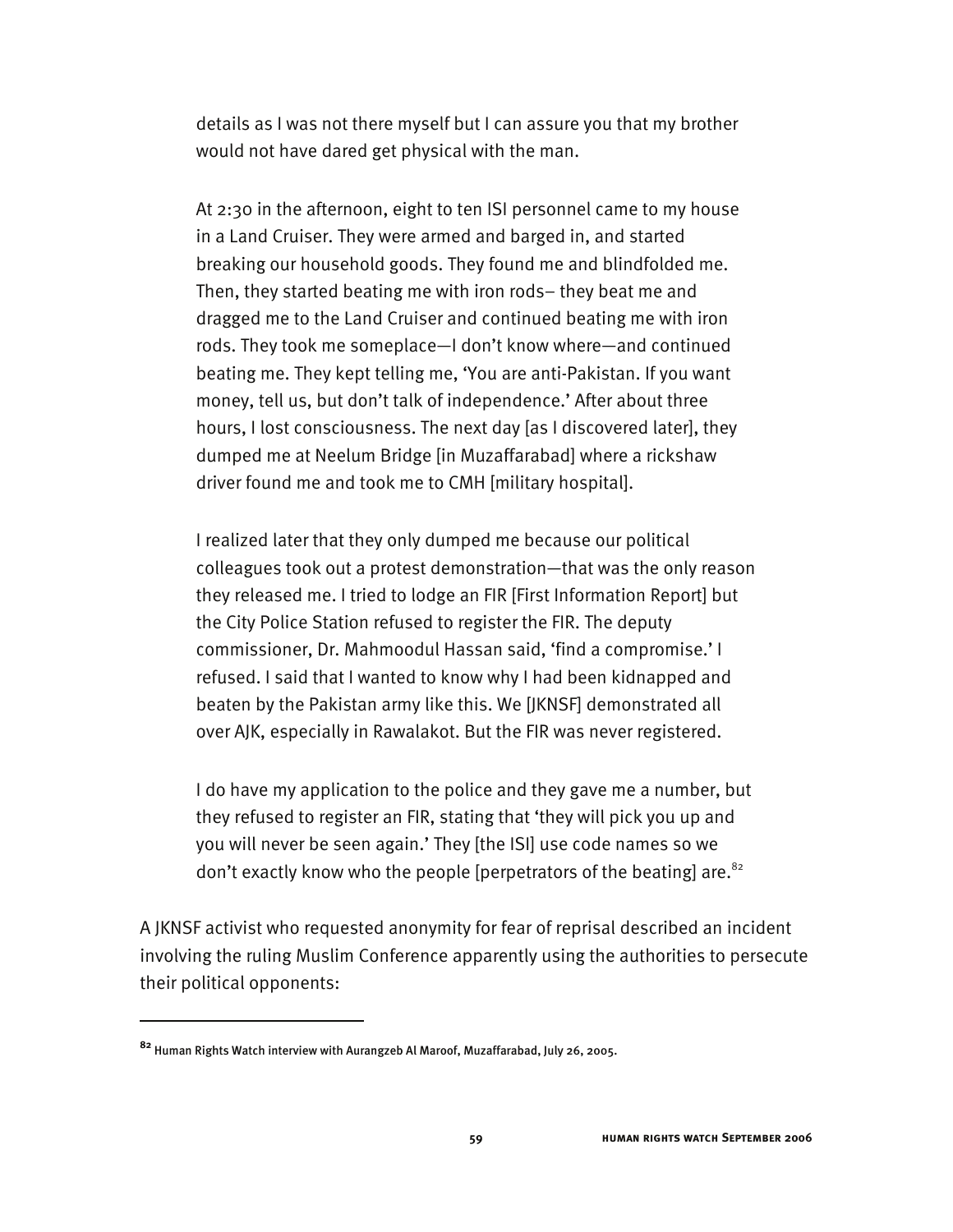details as I was not there myself but I can assure you that my brother would not have dared get physical with the man.

At 2:30 in the afternoon, eight to ten ISI personnel came to my house in a Land Cruiser. They were armed and barged in, and started breaking our household goods. They found me and blindfolded me. Then, they started beating me with iron rods– they beat me and dragged me to the Land Cruiser and continued beating me with iron rods. They took me someplace—I don't know where—and continued beating me. They kept telling me, 'You are anti-Pakistan. If you want money, tell us, but don't talk of independence.' After about three hours, I lost consciousness. The next day [as I discovered later], they dumped me at Neelum Bridge [in Muzaffarabad] where a rickshaw driver found me and took me to CMH [military hospital].

I realized later that they only dumped me because our political colleagues took out a protest demonstration—that was the only reason they released me. I tried to lodge an FIR [First Information Report] but the City Police Station refused to register the FIR. The deputy commissioner, Dr. Mahmoodul Hassan said, 'find a compromise.' I refused. I said that I wanted to know why I had been kidnapped and beaten by the Pakistan army like this. We [JKNSF] demonstrated all over AJK, especially in Rawalakot. But the FIR was never registered.

I do have my application to the police and they gave me a number, but they refused to register an FIR, stating that 'they will pick you up and you will never be seen again.' They [the ISI] use code names so we don't exactly know who the people [perpetrators of the beating] are.<sup>82</sup>

A JKNSF activist who requested anonymity for fear of reprisal described an incident involving the ruling Muslim Conference apparently using the authorities to persecute their political opponents:

**<sup>82</sup>** Human Rights Watch interview with Aurangzeb Al Maroof, Muzaffarabad, July 26, 2005.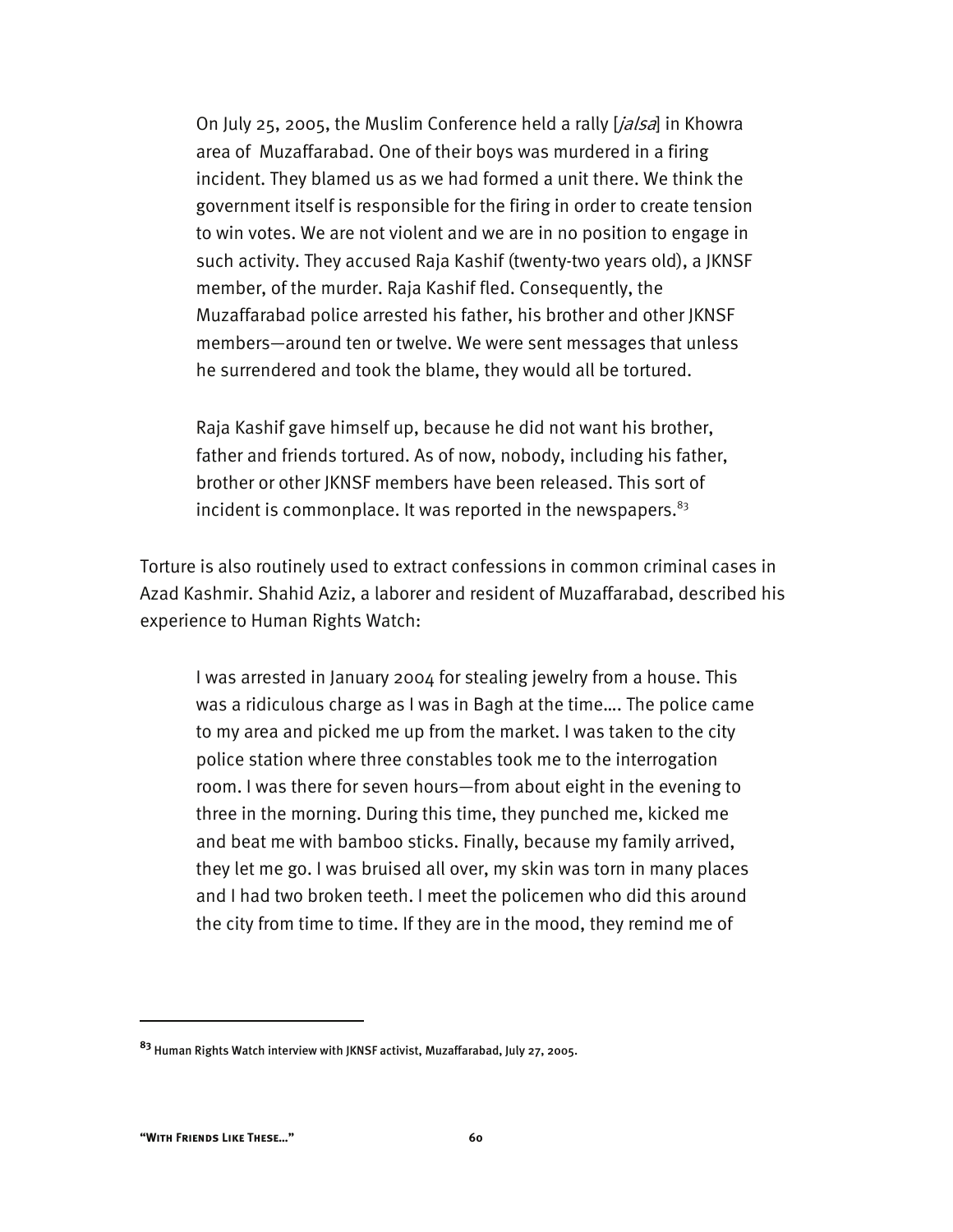On July 25, 2005, the Muslim Conference held a rally [*jalsa*] in Khowra area of Muzaffarabad. One of their boys was murdered in a firing incident. They blamed us as we had formed a unit there. We think the government itself is responsible for the firing in order to create tension to win votes. We are not violent and we are in no position to engage in such activity. They accused Raja Kashif (twenty-two years old), a JKNSF member, of the murder. Raja Kashif fled. Consequently, the Muzaffarabad police arrested his father, his brother and other JKNSF members—around ten or twelve. We were sent messages that unless he surrendered and took the blame, they would all be tortured.

Raja Kashif gave himself up, because he did not want his brother, father and friends tortured. As of now, nobody, including his father, brother or other JKNSF members have been released. This sort of incident is commonplace. It was reported in the newspapers. $83$ 

Torture is also routinely used to extract confessions in common criminal cases in Azad Kashmir. Shahid Aziz, a laborer and resident of Muzaffarabad, described his experience to Human Rights Watch:

I was arrested in January 2004 for stealing jewelry from a house. This was a ridiculous charge as I was in Bagh at the time…. The police came to my area and picked me up from the market. I was taken to the city police station where three constables took me to the interrogation room. I was there for seven hours—from about eight in the evening to three in the morning. During this time, they punched me, kicked me and beat me with bamboo sticks. Finally, because my family arrived, they let me go. I was bruised all over, my skin was torn in many places and I had two broken teeth. I meet the policemen who did this around the city from time to time. If they are in the mood, they remind me of

**<sup>83</sup>** Human Rights Watch interview with JKNSF activist, Muzaffarabad, July 27, 2005.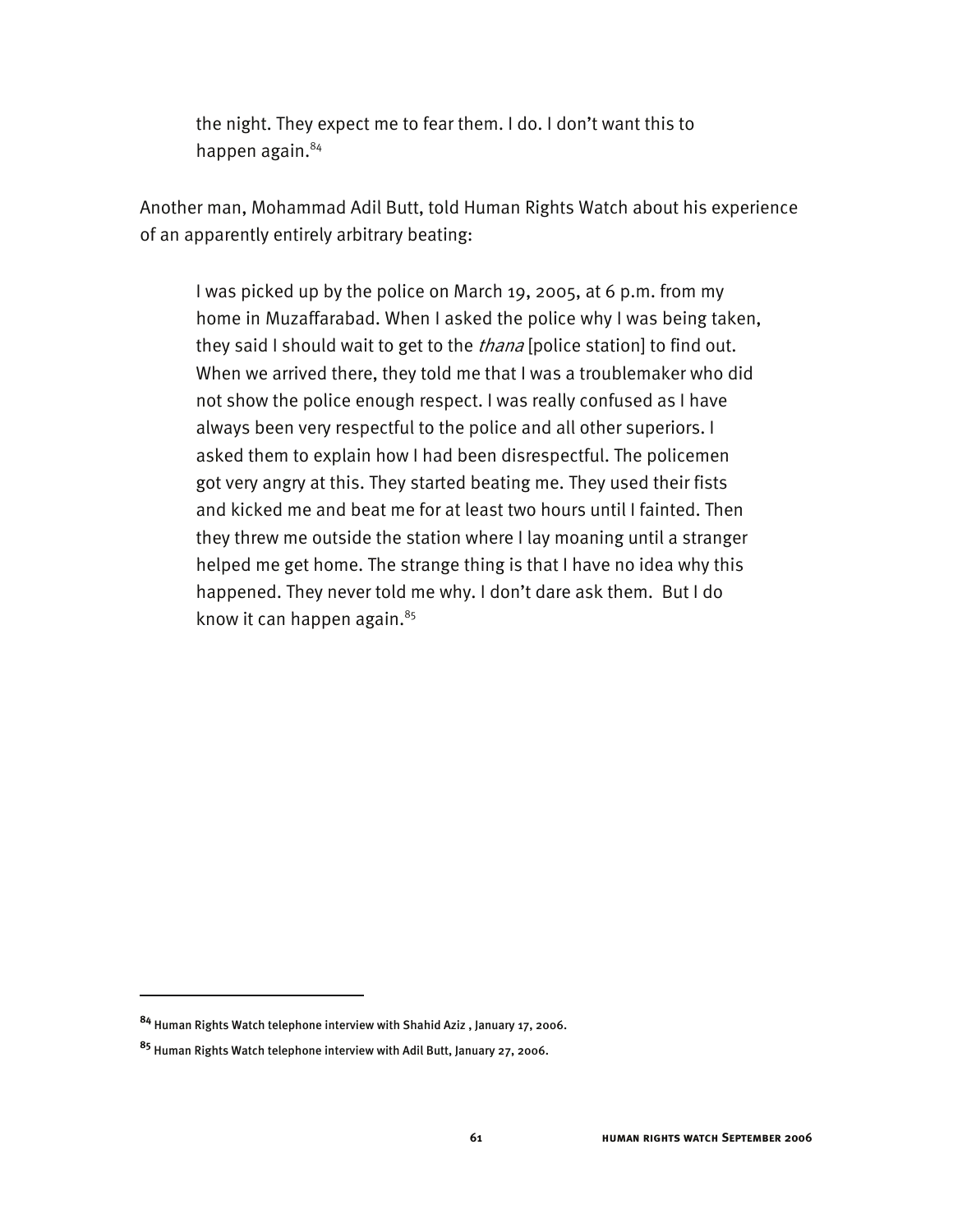the night. They expect me to fear them. I do. I don't want this to happen again.<sup>84</sup>

Another man, Mohammad Adil Butt, told Human Rights Watch about his experience of an apparently entirely arbitrary beating:

I was picked up by the police on March 19, 2005, at 6 p.m. from my home in Muzaffarabad. When I asked the police why I was being taken, they said I should wait to get to the *thana* [police station] to find out. When we arrived there, they told me that I was a troublemaker who did not show the police enough respect. I was really confused as I have always been very respectful to the police and all other superiors. I asked them to explain how I had been disrespectful. The policemen got very angry at this. They started beating me. They used their fists and kicked me and beat me for at least two hours until I fainted. Then they threw me outside the station where I lay moaning until a stranger helped me get home. The strange thing is that I have no idea why this happened. They never told me why. I don't dare ask them. But I do know it can happen again. $85$ 

-

**<sup>84</sup>** Human Rights Watch telephone interview with Shahid Aziz , January 17, 2006.

**<sup>85</sup>** Human Rights Watch telephone interview with Adil Butt, January 27, 2006.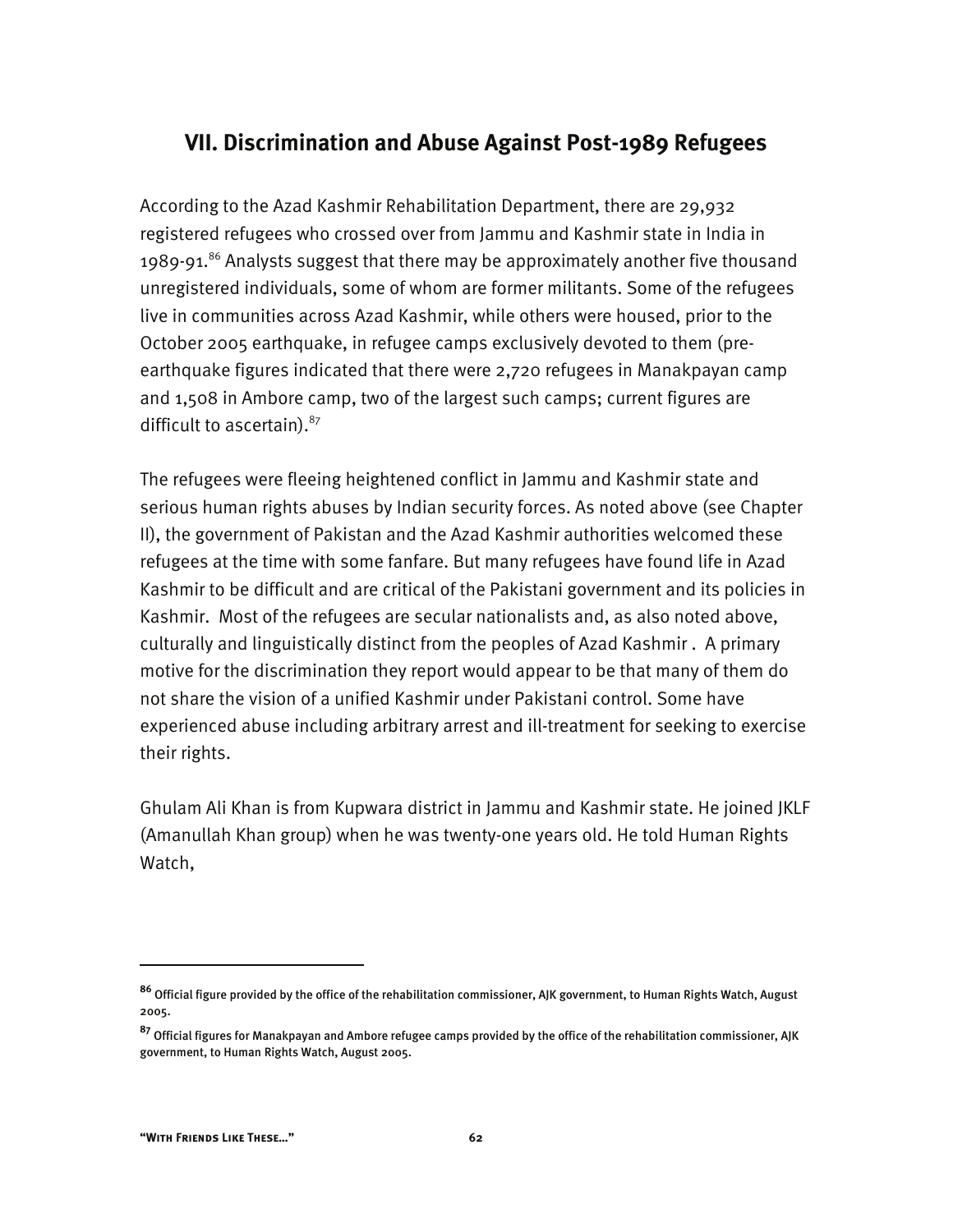# **VII. Discrimination and Abuse Against Post-1989 Refugees**

According to the Azad Kashmir Rehabilitation Department, there are 29,932 registered refugees who crossed over from Jammu and Kashmir state in India in 1989-91.<sup>86</sup> Analysts suggest that there may be approximately another five thousand unregistered individuals, some of whom are former militants. Some of the refugees live in communities across Azad Kashmir, while others were housed, prior to the October 2005 earthquake, in refugee camps exclusively devoted to them (preearthquake figures indicated that there were 2,720 refugees in Manakpayan camp and 1,508 in Ambore camp, two of the largest such camps; current figures are difficult to ascertain). $87$ 

The refugees were fleeing heightened conflict in Jammu and Kashmir state and serious human rights abuses by Indian security forces. As noted above (see Chapter II), the government of Pakistan and the Azad Kashmir authorities welcomed these refugees at the time with some fanfare. But many refugees have found life in Azad Kashmir to be difficult and are critical of the Pakistani government and its policies in Kashmir. Most of the refugees are secular nationalists and, as also noted above, culturally and linguistically distinct from the peoples of Azad Kashmir . A primary motive for the discrimination they report would appear to be that many of them do not share the vision of a unified Kashmir under Pakistani control. Some have experienced abuse including arbitrary arrest and ill-treatment for seeking to exercise their rights.

Ghulam Ali Khan is from Kupwara district in Jammu and Kashmir state. He joined JKLF (Amanullah Khan group) when he was twenty-one years old. He told Human Rights Watch,

-

**<sup>86</sup>** Official figure provided by the office of the rehabilitation commissioner, AJK government, to Human Rights Watch, August 2005.

**<sup>87</sup>** Official figures for Manakpayan and Ambore refugee camps provided by the office of the rehabilitation commissioner, AJK government, to Human Rights Watch, August 2005.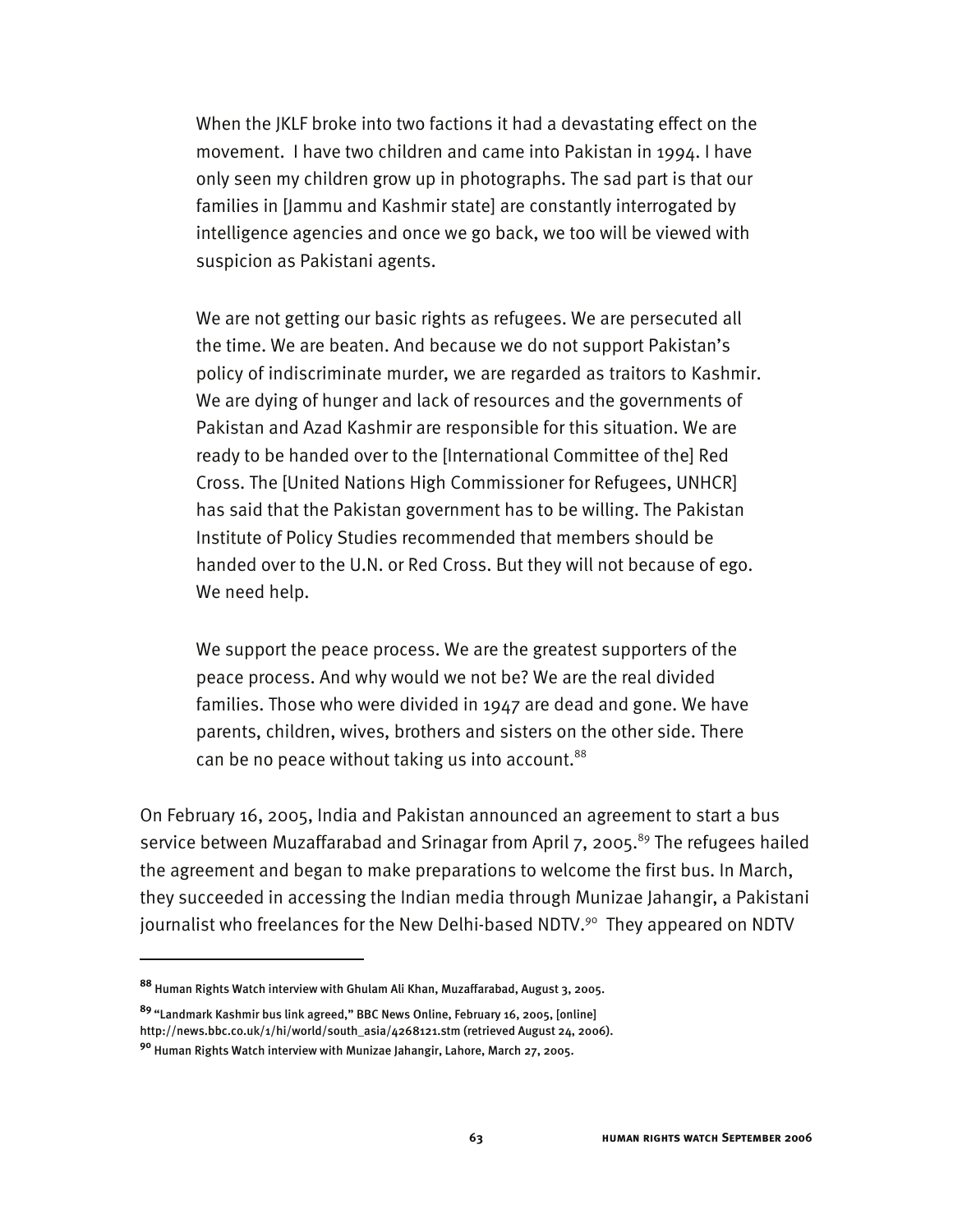When the JKLF broke into two factions it had a devastating effect on the movement. I have two children and came into Pakistan in 1994. I have only seen my children grow up in photographs. The sad part is that our families in [Jammu and Kashmir state] are constantly interrogated by intelligence agencies and once we go back, we too will be viewed with suspicion as Pakistani agents.

We are not getting our basic rights as refugees. We are persecuted all the time. We are beaten. And because we do not support Pakistan's policy of indiscriminate murder, we are regarded as traitors to Kashmir. We are dying of hunger and lack of resources and the governments of Pakistan and Azad Kashmir are responsible for this situation. We are ready to be handed over to the [International Committee of the] Red Cross. The [United Nations High Commissioner for Refugees, UNHCR] has said that the Pakistan government has to be willing. The Pakistan Institute of Policy Studies recommended that members should be handed over to the U.N. or Red Cross. But they will not because of ego. We need help.

We support the peace process. We are the greatest supporters of the peace process. And why would we not be? We are the real divided families. Those who were divided in 1947 are dead and gone. We have parents, children, wives, brothers and sisters on the other side. There can be no peace without taking us into account.<sup>88</sup>

On February 16, 2005, India and Pakistan announced an agreement to start a bus service between Muzaffarabad and Srinagar from April  $7, 2005$ .<sup>89</sup> The refugees hailed the agreement and began to make preparations to welcome the first bus. In March, they succeeded in accessing the Indian media through Munizae Jahangir, a Pakistani journalist who freelances for the New Delhi-based NDTV.<sup>90</sup> They appeared on NDTV

**<sup>88</sup>** Human Rights Watch interview with Ghulam Ali Khan, Muzaffarabad, August 3, 2005.

**<sup>89</sup>** "Landmark Kashmir bus link agreed," BBC News Online, February 16, 2005, [online] http://news.bbc.co.uk/1/hi/world/south\_asia/4268121.stm (retrieved August 24, 2006).

**<sup>90</sup>** Human Rights Watch interview with Munizae Jahangir, Lahore, March 27, 2005.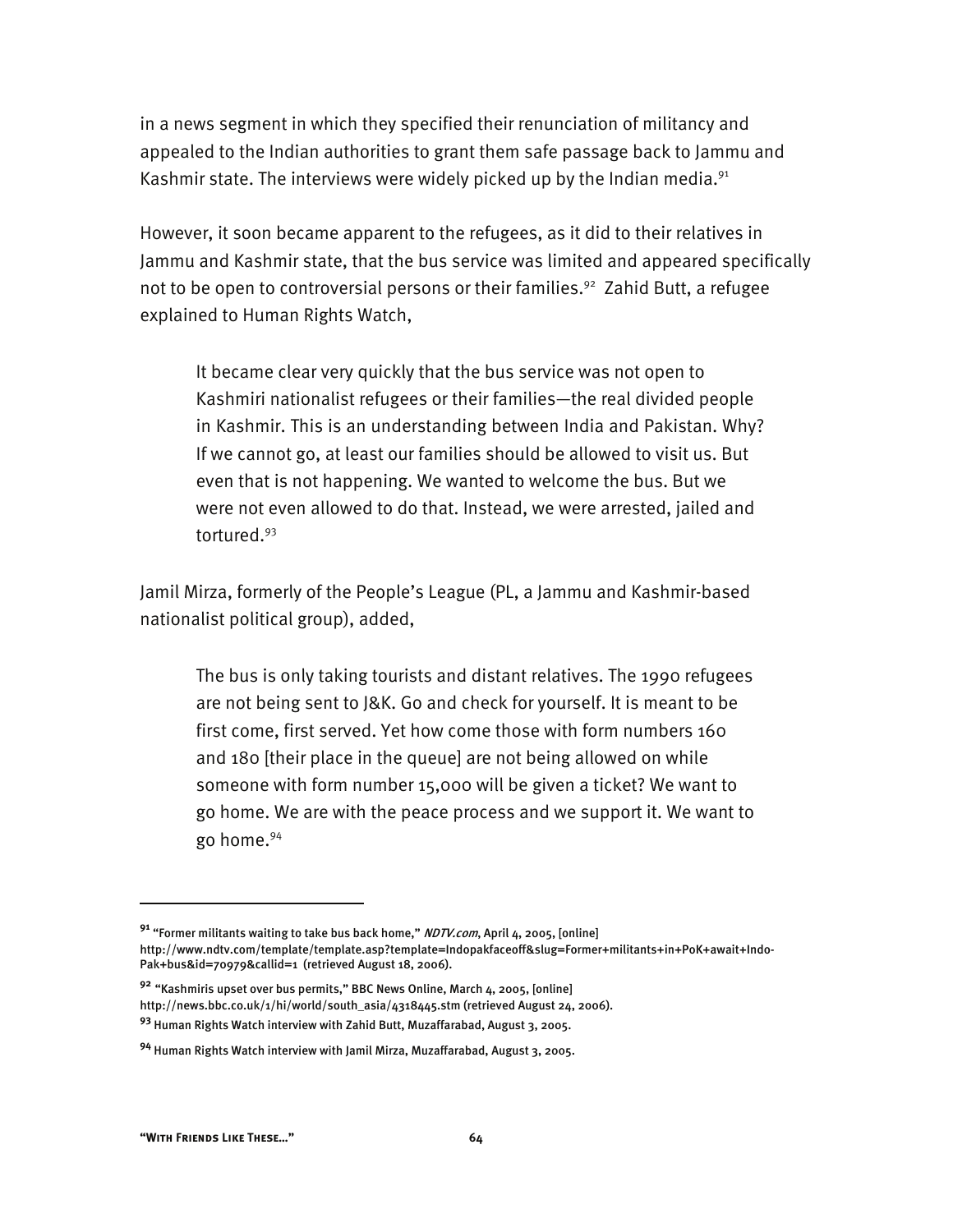in a news segment in which they specified their renunciation of militancy and appealed to the Indian authorities to grant them safe passage back to Jammu and Kashmir state. The interviews were widely picked up by the Indian media. $91$ 

However, it soon became apparent to the refugees, as it did to their relatives in Jammu and Kashmir state, that the bus service was limited and appeared specifically not to be open to controversial persons or their families.<sup>92</sup> Zahid Butt, a refugee explained to Human Rights Watch,

It became clear very quickly that the bus service was not open to Kashmiri nationalist refugees or their families—the real divided people in Kashmir. This is an understanding between India and Pakistan. Why? If we cannot go, at least our families should be allowed to visit us. But even that is not happening. We wanted to welcome the bus. But we were not even allowed to do that. Instead, we were arrested, jailed and tortured.93

Jamil Mirza, formerly of the People's League (PL, a Jammu and Kashmir-based nationalist political group), added,

The bus is only taking tourists and distant relatives. The 1990 refugees are not being sent to J&K. Go and check for yourself. It is meant to be first come, first served. Yet how come those with form numbers 160 and 180 [their place in the queue] are not being allowed on while someone with form number 15,000 will be given a ticket? We want to go home. We are with the peace process and we support it. We want to go home.94

**<sup>91</sup>** "Former militants waiting to take bus back home," NDTV.com, April 4, 2005, [online] http://www.ndtv.com/template/template.asp?template=Indopakfaceoff&slug=Former+militants+in+PoK+await+Indo-Pak+bus&id=70979&callid=1 (retrieved August 18, 2006).

**<sup>92</sup>** "Kashmiris upset over bus permits," BBC News Online, March 4, 2005, [online] http://news.bbc.co.uk/1/hi/world/south\_asia/4318445.stm (retrieved August 24, 2006). **<sup>93</sup>** Human Rights Watch interview with Zahid Butt, Muzaffarabad, August 3, 2005.

**<sup>94</sup>** Human Rights Watch interview with Jamil Mirza, Muzaffarabad, August 3, 2005.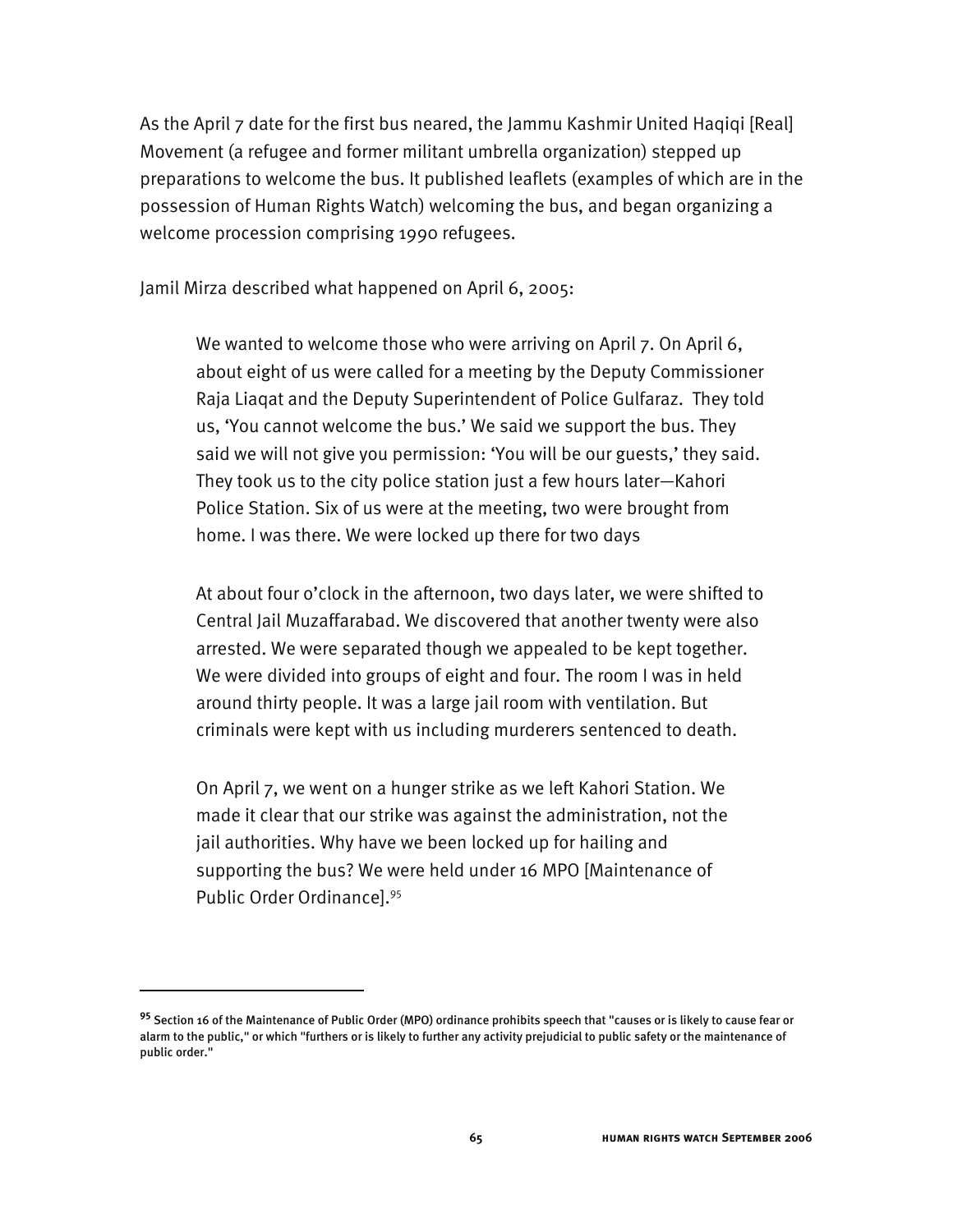As the April 7 date for the first bus neared, the Jammu Kashmir United Haqiqi [Real] Movement (a refugee and former militant umbrella organization) stepped up preparations to welcome the bus. It published leaflets (examples of which are in the possession of Human Rights Watch) welcoming the bus, and began organizing a welcome procession comprising 1990 refugees.

Jamil Mirza described what happened on April 6, 2005:

We wanted to welcome those who were arriving on April 7. On April 6, about eight of us were called for a meeting by the Deputy Commissioner Raja Liaqat and the Deputy Superintendent of Police Gulfaraz. They told us, 'You cannot welcome the bus.' We said we support the bus. They said we will not give you permission: 'You will be our guests,' they said. They took us to the city police station just a few hours later—Kahori Police Station. Six of us were at the meeting, two were brought from home. I was there. We were locked up there for two days

At about four o'clock in the afternoon, two days later, we were shifted to Central Jail Muzaffarabad. We discovered that another twenty were also arrested. We were separated though we appealed to be kept together. We were divided into groups of eight and four. The room I was in held around thirty people. It was a large jail room with ventilation. But criminals were kept with us including murderers sentenced to death.

On April 7, we went on a hunger strike as we left Kahori Station. We made it clear that our strike was against the administration, not the jail authorities. Why have we been locked up for hailing and supporting the bus? We were held under 16 MPO [Maintenance of Public Order Ordinance].95

-

**<sup>95</sup>** Section 16 of the Maintenance of Public Order (MPO) ordinance prohibits speech that "causes or is likely to cause fear or alarm to the public," or which "furthers or is likely to further any activity prejudicial to public safety or the maintenance of public order."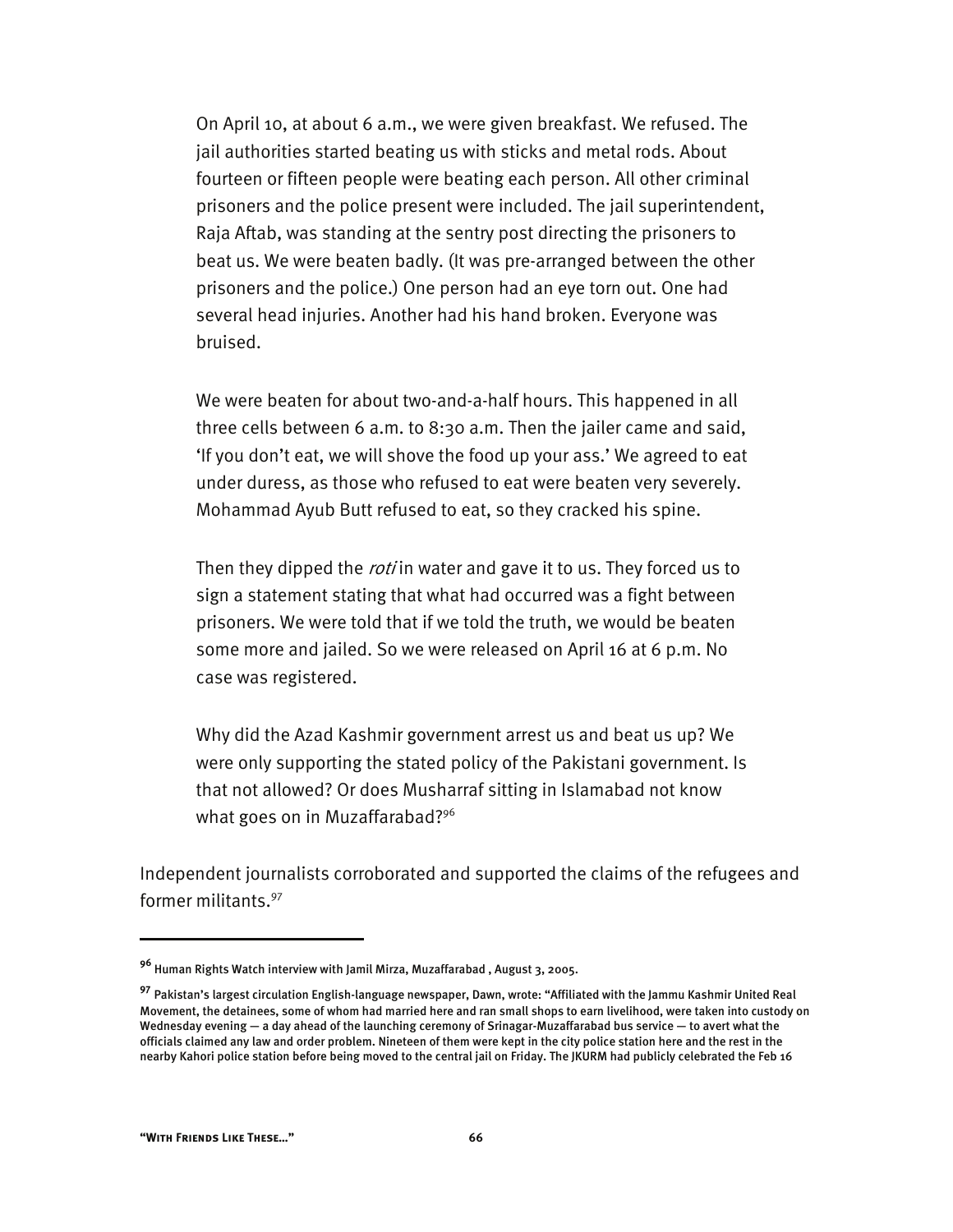On April 10, at about 6 a.m., we were given breakfast. We refused. The jail authorities started beating us with sticks and metal rods. About fourteen or fifteen people were beating each person. All other criminal prisoners and the police present were included. The jail superintendent, Raja Aftab, was standing at the sentry post directing the prisoners to beat us. We were beaten badly. (It was pre-arranged between the other prisoners and the police.) One person had an eye torn out. One had several head injuries. Another had his hand broken. Everyone was bruised.

We were beaten for about two-and-a-half hours. This happened in all three cells between 6 a.m. to 8:30 a.m. Then the jailer came and said, 'If you don't eat, we will shove the food up your ass.' We agreed to eat under duress, as those who refused to eat were beaten very severely. Mohammad Ayub Butt refused to eat, so they cracked his spine.

Then they dipped the *roti* in water and gave it to us. They forced us to sign a statement stating that what had occurred was a fight between prisoners. We were told that if we told the truth, we would be beaten some more and jailed. So we were released on April 16 at 6 p.m. No case was registered.

Why did the Azad Kashmir government arrest us and beat us up? We were only supporting the stated policy of the Pakistani government. Is that not allowed? Or does Musharraf sitting in Islamabad not know what goes on in Muzaffarabad?<sup>96</sup>

Independent journalists corroborated and supported the claims of the refugees and former militants.97

**<sup>96</sup>** Human Rights Watch interview with Jamil Mirza, Muzaffarabad , August 3, 2005.

**<sup>97</sup>** Pakistan's largest circulation English-language newspaper, Dawn, wrote: "Affiliated with the Jammu Kashmir United Real Movement, the detainees, some of whom had married here and ran small shops to earn livelihood, were taken into custody on Wednesday evening — a day ahead of the launching ceremony of Srinagar-Muzaffarabad bus service — to avert what the officials claimed any law and order problem. Nineteen of them were kept in the city police station here and the rest in the nearby Kahori police station before being moved to the central jail on Friday. The JKURM had publicly celebrated the Feb 16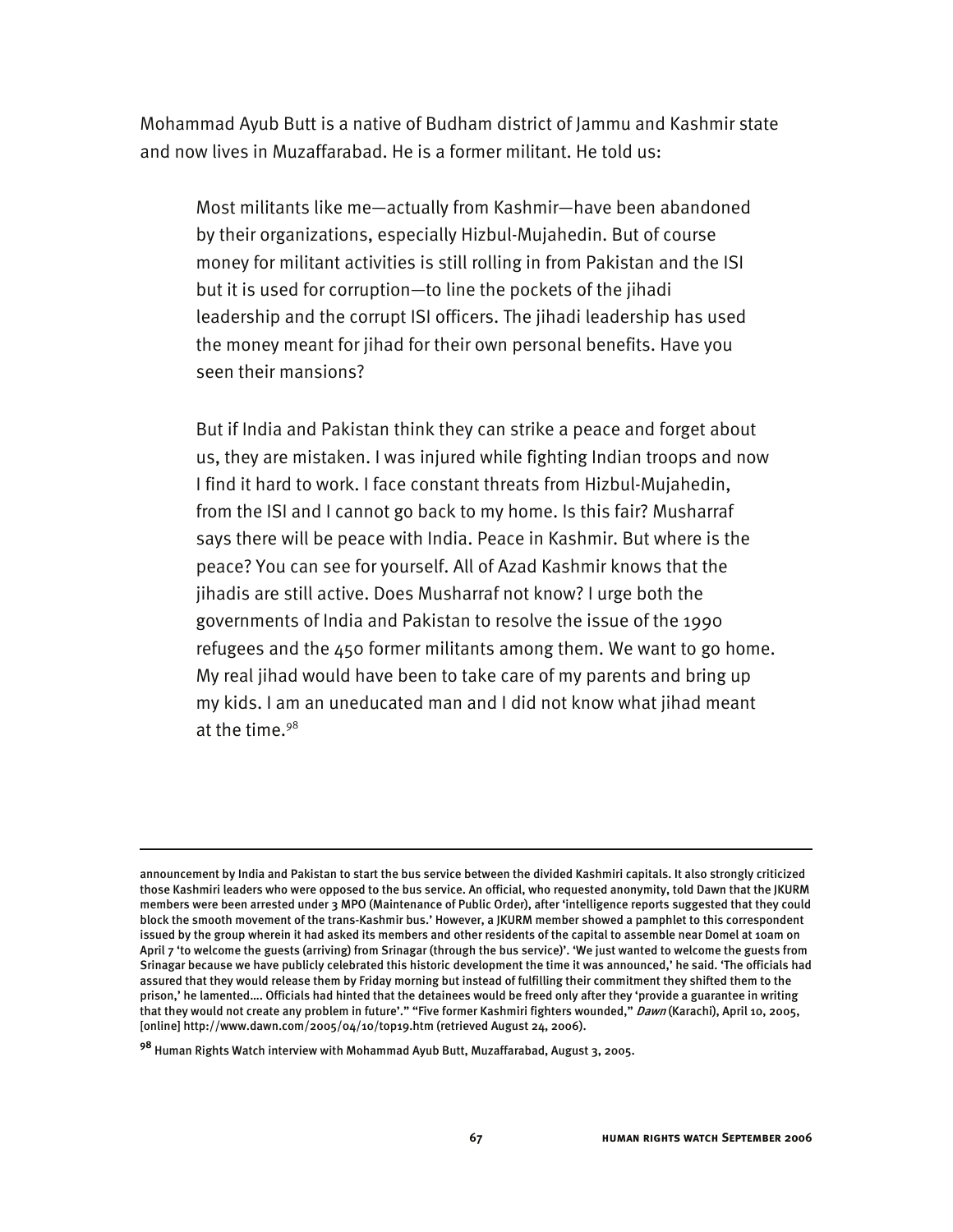Mohammad Ayub Butt is a native of Budham district of Jammu and Kashmir state and now lives in Muzaffarabad. He is a former militant. He told us:

Most militants like me—actually from Kashmir—have been abandoned by their organizations, especially Hizbul-Mujahedin. But of course money for militant activities is still rolling in from Pakistan and the ISI but it is used for corruption—to line the pockets of the jihadi leadership and the corrupt ISI officers. The jihadi leadership has used the money meant for jihad for their own personal benefits. Have you seen their mansions?

But if India and Pakistan think they can strike a peace and forget about us, they are mistaken. I was injured while fighting Indian troops and now I find it hard to work. I face constant threats from Hizbul-Mujahedin, from the ISI and I cannot go back to my home. Is this fair? Musharraf says there will be peace with India. Peace in Kashmir. But where is the peace? You can see for yourself. All of Azad Kashmir knows that the jihadis are still active. Does Musharraf not know? I urge both the governments of India and Pakistan to resolve the issue of the 1990 refugees and the 450 former militants among them. We want to go home. My real jihad would have been to take care of my parents and bring up my kids. I am an uneducated man and I did not know what jihad meant at the time. $98$ 

j

announcement by India and Pakistan to start the bus service between the divided Kashmiri capitals. It also strongly criticized those Kashmiri leaders who were opposed to the bus service. An official, who requested anonymity, told Dawn that the JKURM members were been arrested under 3 MPO (Maintenance of Public Order), after 'intelligence reports suggested that they could block the smooth movement of the trans-Kashmir bus.' However, a JKURM member showed a pamphlet to this correspondent issued by the group wherein it had asked its members and other residents of the capital to assemble near Domel at 10am on April 7 'to welcome the guests (arriving) from Srinagar (through the bus service)'. 'We just wanted to welcome the guests from Srinagar because we have publicly celebrated this historic development the time it was announced,' he said. 'The officials had assured that they would release them by Friday morning but instead of fulfilling their commitment they shifted them to the prison,' he lamented…. Officials had hinted that the detainees would be freed only after they 'provide a guarantee in writing that they would not create any problem in future'." "Five former Kashmiri fighters wounded," Dawn (Karachi), April 10, 2005, [online] http://www.dawn.com/2005/04/10/top19.htm (retrieved August 24, 2006).

**<sup>98</sup>** Human Rights Watch interview with Mohammad Ayub Butt, Muzaffarabad, August 3, 2005.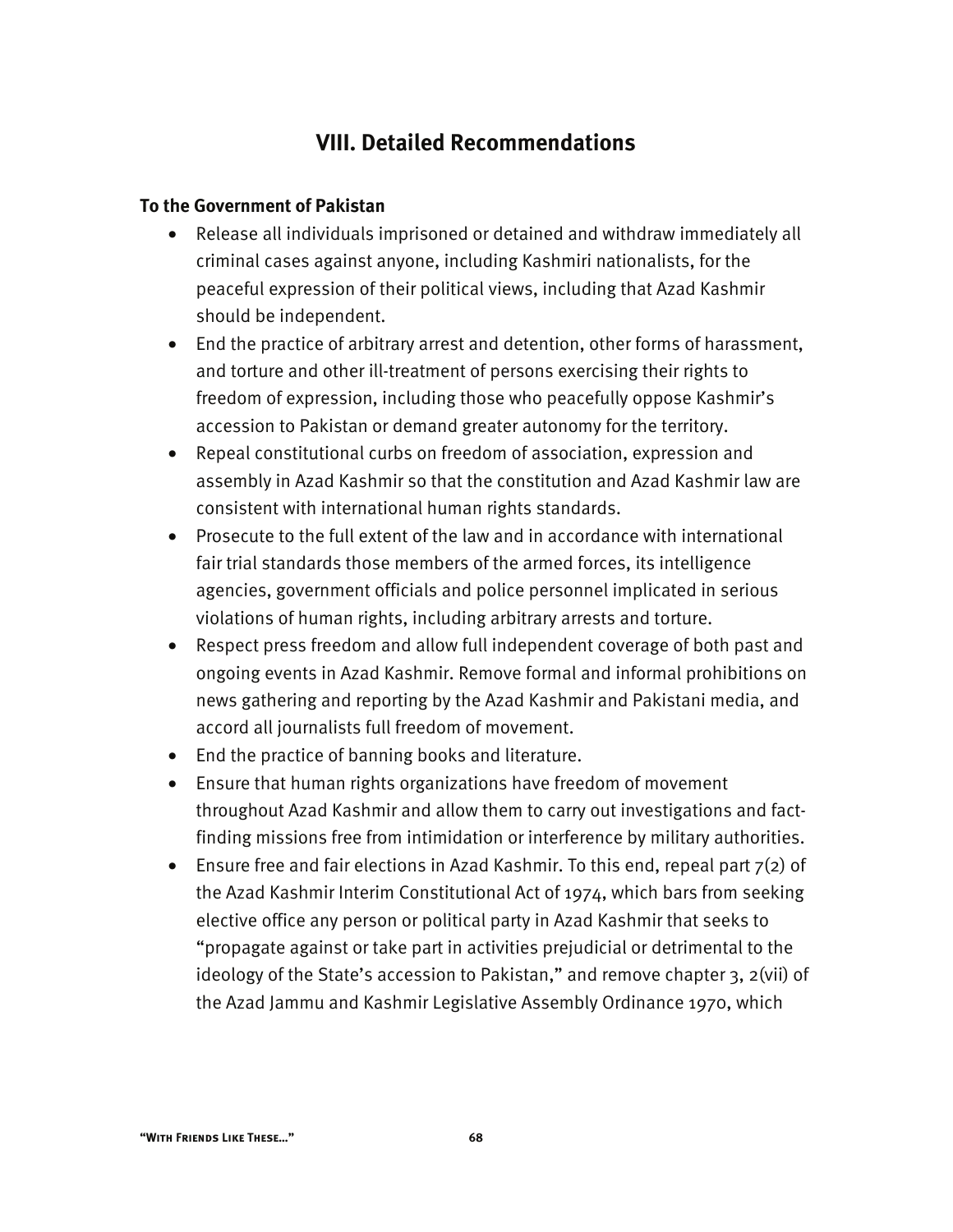# **VIII. Detailed Recommendations**

#### **To the Government of Pakistan**

- Release all individuals imprisoned or detained and withdraw immediately all criminal cases against anyone, including Kashmiri nationalists, for the peaceful expression of their political views, including that Azad Kashmir should be independent.
- End the practice of arbitrary arrest and detention, other forms of harassment, and torture and other ill-treatment of persons exercising their rights to freedom of expression, including those who peacefully oppose Kashmir's accession to Pakistan or demand greater autonomy for the territory.
- Repeal constitutional curbs on freedom of association, expression and assembly in Azad Kashmir so that the constitution and Azad Kashmir law are consistent with international human rights standards.
- Prosecute to the full extent of the law and in accordance with international fair trial standards those members of the armed forces, its intelligence agencies, government officials and police personnel implicated in serious violations of human rights, including arbitrary arrests and torture.
- Respect press freedom and allow full independent coverage of both past and ongoing events in Azad Kashmir. Remove formal and informal prohibitions on news gathering and reporting by the Azad Kashmir and Pakistani media, and accord all journalists full freedom of movement.
- End the practice of banning books and literature.
- Ensure that human rights organizations have freedom of movement throughout Azad Kashmir and allow them to carry out investigations and factfinding missions free from intimidation or interference by military authorities.
- Ensure free and fair elections in Azad Kashmir. To this end, repeal part  $7(2)$  of the Azad Kashmir Interim Constitutional Act of 1974, which bars from seeking elective office any person or political party in Azad Kashmir that seeks to "propagate against or take part in activities prejudicial or detrimental to the ideology of the State's accession to Pakistan," and remove chapter 3, 2(vii) of the Azad Jammu and Kashmir Legislative Assembly Ordinance 1970, which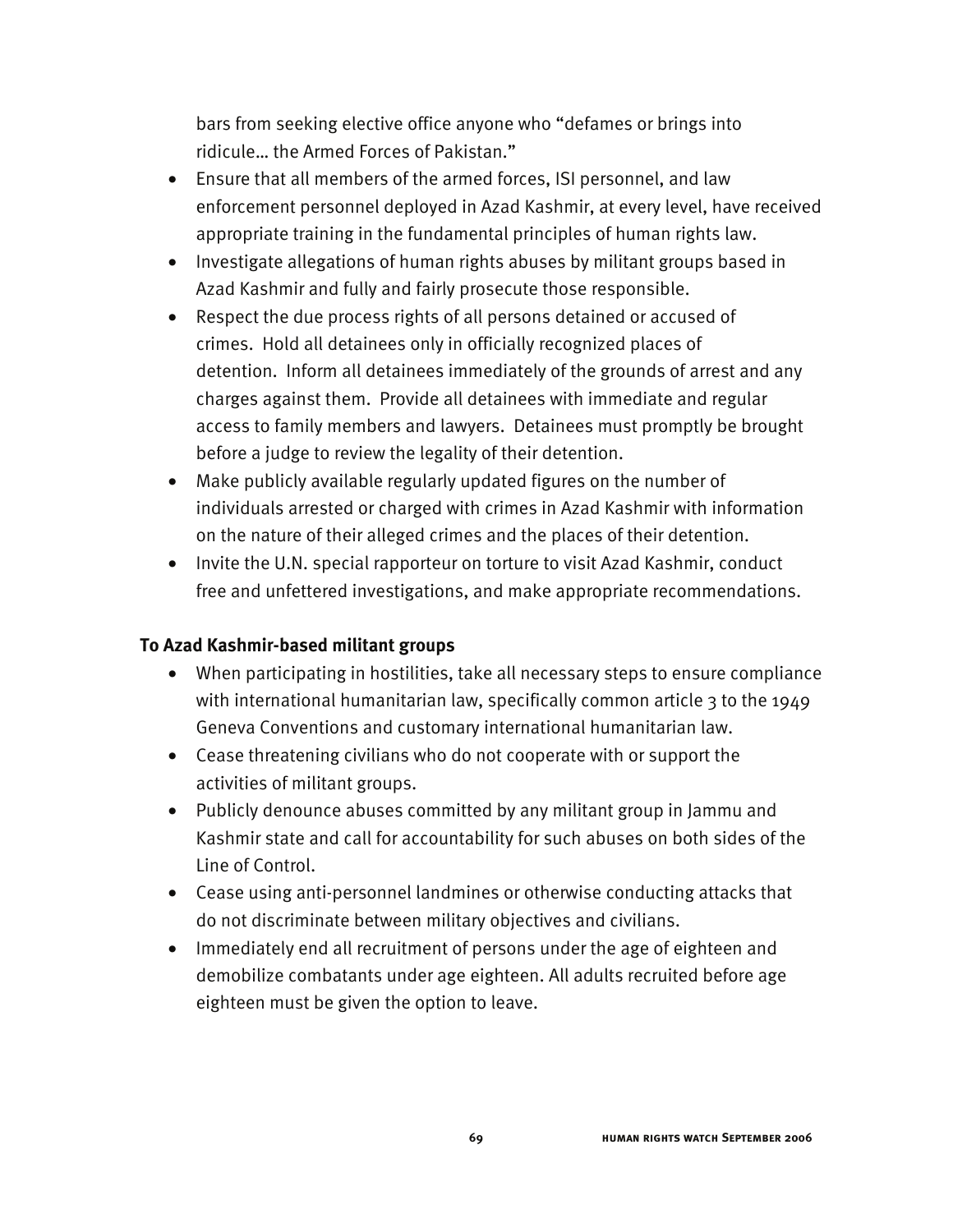bars from seeking elective office anyone who "defames or brings into ridicule… the Armed Forces of Pakistan."

- Ensure that all members of the armed forces, ISI personnel, and law enforcement personnel deployed in Azad Kashmir, at every level, have received appropriate training in the fundamental principles of human rights law.
- Investigate allegations of human rights abuses by militant groups based in Azad Kashmir and fully and fairly prosecute those responsible.
- Respect the due process rights of all persons detained or accused of crimes. Hold all detainees only in officially recognized places of detention. Inform all detainees immediately of the grounds of arrest and any charges against them. Provide all detainees with immediate and regular access to family members and lawyers. Detainees must promptly be brought before a judge to review the legality of their detention.
- Make publicly available regularly updated figures on the number of individuals arrested or charged with crimes in Azad Kashmir with information on the nature of their alleged crimes and the places of their detention.
- Invite the U.N. special rapporteur on torture to visit Azad Kashmir, conduct free and unfettered investigations, and make appropriate recommendations.

### **To Azad Kashmir-based militant groups**

- When participating in hostilities, take all necessary steps to ensure compliance with international humanitarian law, specifically common article 3 to the 1949 Geneva Conventions and customary international humanitarian law.
- Cease threatening civilians who do not cooperate with or support the activities of militant groups.
- Publicly denounce abuses committed by any militant group in Jammu and Kashmir state and call for accountability for such abuses on both sides of the Line of Control.
- Cease using anti-personnel landmines or otherwise conducting attacks that do not discriminate between military objectives and civilians.
- Immediately end all recruitment of persons under the age of eighteen and demobilize combatants under age eighteen. All adults recruited before age eighteen must be given the option to leave.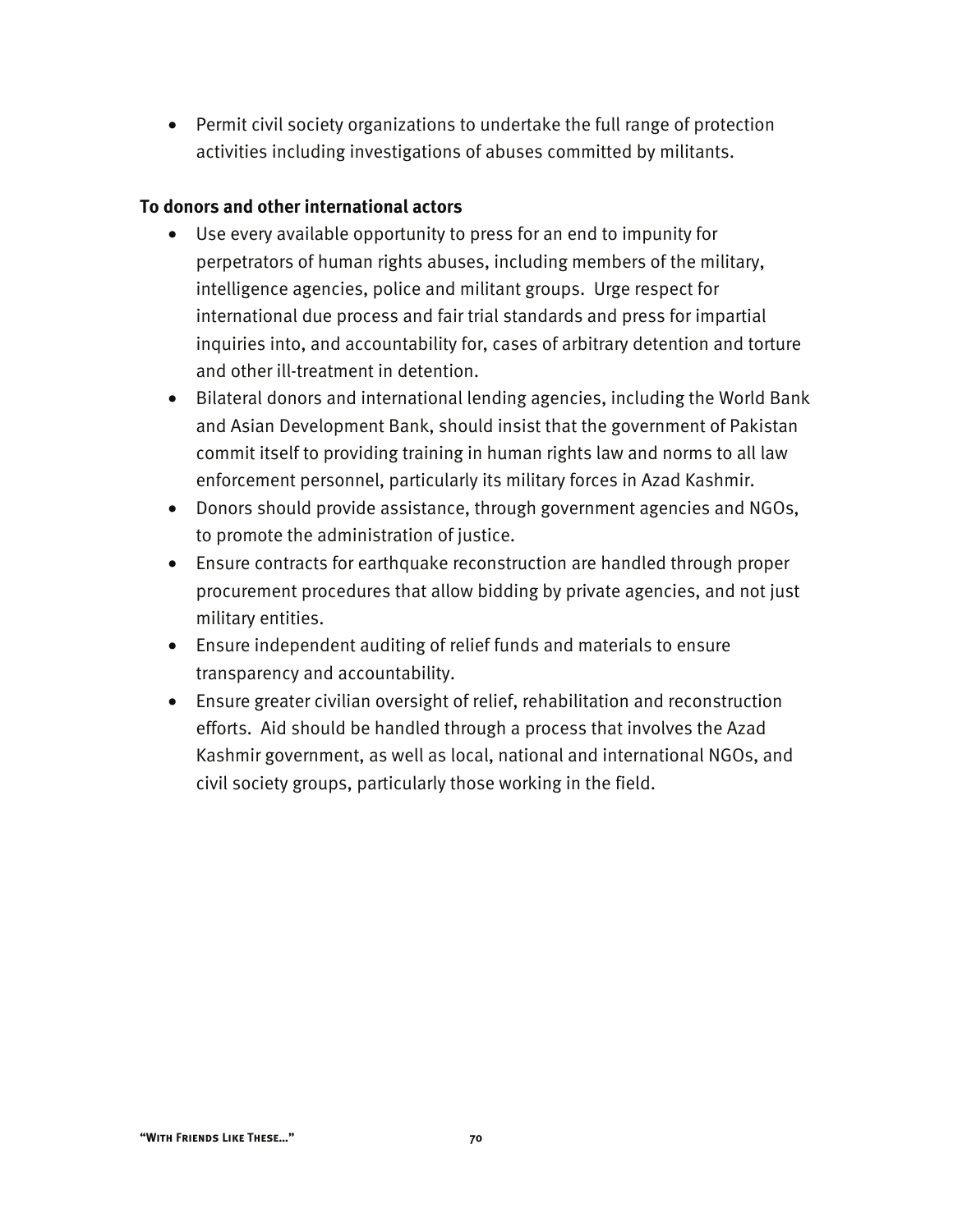• Permit civil society organizations to undertake the full range of protection activities including investigations of abuses committed by militants.

### **To donors and other international actors**

- Use every available opportunity to press for an end to impunity for perpetrators of human rights abuses, including members of the military, intelligence agencies, police and militant groups. Urge respect for international due process and fair trial standards and press for impartial inquiries into, and accountability for, cases of arbitrary detention and torture and other ill-treatment in detention.
- Bilateral donors and international lending agencies, including the World Bank and Asian Development Bank, should insist that the government of Pakistan commit itself to providing training in human rights law and norms to all law enforcement personnel, particularly its military forces in Azad Kashmir.
- Donors should provide assistance, through government agencies and NGOs, to promote the administration of justice.
- Ensure contracts for earthquake reconstruction are handled through proper procurement procedures that allow bidding by private agencies, and not just military entities.
- Ensure independent auditing of relief funds and materials to ensure transparency and accountability.
- Ensure greater civilian oversight of relief, rehabilitation and reconstruction efforts. Aid should be handled through a process that involves the Azad Kashmir government, as well as local, national and international NGOs, and civil society groups, particularly those working in the field.